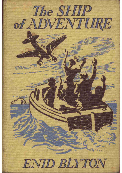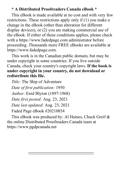#### **\* A Distributed Proofreaders Canada eBook \***

This eBook is made available at no cost and with very few restrictions. These restrictions apply only if (1) you make a change in the eBook (other than alteration for different display devices), or (2) you are making commercial use of the eBook. If either of these conditions applies, please check with a https://www.fadedpage.com administrator before proceeding. Thousands more FREE eBooks are available at https://www.fadedpage.com.

This work is in the Canadian public domain, but may be under copyright in some countries. If you live outside Canada, check your country's copyright laws. **If the book is under copyright in your country, do not download or redistribute this file.**

*Title:* The Ship of Adventure *Date of first publication:* 1950 *Author:* Enid Blyton (1897-1968) *Date first posted:* Aug. 23, 2021 *Date last updated:* Aug. 23, 2021 Faded Page eBook #20210854

This eBook was produced by: Al Haines, Chuck Greif & the online Distributed Proofreaders Canada team at https://www.pgdpcanada.net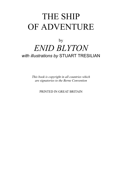# THE SHIP OF ADVENTURE

# by *ENID BLYTON with illustrations by* STUART TRESILIAN

*This book is copyright in all countries which are signatories to the Berne Convention*

PRINTED IN GREAT BRITAIN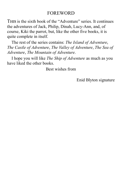#### FOREWORD

THIS is the sixth book of the "Adventure" series. It continues the adventures of Jack, Philip, Dinah, Lucy-Ann, and, of course, Kiki the parrot, but, like the other five books, it is quite complete in itself.

The rest of the series contains: *The Island of Adventure*, *The Castle of Adventure*, *The Valley of Adventure*, *The Sea of Adventure*, *The Mountain of Adventure*.

I hope you will like *The Ship of Adventure* as much as you have liked the other books.

Best wishes from

Enid Blyton signature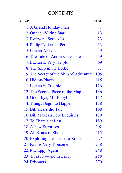## **CONTENTS**

| CHAP.                                  | <b>PAGE</b> |
|----------------------------------------|-------------|
| 1. A Grand Holiday Plan                | 1           |
| 2. On the "Viking Star"                | 13          |
| 3. Everyone Settles In                 | 23          |
| 4. Philip Collects a Pet               | 33          |
| <b>5. Lucian Arrives</b>               | 49          |
| 6. The Tale of Andra's Treasure        | 59          |
| 7. Lucian is Very Helpful              | 69          |
| 8. The Ship in the Bottle              | 81          |
| 9. The Secret of the Ship of Adventure | 105         |
| 10. Hiding-Places                      | 115         |
| 11. Lucian in Trouble                  | 126         |
| 12. The Second Piece of the Map        | 136         |
| 13. Good-bye, Mr. Eppy!                | 147         |
| 14. Things Begin to Happen!            | 158         |
| 15. Bill Hears the Tale                | 168         |
| 16. Bill Makes a Few Enquiries         | 179         |
| 17. To Thamis at Last!                 | 189         |
| 18. A Few Surprises                    | 202         |
| 19. All Kinds of Shocks                | 215         |
| 20. Exploring the Treasure-Route       | 227         |
| 21. Kiki is Very Tiresome              | 238         |
| 22. Mr. Eppy Again                     | 248         |
| 23. Treasure—and Trickery!             | 258         |
| 24. Prisoners!                         | 270         |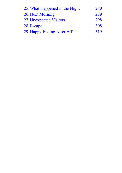<span id="page-5-0"></span>

| 25. What Happened in the Night | 280 |
|--------------------------------|-----|
| 26. Next Morning               | 289 |
| 27. Unexpected Visitors        | 298 |
| 28. Escape!                    | 308 |
| 29. Happy Ending After All!    | 319 |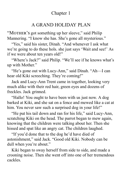#### Chapter 1

#### A GRAND HOLIDAY PLAN

<span id="page-6-0"></span>"MOTHER'S got something up her sleeve," said Philip Mannering. "I know she has. She's gone all mysterious."

"Yes," said his sister, Dinah. "And whenever I ask what we're going to do these hols. she just says 'Wait and see!' As if we were about ten years old!"

"Where's Jack?" said Philip. "We'll see if he knows what's up with Mother."

"He's gone out with Lucy-Ann," said Dinah. "Ah—I can hear old Kiki screeching. They're coming!"

Jack and Lucy-Ann Trent came in together, looking very much alike with their red hair, green eyes and dozens of freckles. Jack grinned.

"Hallo! You ought to have been with us just now. A dog barked at Kiki, and she sat on a fence and mewed like a cat at him. You never saw such a surprised dog in your life!"

"He put his tail down and ran for his life," said Lucy-Ann, scratching Kiki on the head. The parrot began to mew again, knowing that the children were talking about her. Then she hissed and spat like an angry cat. The children laughed.

"If you'd done that to the dog he'd have died of astonishment," said Jack. "Good old Kiki. Nobody can be dull when you're about."

Kiki began to sway herself from side to side, and made a crooning noise. Then she went off into one of her tremendous cackles.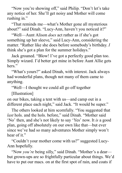"Now you're showing off," said Philip. "Don't let's take any notice of her. She'll get noisy and Mother will come rushing in."

"That reminds me—what's Mother gone all mysterious about?" said Dinah. "Lucy-Ann, haven't you noticed it?"

"Well—Aunt Alison *does* act rather as if she's got something up her sleeve," said Lucy-Ann, considering the matter. "Rather like she does before somebody's birthday. *I* think she's got a plan for the summer holidays."

Jack groaned. "Blow! I've got a perfectly good plan too. Simply wizard. I'd better get mine in before Aunt Allie gets hers."

"What's yours?" asked Dinah, with interest. Jack always had wonderful plans, though not many of them came to anything.

"Well—I thought we could all go off together

[Illustration]

on our bikes, taking a tent with us—and camp out in a different place each night," said Jack. "It would be super."

The others looked at him scornfully. "You suggested that *last* hols. and the hols. before," said Dinah. "Mother said 'No' then, and she's not likely to say 'Yes' now. It *is* a good plan, going off absolutely on our own like that—but ever since we've had so many adventures Mother simply won't hear of it."

"Couldn't your mother come with us?" suggested Lucy-Ann hopefully.

"Now *you're* being silly," said Dinah. "Mother's a dear but grown-ups are so frightfully particular about things. We'd have to put our macs. on at the first spot of rain, and coats if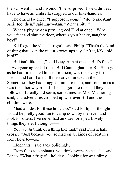the sun went in, and I wouldn't be surprised if we didn't each have to have an umbrella strapped to our bike-handles."

The others laughed. "I suppose it *wouldn't* do to ask Aunt Allie too, then," said Lucy-Ann. "What a pity!"

"What a pity, what a pity," agreed Kiki at once. "Wipe your feet and shut the door, where's your hanky, naughty boy!"

"Kiki's got the idea, all right!" said Philip. "That's the kind of thing that even the nicest grown-ups say, isn't it, Kiki, old bird?"

"Bill isn't like that," said Lucy-Ann at once. "Bill's fine."

Everyone agreed at once. Bill Cunningham, or Bill Smugs as he had first called himself to them, was their very firm friend, and had shared all their adventures with them. Sometimes they had dragged him into them, and sometimes it was the other way round—he had got into one and they had followed. It really did seem, sometimes, as Mrs. Mannering said, that adventures cropped up wherever Bill and the children were.

"*I* had an idea for these hols. too," said Philip. "I thought it would be pretty good fun to camp down by the river, and look for otters. I've never had an otter for a pet. Lovely things they are. I thought——"

"You *would* think of a thing like that," said Dinah, half crossly. "Just because you're mad on all kinds of creatures from fleas to—to...."

"Elephants," said Jack obligingly.

"From fleas to elephants, you think everyone else is," said Dinah. "What a frightful holiday—looking for wet, slimy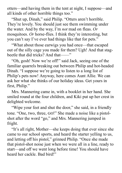otters—and having them in the tent at night, I suppose—and all kinds of other horrible things too."

"Shut up, Dinah," said Philip. "Otters aren't horrible. They're lovely. You should just see them swimming under the water. And by the way, I'm *not* mad on fleas. *Or* mosquitoes. *Or* horse-flies. I think they're interesting, but you can't say I've ever had things like that for pets."

"What about those earwigs you had once—that escaped out of the silly cage you made for them? Ugh! And that stagbeetle that did tricks? And that——"

"Oh, gosh! Now we're off!" said Jack, seeing one of the familiar quarrels breaking out between Philip and hot-headed Dinah. "I suppose we're going to listen to a long list of Philip's pets now! Anyway, here comes Aunt Allie. We can ask her what she thinks of our holiday ideas. Get yours in first, Philip."

Mrs. Mannering came in, with a booklet in her hand. She smiled round at the four children, and Kiki put up her crest in delighted welcome.

"Wipe your feet and shut the door," she said, in a friendly tone. "One, two, three, GO!" She made a noise like a pistolshot after the word "go," and Mrs. Mannering jumped in fright.

"It's all right, Mother—she keeps doing that ever since she came to our school sports, and heard the starter yelling to us, and letting off his pistol," grinned Philip. "Once she made that pistol-shot noise just when we were all in a line, ready to start—and off we went long before time! You should have heard her cackle. Bad bird!"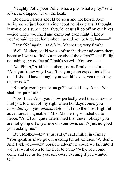"Naughty Polly, poor Polly, what a pity, what a pity," said Kiki. Jack tapped her on the beak.

"Be quiet. Parrots should be seen and not heard. Aunt Allie, we've just been talking about holiday plans. I thought it would be a super idea if you'd let us all go off on our bikes —ride where we liked and camp out each night. I know you've said we couldn't when I asked you before, but——"

"I say 'No' again," said Mrs. Mannering very firmly.

"Well, Mother, could we go off to the river and camp there, because I want to find out more about the otters?" said Philip, not taking any notice of Dinah's scowl. "You see——"

"*No*, Philip," said his mother, just as firmly as before. "And you know why I won't let you go on expeditions like that. I should have thought you would have given up asking me by now."

"But *why* won't you let us go?" wailed Lucy-Ann. "We shall be quite safe."

"Now, Lucy-Ann, you know perfectly well that as soon as I let you four out of my sight when holidays come, you *immediately*—yes, *immediately*—fall into the most frightful adventures imaginable." Mrs. Mannering sounded quite fierce. "And I am quite determined that these holidays you are not going off *any*where on your own, so it's just no good your asking me."

"But, Mother—that's just silly," said Philip, in dismay. "You speak as if we go out *look*ing for adventures. We don't. And I ask you—what possible adventure could we fall into if we just went down to the river to camp? Why, you could come and see us for yourself every evening if you wanted to."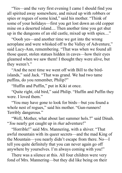"Yes—and the very first evening I came I should find you all spirited away somewhere, and mixed up with robbers or spies or rogues of some kind," said his mother. "Think of some of your holidays—first you get lost down an old copper mine on a deserted island.... Then another time you get shut up in the dungeons of an old castle, mixed up with spies...."

"Oooh yes—and another time we got into the wrong aeroplane and were whisked off to the Valley of Adventure," said Lucy-Ann, remembering. "That was when we found all those queer, stolen statues hidden in caves—how their eyes gleamed when we saw them! I thought they were alive, but they weren't."

"And the next time we went off with Bill to the birdislands," said Jack. "That was grand. We had two tame puffins, do you remember, Philip?"

"Huffin and Puffin," put in Kiki at once.

"Quite right, old bird," said Philip. "Huffin and Puffin they were. I loved them"

"You may have gone to look for birds—but you found a whole nest of rogues," said his mother. "Gun-runners! Terribly dangerous."

"Well, Mother, what about last summer hols.?" said Dinah. "*You* nearly got caught up in *that* adventure!"

"Horrible!" said Mrs. Mannering, with a shiver. "That awful mountain with its queer secrets—and the mad King of the Mountain—you nearly didn't escape from there. No—I tell you quite definitely that you can never again go off anywhere by yourselves. I'm always coming with you!"

There was a silence at this. All four children were very fond of Mrs. Mannering—but they did like being on their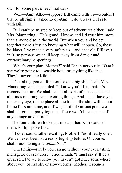own for some part of each holidays.

"Well—Aunt Allie—suppose Bill came with us—wouldn't that be all right?" asked Lucy-Ann. "I do always feel safe with Rill."

"Bill can't be trusted to keep out of adventures either," said Mrs. Mannering. "He's grand, I know, and I'd trust him more than anyone else in the world. But when you and he get together there's just no knowing what will happen. So, these holidays, I've made a very safe plan—and dear old Bill isn't in it, so perhaps we shall keep away from danger and extraordinary happenings."

"What's your plan, Mother?" said Dinah nervously. "*Don't* say we're going to a seaside hotel or anything like that. They'd never take Kiki."

"I'm taking you all for a cruise on a big ship," said Mrs. Mannering, and she smiled. "I know you'll like that. It's tremendous fun. We shall call at all sorts of places, and see all kinds of strange and exciting things. And I shall have you under my eye, in one place all the time—the ship will be our home for some time, and if we get off at various ports we shall all go in a party together. There won't be a chance of any strange adventure."

The four children looked at one another. Kiki watched them. Philip spoke first.

"It does sound rather exciting, Mother! Yes, it really does. We've never been on a really big ship before. Of course, I shall miss having any *animals...*."

"Oh, Philip—surely you can go without your everlasting menagerie of creatures?" cried Dinah. "I must say it'll be a great relief to *me* to know you haven't got mice somewhere about you, or lizards, or slow-worms! Mother, it sounds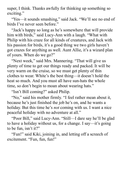super, I think. Thanks awfully for thinking up something so exciting."

"Yes—it sounds smashing," said Jack. "We'll see no end of birds I've never seen before."

"Jack's happy so long as he's somewhere that will provide him with birds," said Lucy-Ann with a laugh. "What with Philip with his craze for all kinds of creatures, and Jack with his passion for birds, it's a good thing we two girls haven't got crazes for anything as well. Aunt Allie, it's a wizard plan of yours. When do we go?"

"Next week," said Mrs. Mannering. "That will give us plenty of time to get our things ready and packed. It will be very warm on the cruise, so we must get plenty of thin clothes to wear. White's the best thing—it doesn't hold the heat so much. And you must all have sun-hats the whole time, so don't begin to moan about wearing hats."

"Isn't Bill coming?" asked Philip.

"No," said his mother firmly. "I feel rather mean about it, because he's just finished the job he's on, and he wants a holiday. But this time he's *not* coming with us. I want a nice peaceful holiday with no adventure at all."

"Poor Bill," said Lucy-Ann. "Still—I dare say he'll be glad to have a holiday without us, for a change. I say—it's going to be fun, isn't it?"

<span id="page-13-0"></span>"Fun!" said Kiki, joining in, and letting off a screech of excitement. "Fun, fun, fun!"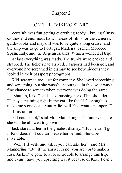#### Chapter 2

#### ON THE "VIKING STAR"

<span id="page-14-0"></span>It certainly was fun getting everything ready—buying flimsy clothes and enormous hats, masses of films for the cameras, guide-books and maps. It was to be quite a long cruise, and the ship was to go to Portugal, Madeira, French Morocco, Spain, Italy, and the Aegean Islands. What a wonderful trip!

At last everything was ready. The trunks were packed and strapped. The tickets had arrived. Passports had been got, and everyone had screamed in dismay to see how hideous they looked in their passport photographs.

Kiki screamed too, just for company. She loved screeching and screaming, but she wasn't encouraged in this, so it was a fine chance to scream when everyone was doing the same.

"Shut up, Kiki," said Jack, pushing her off his shoulder. "Fancy screaming right in my ear like that! It's enough to make me stone deaf. Aunt Allie, will Kiki want a passport?"

[Illustration]

"Of course not," said Mrs. Mannering. "I'm not even sure she will be allowed to go with us."

Jack stared at her in the greatest dismay. "But—*I* can't go if Kiki doesn't. I couldn't leave her behind. She'd be miserable"

"Well, I'll write and ask if you can take her," said Mrs. Mannering. "But if the answer is no, you are *not* to make a fuss, Jack. I've gone to a lot of trouble to arrange this trip, and I can't have you upsetting it just because of Kiki. I can't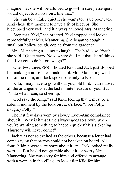imagine that she will be allowed to go—I'm sure passengers would object to a noisy bird like that."

"She can be awfully quiet if she wants to," said poor Jack. Kiki chose that moment to have a fit of hiccups. She hiccupped very well, and it always annoyed Mrs. Mannering.

"Stop that, Kiki," she ordered. Kiki stopped and looked reproachfully at Mrs. Mannering. She began to cough, a small but hollow cough, copied from the gardener.

Mrs. Mannering tried not to laugh. "The bird is so *idiotic*," she said. "Quite crazy. Now, where did I put that list of things that I've got to do before we go?"

"One, two, three, GO!" shouted Kiki, and Jack just stopped her making a noise like a pistol-shot. Mrs. Mannering went out of the room, and Jack spoke solemnly to Kiki.

"Kiki, I may have to go without you, old bird. I can't upset all the arrangements at the last minute because of you. But I'll do what I can, so cheer up."

"God save the King," said Kiki, feeling that it must be a solemn moment by the look on Jack's face. "Poor Polly, naughty Polly!"

The last few days went by slowly. Lucy-Ann complained about it. "Why is it that time always goes so slowly when you're wanting something to happen quickly? It's sickening. Thursday will never come!"

Jack was not so excited as the others, because a letter had come saying that parrots could not be taken on board. All four children were very sorry about it, and Jack looked really worried. But he did not grumble about it, or worry Mrs. Mannering. She was sorry for him and offered to arrange with a woman in the village to look after Kiki for him.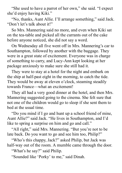"She used to have a parrot of her own," she said. "I expect she'd enjoy having Kiki."

"No, thanks, Aunt Allie. I'll arrange something," said Jack. "Don't let's talk about it!"

So Mrs. Mannering said no more, and even when Kiki sat on the tea-table and picked all the currants out of the cake before anyone noticed, she did not say a word.

On Wednesday all five went off in Mrs. Mannering's car to Southampton, followed by another with the baggage. They were in a great state of excitement. Everyone was in charge of something to carry, and Lucy-Ann kept looking at her package anxiously to make sure she still had it.

They were to stay at a hotel for the night and embark on the ship at half-past eight in the morning, to catch the tide. They would be away at eleven o'clock, steaming steadily towards France—what an excitement!

They all had a very good dinner at the hotel, and then Mrs. Mannering suggested going to the cinema. She felt sure that not one of the children would go to sleep if she sent them to bed at the usual time.

"Do you mind if I go and hunt up a school friend of mine, Aunt Allie?" said Jack. "He lives in Southampton, and I'd like to spring a surprise on him and go and call."

"All right," said Mrs. Mannering. "But you're not to be late back. Do you want to go and see him too, Philip?"

"Who's this chappy, Jack?" asked Philip, but Jack was half-way out of the room. A mumble came through the door. "What's he say?" said Philip.

"Sounded like 'Porky' to me," said Dinah.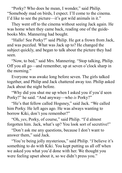"Porky? Who does he mean, I wonder," said Philip. "Somebody mad on birds, I expect. I'll come to the cinema. I'd like to see the picture—it's got wild animals in it."

They went off to the cinema without seeing Jack again. He was home when they came back, reading one of the guidebooks Mrs. Mannering had bought.

"Hallo! See Porky?" said Philip. He got a frown from Jack, and was puzzled. What was Jack up to? He changed the subject quickly, and began to talk about the picture they had seen.

"Now, to bed," said Mrs. Mannering. "Stop talking, Philip. Off you all go—and remember, up at seven o'clock sharp in the morning."

Everyone was awake long before seven. The girls talked together, and Philip and Jack chattered away too. Philip asked Jack about the night before.

"Why did you shut me up when I asked you if you'd seen Porky?" he said. "And anyway—who *is* Porky?"

"He's that fellow called Hogsney," said Jack. "We called him Porky. He left ages ago. He was always wanting to borrow Kiki, don't you remember?"

"Oh, *yes*, Porky, of course," said Philip. "I'd almost forgotten him. Jack, what's up? You look sort of secretive!"

"Don't ask me any questions, because I don't want to answer them," said Jack.

"You're being jolly mysterious," said Philip. "*I* believe it's something to do with Kiki. You kept putting us all off when we asked you what you'd done with her. We thought you were feeling upset about it, so we didn't press you."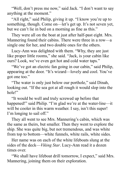"Well, don't press me now," said Jack. "I don't want to say anything at the moment."

"All right," said Philip, giving it up. "I know you're up to something, though. Come on—let's get up. It's not seven yet, but we can't lie in bed on a morning as fine as this."

They were all on the boat at just after half-past eight. Mrs. Mannering found their cabins. There were three in a row—a single one for her, and two double ones for the others.

Lucy-Ann was delighted with them. "Why, they are just like proper little rooms," she said. "Jack, is your cabin like ours? Look, we've even got hot and cold water taps."

"We've got an electric fan going in our cabin," said Philip, appearing at the door. "It's wizard—lovely and cool. You've got one too."

"The water is only just below our porthole," said Dinah, looking out. "If the sea got at all rough it would slop into the hole!"

"It would be well and truly screwed up before that happened!" said Philip. "I'm glad we're at the water-line—it will be cooler in this warm weather. I say, isn't this super! I'm longing to sail off."

They all went to see Mrs. Mannering's cabin, which was the same as theirs, but smaller. Then they went to explore the ship. She was quite big, but not tremendous, and was white from top to bottom—white funnels, white rails, white sides.

Her name was on each of the white lifeboats slung at the sides of the deck—*Viking Star*. Lucy-Ann read it a dozen times over.

"We shall have lifeboat drill tomorrow, I expect," said Mrs. Mannering, joining them on their exploration.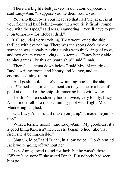"There are big life-belt jackets in our cabin cupboards," said Lucy-Ann. "I suppose you tie them round you."

"You slip them over your head, so that half the jacket is at your front and half behind—and then you tie it firmly round you with the tapes," said Mrs. Mannering. "You'll have to put it on tomorrow for lifeboat drill."

It all sounded very exciting. They went round the ship, thrilled with everything. There was the sports deck, where someone was already playing quoits with thick rings of rope, and two others were playing deck-tennis. "Fancy being able to play games like this on board ship!" said Dinah.

"There's a cinema down below," said Mrs. Mannering, "and a writing-room, and library and lounge, and an enormous dining-room!"

"And gosh, look—here's a swimming-pool on the ship itself!" cried Jack, in amazement, as they came to a beautiful pool at one end of the ship, shimmering blue with water.

The ship's siren suddenly hooted twice, very loudly. Lucy-Ann almost fell into the swimming-pool with fright. Mrs. Mannering laughed.

"Oh, Lucy-Ann—did it make you jump? It made me jump too."

"What a terrific noise!" said Lucy-Ann. "My goodness, it's a good thing Kiki isn't here. If she began to hoot like that siren she'd be impossible."

"Shut up, idiot," said Dinah, in a low voice. "Don't remind Jack we're going off without her."

Lucy-Ann glanced round for Jack, but he wasn't there. "Where's he gone?" she asked Dinah. But nobody had seen him go.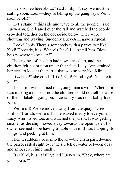"He's somewhere about," said Philip. "I say, we must be sailing soon. Look—they're taking up the gangways. We'll soon be off!"

"Let's stand at this side and wave to all the people," said Lucy-Ann. She leaned over the rail and watched the people crowded together on the dock-side below. They were shouting and waving. Suddenly Lucy-Ann gave a squeal.

"Look! *Look!* There's somebody with a parrot *just* like Kiki! Honestly, it is. Where's Jack? I *must* tell him. Blow, he's nowhere to be seen!"

The engines of the ship had now started up, and the children felt a vibration under their feet. Lucy-Ann strained her eyes to look at the parrot that was so very like Kiki.

"It *is* Kiki!" she cried. "Kiki! Kiki! Good-bye! I'm sure it's you!"

The parrot was chained to a young man's wrist. Whether it was making a noise or not the children could not tell because of the hullabaloo going on. It certainly was remarkably like Kiki.

"We're off! We've moved away from the quay!" cried Philip. "Hurrah, we're off!" He waved madly to everyone. Lucy-Ann waved too, and watched the parrot. It was getting smaller as the ship moved away towards the open water. Its owner seemed to be having trouble with it. It was flapping its wings, and pecking at him.

Then it suddenly rose into the air—the chain parted—and the parrot sailed right over the stretch of water between quay and ship, screeching madly.

<span id="page-20-0"></span>"It *is* Kiki, it is, it is!" yelled Lucy-Ann. "Jack, where are you? JACK!"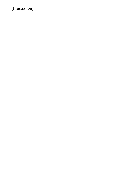## [Illustration]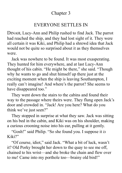#### Chapter 3

#### EVERYONE SETTLES IN

<span id="page-22-0"></span>DINAH, Lucy-Ann and Philip rushed to find Jack. The parrot had reached the ship, and they had lost sight of it. They were all certain it was Kiki, and Philip had a shrewd idea that Jack would not be quite so surprised about it as they themselves were.

Jack was nowhere to be found. It was most exasperating. They hunted for him everywhere, and at last Lucy-Ann thought of his cabin. "He might be there," she said. "Though why he wants to go and shut himself up there just at the exciting moment when the ship is leaving Southampton, I really can't imagine! And where's the parrot? She seems to have disappeared too."

They went down the stairs to the cabins and found their way to the passage where theirs were. They flung open Jack's door and crowded in. "Jack! Are you here? What do you think we've just seen?"

They stopped in surprise at what they saw. Jack was sitting on his bed in the cabin, and Kiki was on his shoulder, making a curious crooning noise into his ear, pulling at it gently.

"Gosh!" said Philip. "So she found you. I suppose it *is* Kiki?"

"Of course, idiot," said Jack. "What a bit of luck, wasn't it? Old Porky brought her down to the quay to see me off, chained to his wrist—and she broke the chain and flew over to me! Came into my porthole too—brainy old bird!"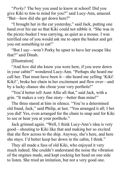"*Porky?* The boy you used to know at school! Did you give Kiki to *him* to mind for you?" said Lucy-Ann, amazed. "But—how did she get down here?"

"I brought her in the car yesterday," said Jack, putting one hand over his ear so that Kiki could not nibble it. "She was in the picnic-basket I was carrying, as quiet as a mouse. I was terrified one of you would ask me to open the basket and get you out something to eat!"

"But I say—won't Porky be upset to have her escape like that?" said Dinah.

[Illustration]

"And *how* did she know you were here, if you were down in your cabin?" wondered Lucy-Ann. "Perhaps she heard me call her. That must have been it—she heard me yelling 'Kiki! Kiki!', broke her chain in her excitement and flew over—and by a lucky chance she chose your very porthole!"

"You'd better tell Aunt Allie all that," said Jack, with a grin. "It makes a very fine story—better than mine!"

The three stared at him in silence. "You're a determined old fraud, Jack," said Philip, at last. "You arranged it all; I bet you did! Yes, even arranged for the chain to snap and for Kiki to see or hear you at your porthole."

Jack grinned again. "Well, I think Lucy-Ann's idea is very good—shouting to Kiki like that and making her so excited that she flew across to the ship. Anyway, she's here, and here she stays. I'd better keep her down in the cabin, I think."

They all made a fuss of old Kiki, who enjoyed it very much indeed. She couldn't understand the noise the vibration of the engines made, and kept cocking her head on one side to listen. She tried an imitation, but not a very good one.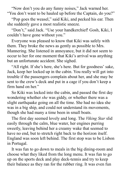"Now don't you do any funny noises," Jack warned her. "You don't want to be hauled up before the Captain, do you?"

"Pop goes the weasel," said Kiki, and pecked his ear. Then she suddenly gave a most realistic sneeze.

"Don't," said Jack. "Use your handkerchief! Gosh, Kiki, I couldn't have gone without you."

Everyone was pleased to know that Kiki was safely with them. They broke the news as gently as possible to Mrs. Mannering. She listened in annoyance, but it did not seem to occur to her for one moment that Kiki's arrival was anything but an unfortunate accident. She sighed.

"All right. If she's here, she's here. But for goodness' sake, Jack, keep her locked up in the cabin. You really will get into trouble if the passengers complain about her, and she may be sent to the crew's deck and put in a cage if you don't keep a firm hand on her"

So Kiki was locked into the cabin, and passed the first day wondering whether *she* was giddy, or whether there was a slight earthquake going on all the time. She had no idea she was in a big ship, and could not understand its movements, though she had many a time been in small boats.

The first day seemed lovely and long. The *Viking Star* slid easily through the calm, blue water, her engines purring sweetly, leaving behind her a creamy wake that seemed to have no end, but to stretch right back to the horizon itself. England was soon left behind. The first stop was to be Lisbon in Portugal.

It was fun to go down to meals in the big dining-room and choose what they liked from the long menu. It was fun to go up on the sports deck and play deck-tennis and try to keep their balance as they ran for the rubber ring. It was even fun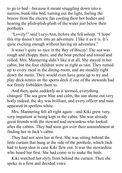to go to bed—because it meant snuggling down into a narrow, bunk-like bed, turning out the light, feeling the breeze from the electric fan cooling their hot bodies and hearing the plish-plish-plash of the water just below their portholes.

"Lovely!" said Lucy-Ann, before she fell asleep. "I hope this trip doesn't turn into an adventure. I like it as it is. It's quite exciting enough without having an adventure."

It wasn't quite so nice in the Bay of Biscay! The sea was rough and choppy there, and the boat pitched and tossed and rolled. Mrs. Mannering didn't like it at all. She stayed in her cabin, but the four children were as right as rain. They turned up to every meal in the dining-room, and ate steadily right down the menu. They would even have gone up to try and play deck-tennis on the sports deck if one of the stewards had not firmly forbidden them to.

And then, quite suddenly as it seemed, everything changed. The sea grew blue and calm, the sun shone out very hotly indeed, the sky was brilliant, and every officer and man appeared in spotless white.

Mrs. Mannering felt all right again—and Kiki grew very, very impatient at being kept in the cabin. She was already great friends with the steward and stewardess who looked after the cabins. They had soon got over their astonishment at finding her in Jack's cabin.

They had not seen her at first. She was sitting behind the little curtain that hung at the side of the porthole, which Jack had to keep shut in case Kiki flew out. It was the stewardess who heard her first. She had come in to make the beds.

Kiki watched her slyly from behind the curtain. Then she spoke in a firm and decided voice.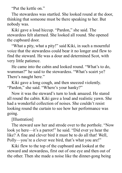"Put the kettle on."

The stewardess was startled. She looked round at the door, thinking that someone must be there speaking to her. But nobody was.

Kiki gave a loud hiccup. "Pardon," she said. The stewardess felt alarmed. She looked all round. She opened the cupboard door.

"What a pity, what a pity!" said Kiki, in such a mournful voice that the stewardess could bear it no longer and flew to find the steward. He was a dour and determined Scot, with very little patience.

He came into the cabin and looked round. "What's to do, wumman?" he said to the stewardess. "What's scairt ye? There's naught here."

Kiki gave a long cough, and then sneezed violently. "Pardon," she said. "Where's your hanky?"

Now it was the steward's turn to look amazed. He stared all round the cabin. Kiki gave a loud and realistic yawn. She had a wonderful collection of noises. She couldn't resist looking round the curtain to see how her performance was going.

[Illustration]

The steward saw her and strode over to the porthole. "Now look ye here—it's a parrot!" he said. "Did ever ye hear the like? A fine and clever bird it must be to do all that! Well, Polly—you're a clever wee bird, that's what you are!"

Kiki flew to the top of the cupboard and looked at the steward and stewardess, first out of one eye and then out of the other. Then she made a noise like the dinner-gong being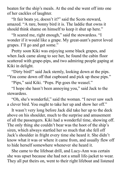beaten for the ship's meals. At the end she went off into one of her cackles of laughter.

"It fair beats ye, doesn't it?" said the Scots steward, amazed. "A rare, bonny bird it is. The laddie that owns it should think shame on himself to keep it shut up here."

"It scared me, right enough," said the stewardess. "I wonder if it would like a grape. My great-aunt's parrot loved grapes. I'll go and get some."

Pretty soon Kiki was enjoying some black grapes, and when Jack came along to see her, he found the cabin floor scattered with grape-pips, and two admiring people gaping at Kiki in delight.

"Dirty bird!" said Jack sternly, looking down at the pips. "You come down off that cupboard and pick up these pips."

"Pips," said Kiki. "Pops. Pip goes the weasel."

"I hope she hasn't been annoying you," said Jack to the stewardess.

"Oh, she's wonderful," said the woman. "I never saw such a clever bird. You ought to take her up and show her off."

It wasn't very long before Jack did take her up to the deck above on his shoulder, much to the surprise and amusement of all the passengers. Kiki had a wonderful time, showing off. The only thing she couldn't bear was the hoot of the ship's siren, which always startled her so much that she fell off Jack's shoulder in fright every time she heard it. She didn't know what it was or where it came from, and usually flew off to hide herself somewhere whenever she heard it.

She came to the lifeboat drill, and Lucy-Ann was certain she was upset because she had not a small life-jacket to wear. They all put theirs on, went to their right lifeboat and listened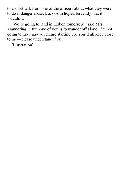to a short talk from one of the officers about what they were to do if danger arose. Lucy-Ann hoped fervently that it wouldn't.

"We're going to land in Lisbon tomorrow," said Mrs. Mannering. "But none of you is to wander off alone. I'm not going to have any adventure starting up. You'll all keep close to me—please understand *that*!"

<span id="page-28-0"></span>[Illustration]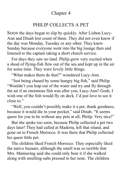#### Chapter 4

#### PHILIP COLLECTS A PET

<span id="page-29-0"></span>SOON the days began to slip by quickly. After Lisbon Lucy-Ann and Dinah lost count of them. They did not even know if the day was Monday, Tuesday or any other. They knew Sunday because everyone went into the big lounge then and listened to the captain taking a short church service.

For days they saw no land. Philip grew very excited when a shoal of flying-fish flew out of the sea and kept up in the air for some time. They were lovely little things.

"What makes them do that?" wondered Lucy-Ann.

"Just being chased by some hungry big fish," said Philip. "Wouldn't you leap out of the water and try and fly through the air if an enormous fish was after you, Lucy-Ann? Gosh, I wish one of the fish would fly on deck. I'd just love to see it close to."

"Well, you couldn't possibly make it a pet, thank goodness, because it would die in your pocket," said Dinah. "It seems queer for you to be without any pets at all, Philip. Very nice!"

But she spoke too soon, because Philip collected a pet two days later! They had called at Madeira, left that island, and gone on to French Morocco. It was there that Philip collected his queer little pet.

The children liked French Morocco. They especially liked the native bazaars, although the smell was so terrible that Mrs. Mannering said she could only bear it if she walked along with smelling-salts pressed to her nose. The children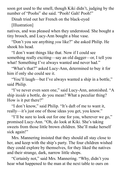soon got used to the smell, though Kiki didn't, judging by the number of "Poohs" she said. "Pooh! Gah! Pooh!"

Dinah tried out her French on the black-eyed

[Illustration]

natives, and was pleased when they understood. She bought a tiny brooch, and Lucy-Ann bought a blue vase.

"Don't you see anything *you* like?" she asked Philip. He shook his head.

"I don't want things like that. Now if I could see something really exciting—say an old dagger—or, I tell you what! Something I've always wanted and never had."

"What's that?" asked Lucy-Ann, determined to buy it for him if only she could see it.

"You'll laugh—but I've always wanted a ship in a bottle," said Philip.

"I've never even seen one," said Lucy-Ann, astonished. "A ship in*side* a bottle, do you mean? What a peculiar thing? How is it put there?"

"I don't know," said Philip. "It's daft of me to want it, really—it's just one of those ideas you get, you know."

"I'll be sure to look out for one for you, wherever we go," promised Lucy-Ann. "Oh, do look at Kiki. She's taking sweets from those little brown children. She'll make herself sick again!"

Mrs. Mannering insisted that they should all stay close to her, and keep with the ship's party. The four children wished they could explore by themselves, for they liked the natives and their strange, dark, narrow little shops.

"Certainly not," said Mrs. Mannering. "Why, didn't you hear what happened to the man at the next table to ours on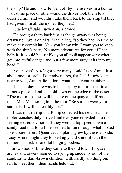the ship? He and his wife went off by themselves in a taxi to visit some place or other—and the driver took them to a deserted hill, and wouldn't take them back to the ship till they had given him all the money they had!"

"Gracious," said Lucy-Ann, alarmed.

"He brought them back just as the gangway was being drawn up," went on Mrs. Mannering, "so they had no time to make any complaint. *Now* you know why I want you to keep with the ship's party. No more adventures for you, if I can help it! It would be just like you all to disappear somewhere, get into awful danger and put a few more grey hairs into my head!"

"You haven't *really* got very many," said Lucy-Ann. "Just about one for each of our adventures, that's all! I *will* keep near to you, Aunt Allie. I don't want an adventure either."

The next day there was to be a trip by motor-coach to a famous place inland—an old town on the edge of the desert. "The motor-coaches will be here on the quay at half-past ten," Mrs. Mannering told the four. "Be sure to wear your sun-hats. It will be terribly hot."

It was on that trip that Philip collected his new pet. The motor-coaches duly arrived and everyone crowded into them, feeling extremely hot. Off they went at top speed down a sandy road that for a time seemed to run through what looked like a bare desert. Queer cactus-plants grew by the road-side. Lucy-Ann thought they looked ugly and spiteful with their numerous prickles and fat bulging bodies.

In two hours' time they came to the old town. Its queer arches and towers seemed to spring up suddenly out of the sand. Little dark-brown children, with hardly anything on, ran to meet them, their hands held out.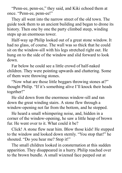"Penn-ee, penn-ee," they said, and Kiki echoed them at once. "Penn-ee, penn-ee!"

They all went into the narrow street of the old town. The guide took them to an ancient building and began to drone its history. Then one by one the party climbed steep, winding steps up an enormous tower.

Half-way up Philip looked out of a great stone window. It had no glass, of course. The wall was so thick that he could sit on the window-sill with his legs stretched right out. He hung on to the side of the window and slid forward to look down.

Far below he could see a little crowd of half-naked children. They were pointing upwards and chattering. Some of them were throwing stones.

"Now what are those little beggars throwing stones at?" thought Philip. "If it's something alive I'll knock their heads together!"

He slid down from the enormous window-sill and ran down the great winding stairs. A stone flew through a window-opening not far from the bottom, and he stopped.

He heard a small whimpering noise, and, hidden in a corner of the window-opening, he saw a little heap of brown fur. He went over to it. What could it be?

Click! A stone flew near him. Blow those kids! He stepped to the window and looked down sternly. "You stop that!" he shouted. "Do you hear me? Stop it!"

The small children looked in consternation at this sudden apparition. They disappeared in a hurry. Philip reached over to the brown bundle. A small wizened face peeped out at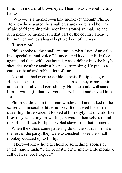him, with mournful brown eyes. Then it was covered by tiny hands.

"Why—it's a monkey—a tiny monkey!" thought Philip. He knew how scared the small creatures were, and he was afraid of frightening this poor little stoned animal. He had seen plenty of monkeys in that part of the country already, but not near—they always kept well out of the way.

[Illustration]

Philip spoke to the small creature in what Lucy-Ann called his "special animal-voice." It uncovered its queer little face again, and then, with one bound, was cuddling into the boy's shoulder, nestling against his neck, trembling. He put up a cautious hand and rubbed its soft fur.

No animal had ever been able to resist Philip's magic. Horses, dogs, cats, snakes, insects, birds—they came to him at once trustfully and confidingly. Not one could withstand him. It was a gift that everyone marvelled at and envied him for.

Philip sat down on the broad window-sill and talked to the scared and miserable little monkey. It chattered back in a queer high little voice. It looked at him shyly out of child-like brown eyes. Its tiny brown fingers wound themselves round one of his. It was Philip's devoted slave from that moment.

When the others came pattering down the stairs in front of the rest of the party, they were astonished to see the small monkey cuddled up to Philip.

"There—I knew he'd get hold of something, sooner or later!" said Dinah. "Ugh! A nasty, dirty, smelly little monkey, full of fleas too, I expect."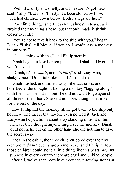"Well, it *is* dirty and smelly, and I'm sure it's got fleas," said Philip. "But it isn't nasty. It's been stoned by those wretched children down below. Both its legs are hurt."

"Poor little thing," said Lucy-Ann, almost in tears. Jack stroked the tiny thing's head, but that only made it shrink closer to Philip.

"You're not to take it back to the ship with you," began Dinah. "I shall tell Mother if you do. I won't have a monkey in our party."

"He's coming with me," said Philip sternly.

Dinah began to lose her temper. "Then I shall tell Mother I won't have it. I shall——"

"Dinah, it's so *small*, and it's *hurt*," said Lucy-Ann, in a shaky voice. "Don't talk like that. It's so unkind."

Dinah flushed, and turned away. She was cross, and horrified at the thought of having a monkey "tagging along" with them, as she put it—but she did not want to go against all three of the others. She said no more, though she sulked for the rest of the day.

How Philip hid the monkey till he got back to the ship only he knew. The fact is that no-one even noticed it. Jack and Lucy-Ann helped him valiantly by standing in front of him whenever they thought anyone might see the monkey. Dinah would not help, but on the other hand she did nothing to give the secret away.

Back in the cabin, the three children pored over the tiny creature. "It's not even a grown monkey," said Philip. "How those children could stone a little thing like this beats me. But I suppose in every country there are cruel and unkind people —after all, we've seen boys in our country throwing stones at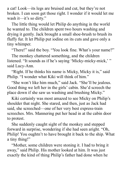a cat! Look—its legs are bruised and cut, but they're not broken. I can soon get those right. I wonder if it would let me wash it—it's so dirty."

The little thing would let Philip do anything in the world he wanted to. The children spent two hours washing and drying it gently. Jack brought a small shoe-brush to brush its fluffy fur. It let Philip put iodine on its cuts and gave only a tiny whimper.

"There!" said the boy. "You look fine. What's your name?"

The monkey chattered something, and the children listened. "It sounds as if he's saying 'Micky-micky-mick,' " said Lucy-Ann.

"Right. If he thinks his name is Micky, Micky it is," said Philip. "I wonder what Kiki will think of him."

"She won't like him much," said Jack. "She'll be jealous. Good thing we left her in the girls' cabin. She'd screech the place down if she saw us washing and brushing Micky."

Kiki certainly was most amazed to see Micky on Philip's shoulder that night. She stared, and then, just as Jack had said, she screeched—one of her very best express-train screeches. Mrs. Mannering put her head in at the cabin door to protest.

She suddenly caught sight of the monkey and stepped forward in surprise, wondering if she had seen aright. "Oh, Philip! You oughtn't to have brought it back to the ship. What a tiny thing!"

"Mother, some children were stoning it. I had to bring it away," said Philip. His mother looked at him. It was just exactly the kind of thing Philip's father had done when he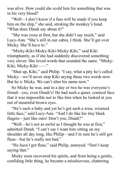was alive. How could she scold him for something that was in his very blood?

"Well—I don't know if a fuss will be made if you keep him on the ship," she said, stroking the monkey's head. "What does Dinah say about it?"

"She was cross at first, but she didn't say much," said Lucy-Ann. "She's still in our cabin, I think. She'll get over Micky. She'll have to."

"Micky-Kiki-Micky-Kiki-Micky-Kiki," said Kiki triumphantly, as if she had suddenly discovered something very clever. She loved words that sounded the same. "Micky-Kiki, Micky-Kiki-

"Shut up, Kiki," said Philip. "I say, what a pity he's called Micky—we'll never stop Kiki saying those two words now. But he *is* Micky. We can't alter his name now."

So Micky he was, and in a day or two he was everyone's friend—yes, even Dinah's! He had such a queer, comical face that it was impossible not to like him when he looked at you out of mournful brown eyes.

"He's such a baby and yet he's got such a wise, wizened little face," said Lucy-Ann. "And I do like his tiny black fingers—just like ours! Don't you, Dinah?"

"Well—he's not as awful as I thought he was at first," admitted Dinah. "I can't say I want him sitting on my shoulder all day long, like Philip—and I'm sure he's still got fleas—but he's really not bad."

"He *hasn't* got fleas," said Philip, annoyed. "Don't keep saying that."

Micky soon recovered his spirits, and from being a gentle, confiding little thing, he became a mischievous, chattering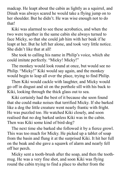madcap. He leapt about the cabin as lightly as a squirrel, and Dinah was always scared he would take a flying jump on to her shoulder. But he didn't. He was wise enough not to do that!

Kiki was alarmed to see these acrobatics, and when the two were together in the same cabin she always turned to face Micky, so that she could jab him with her beak if he leapt at her. But he left her alone, and took very little notice. She didn't like that at all!

She took to calling his name in Philip's voice, which she could imitate perfectly. "Micky! Micky!"

The monkey would look round at once, but would see no Philip. "Micky!" Kiki would say again, and the monkey would begin to leap all over the place, trying to find Philip.

Then Kiki would cackle with laughter, and Micky would go off in disgust and sit on the porthole sill with his back to Kiki, looking through the thick glass out to sea.

Kiki certainly had the best of it because she soon found that she could make noises that terrified Micky. If she barked like a dog the little creature went nearly frantic with fright. He was puzzled too. He watched Kiki closely, and soon realised that no dog barked unless Kiki was in the cabin. Then was Kiki some kind of bird-dog?

The next time she barked she followed it by a fierce growl. This was too much for Micky. He picked up a tablet of soap from the basin and flung it at the surprised Kiki. It hit her full on the beak and she gave a squawk of alarm and nearly fell off her perch.

Micky sent a tooth-brush after the soap, and then the toothmug. He was a very fine shot, and soon Kiki was flying round the cabin trying to find a place to shelter from the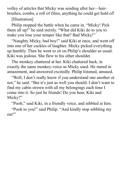volley of articles that Micky was sending after her—hairbrushes, combs, a roll of films, anything he could get hold of!

[Illustration]

Philip stopped the battle when he came in. "Micky! Pick them all up!" he said sternly. "What did Kiki do to you to make you lose your temper like that? Bad Micky!"

"Naughty Micky, bad boy!" said Kiki at once, and went off into one of her cackles of laughter. Micky picked everything up humbly. Then he went to sit on Philip's shoulder as usual. Kiki was jealous. She flew to his other shoulder.

The monkey chattered at her. Kiki chattered back, in exactly the same monkey-voice as Micky used. He stared in amazement, and answered excitedly. Philip listened, amused.

"Well, I don't really know if you understand one another or not," he said. "But it's just as well you should. I don't want to find my cabin strewn with all my belongings each time I come into it. So just be friends! Do you hear, Kiki and Micky?"

"Pooh," said Kiki, in a friendly voice, and nibbled at him.

"Pooh to you!" said Philip. "And kindly stop nibbling my ear!"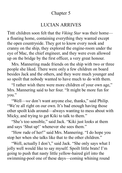# Chapter 5

# LUCIAN ARRIVES

THE children soon felt that the *Viking Star* was their home a floating home, containing everything they wanted except the open countryside. They got to know every nook and cranny on the ship, they explored the engine-room under the eye of Mac, the chief engineer, and they were even allowed up on the bridge by the first officer, a very great honour.

Mrs. Mannering made friends on the ship with two or three people she liked. There were only a few children on board besides Jack and the others, and they were much younger and so spoilt that nobody wanted to have much to do with them.

"I rather wish there were more children of your own age," Mrs. Mannering said to her four. "It might be more fun for you."

"Well—*we* don't want anyone else, thanks," said Philip. "We're all right on our own. It's bad enough having those other spoilt kids around—always wanting to mess about with Micky, and trying to get Kiki to talk to them."

"She's too sensible," said Jack. "Kiki just looks at them and says 'Shut up!' whenever she sees them."

"How rude of her!" said Mrs. Mannering. "I do hope you stop her when she talks like that to the other children."

"Well, actually I don't," said Jack. "She only says what I jolly well would like to say myself. Spoilt little brats! I'm going to push that nasty little yellow-haired girl into the swimming-pool one of these days—coming whining round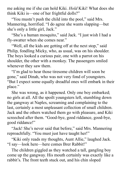me asking me if she can hold Kiki. *Hold* Kiki! What does she think Kiki is—one of her frightful dolls?"

"You mustn't push the child into the pool," said Mrs. Mannering, horrified. "I do agree she wants slapping—but she's only a little girl, Jack."

"She's a human mosquito," said Jack. "I just wish I had a fly-swatter when she comes near."

"Well, all the kids are getting off at the next stop," said Philip, fondling Micky, who, as usual, was on his shoulder. The boys looked a curious pair, one with a parrot on his shoulder, the other with a monkey. The passengers smiled whenever they saw them.

"I'm glad to hear those tiresome children will soon be gone," said Dinah, who was not very fond of youngsters. "But I expect some equally dreadful ones will embark in their place."

She was wrong, as it happened. Only one boy embarked; no girls at all. All the spoilt youngsters left, stumbling down the gangway at Naples, screaming and complaining to the last, certainly a most unpleasant collection of small children. Jack and the others watched them go with pleasure, and Kiki screeched after them. "Good-bye, good riddance, good-bye, good riddance!"

"Jack! She's never said that before," said Mrs. Mannering reproachfully. "You must just have taught her!"

"Kiki only reads my thoughts, Aunt Allie," laughed Jack. "I say—look here—here comes Brer Rabbit!"

The children giggled as they watched a tall, gangling boy come up the gangway. His mouth certainly was exactly like a rabbit's. The front teeth stuck out, and his chin sloped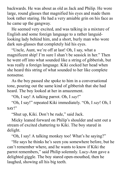backwards. He was about as old as Jack and Philip. He wore large, round glasses that magnified his eyes and made them look rather staring. He had a very amiable grin on his face as he came up the gangway.

He seemed very excited, and was talking in a mixture of English and some foreign language to a rather languidlooking lady behind him, and a short, burly man who wore dark sun-glasses that completely hid his eyes.

"Uncle, Aunt, we're off at last! Oh, I say, what a magnificent ship! I'm sure I shan't be seasick in her." Then he went off into what sounded like a string of gibberish, but was really a foreign language. Kiki cocked her head when she heard this string of what sounded to her like complete nonsense.

As the boy passed she spoke to him in a conversational tone, pouring out the same kind of gibberish that she had heard. The boy looked at her in amazement.

"Oh, I say! A talking parrot. Oh, I *say*!"

"Oh, I say!" repeated Kiki immediately. "Oh, I *say*! Oh, I SAY!"

"Shut up, Kiki. Don't be rude," said Jack.

Micky leaned forward on Philip's shoulder and sent out a stream of excited chattering to Kiki. The boy stared in delight.

"Oh, I say! A talking monkey too! What's he saying?"

"He says he thinks he's seen you somewhere before, but he can't remember where, and he wants to know if Kiki the parrot remembers," said Philip solemnly. Lucy-Ann gave a delighted giggle. The boy stared open-mouthed, then he laughed, showing all his big teeth.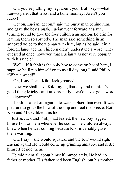"Oh, you're pulling my leg, aren't you! But I say—what fun—a parrot that talks, and a tame monkey! Aren't you lucky!"

"Get on, Lucian, get on," said the burly man behind him, and gave the boy a push. Lucian went forward at a run, turning round to give the four children an apologetic grin for leaving them so abruptly. The man said something in an annoyed voice to the woman with him, but as he said it in a foreign language the children didn't understand a word. They guessed at once, however, that Lucian was not very popular with his uncle!

"Well—if Rabbit is the only boy to come on board here, I suppose he'll pin himself on to us all day long," said Philip. "What a weed!"

"Oh, I say!" said Kiki. Jack groaned.

"Now we shall have Kiki saying that day and night. It's a good thing Micky can't talk properly—we'd never get a word in edgeways!"

The ship sailed off again into waters bluer than ever. It was pleasant to go to the bow of the ship and feel the breeze. Both Kiki and Micky liked this too.

Just as Jack and Philip had feared, the new boy tagged himself on to them whenever he could. The children always knew when he was coming because Kiki invariably gave them warning.

"Oh, I say!" she would squawk, and the four would sigh. Lucian again! He would come up grinning amiably, and settle himself beside them.

He told them all about himself immediately. He had no father or mother. His father had been English, but his mother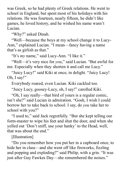was Greek, so he had plenty of Greek relations. He went to school in England, but spent most of his holidays with his relations. He was fourteen, nearly fifteen, he didn't like games, he loved history, and he wished his name wasn't Lucian.

"Why?" asked Dinah.

"Well—because the boys at my school change it to Lucy-Ann," explained Lucian. "I mean—fancy having a name that's as girlish as that."

"It's *my* name," said Lucy-Ann. "I like it."

"Well—it's very nice for *you*," said Lucian. "But awful for me. Especially when they shorten it and call me Lucy."

"Juicy Lucy!" said Kiki at once, in delight. "Juicy Lucy! Oh, I say!"

Everybody roared, even Lucian. Kiki cackled too.

"Juicy Lucy, goosey-Lucy, oh, I say!" carolled Kiki.

"Oh, I say really—that bird of yours is a regular comic, isn't she?" said Lucian in admiration. "Gosh, I wish I could borrow her to take back to school. I say, do *you* take her to school with you?"

"I used to," said Jack regretfully. "But she kept telling our form-master to wipe his feet and shut the door, and when she yelled out 'Don't sniff, use your hanky' to the Head, well, that was about the end."

[Illustration]

"Do you remember how you put her in a cupboard once, to hide her in class—and she went off like fireworks, fizzling and popping and exploding?" said Philip, with a grin. "It was just after Guy Fawkes Day—she remembered the noises."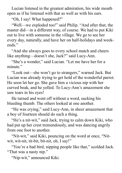Lucian listened in the greatest admiration, his wide mouth open as if he listened with that as well as with his ears.

"Oh, I say! What happened?"

"Well—we exploded too!" said Philip. "And after that, the master did—in a different way, of course. We had to put Kiki out to live with someone in the village. We go to see her every day, naturally, and have her on half-holidays and weekends"

"And she always goes to every school match and cheers like anything—doesn't she, Jack?" said Lucy-Ann.

"She's a wonder," said Lucian. "Let me have her for a minute."

"Look out—she won't go to strangers," warned Jack. But Lucian was already trying to get hold of the wonderful parrot. He soon let her go. She gave him a vicious nip with her curved beak, and he yelled. To Lucy-Ann's amazement she saw tears in his eyes!

He turned and went off without a word, sucking his bleeding thumb. The others looked at one another.

"He was crying," said Lucy-Ann, in sheer amazement that a boy of fourteen should do such a thing.

"He's a nit-wit," said Jack, trying to calm down Kiki, who had put up her crest tremendously, and was dancing angrily from one foot to another.

"Nit-wit," said Kiki, pouncing on the word at once, "Nitwit, wit-nit, tit-bit, bit-nit, oh, I say!"

"You're a bad bird, nipping people like that," scolded Jack. "That was a nasty nip."

"Nip-wit," announced Kiki.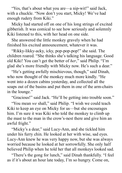"Yes, that's about what you are—a nip-wit!" said Jack, with a chuckle. "Now don't you start, Micky! We've had enough rudery from Kiki."

Micky had started off on one of his long strings of excited gibberish. It was comical to see how seriously and solemnly Kiki listened to this, with her head on one side.

She answered the little monkey gravely when he had finished his excited announcement, whatever it was.

"Rikky-likky-acky, icky, pop-pop-pop!" she said. The children roared. "She thinks she's talking his language. Good old Kiki! You can't get the better of *her*," said Philip. "I'm glad she's more friendly with Micky now. He's such a dear."

"He's getting awfully mischievous, though," said Dinah, who now thought of the monkey much more kindly. "He went into a dozen cabins yesterday, and collected all the soaps out of the basins and put them in one of the arm-chairs in the lounge."

"Gracious!" said Jack. "He'll be getting into trouble soon."

"You mean *we* shall," said Philip. "I wish we could teach Kiki to keep an eye on Micky for us—but she encourages him. I'm sure it was Kiki who told the monkey to climb up the mast to the man in the crow's-nest there and give him an awful fright."

"Micky's a dear," said Lucy-Ann, and she tickled him under his furry chin. He looked at her with wise, sad eyes. Lucy-Ann knew he was very happy now, but she was always worried because he looked at her sorrowfully. She only half believed Philip when he told her that all monkeys looked sad.

"There's the gong for lunch," said Dinah thankfully. "I feel as if it's about an hour late today, I'm so hungry. Come on,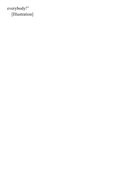everybody!" [Illustration]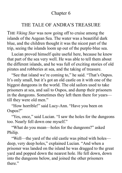## Chapter 6

#### THE TALE OF ANDRA'S TREASURE

THE *Viking Star* was now going off to cruise among the islands of the Aegean Sea. The water was a beautiful dark blue, and the children thought it was the nicest part of the trip, seeing the islands loom up out of the purple-blue sea.

Lucian proved himself quite useful here, because he knew that part of the sea very well. He was able to tell them about the different islands, and he was full of exciting stories of old pirates and robberies at sea, and the taking of treasure.

"See that island we're coming to," he said. "That's Oupos. It's only small, but it's got an old castle on it with one of the biggest dungeons in the world. The old sailors used to take prisoners at sea, and sail to Oupos, and dump their prisoners in the dungeons. Sometimes they left them there for years till they were old men."

"How horrible!" said Lucy-Ann. "Have you been on Oupos?"

"Yes, once," said Lucian. "I saw the holes for the dungeons" too. Nearly fell down one myself."

"What do you mean—holes for the dungeons?" asked Philip.

"Well—the yard of the old castle was pitted with holes deep, very deep holes," explained Lucian. "And when a prisoner was landed on the island he was dragged to the great yard and popped down the nearest hole. He fell down, down into the dungeons below, and joined the other prisoners there."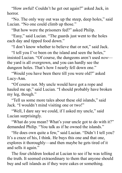"How awful! Couldn't he get out again?" asked Jack, in horror.

"No. The only way out was up the steep, deep holes," said Lucian. "No one could climb up those."

"But how were the prisoners fed?" asked Philip.

"Easy," said Lucian. "The guards just went to the holes each day and tipped food down."

"I don't know whether to believe that or not," said Jack.

"I tell you I've been on the island and seen the holes," insisted Lucian. "Of course, the dungeons aren't used *now* the yard is all overgrown, and you can hardly see the dungeon holes. That's how I nearly fell down one."

"Would you have been there till you were old?" asked Lucy-Ann.

"Of course not. My uncle would have got a rope and hauled me up," said Lucian. "I should probably have broken my leg, though."

"Tell us some more tales about these old islands," said Jack. "I wouldn't mind visiting one or two!"

"Well, I dare say we could, if I asked my uncle," said Lucian surprisingly.

"What do you mean? What's your uncle got to do with it?" demanded Philip. "You talk as if he owned the islands."

"He does own quite a few," said Lucian. "Didn't I tell you? It's a craze of his, I think. He buys this one and that one, explores it thoroughly—and then maybe he gets tired of it and sells it again."

The four children looked at Lucian to see if he was telling the truth. It seemed extraordinary to them that anyone should buy and sell islands as if they were cakes or something.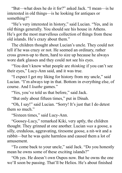"But—what does he do it for?" asked Jack. "I mean—is he interested in old things—is he looking for antiques or something?"

"He's very interested in history," said Lucian. "Yes, and in old things generally. You should see his house in Athens. He's got the most marvellous collection of things from these old islands. He's crazy about them."

The children thought about Lucian's uncle. They could not tell if he was crazy or not. He seemed an ordinary, rather cross grown-up to them, hard to size up because he always wore dark glasses and they could not see his eyes.

"You don't know what people are *thinking* if you can't see their eyes," Lucy-Ann said, and it was true.

"I expect I get my liking for history from my uncle," said Lucian. "I'm always top in that. Bottom in everything else, of course. And I *loathe* games."

"Yes, you've told us that before," said Jack.

"But only about fifteen times," put in Dinah.

"Oh, I say!" said Lucian. "Sorry! It's just that I do detest them so much."

"Sixteen times," said Lucy-Ann.

"Goosey-Lucy," remarked Kiki, very aptly, the children thought. They grinned at one another. Lucian *was* a goose, a silly, credulous, aggravating, tiresome goose, a nit-wit and a rabbit—but he was quite harmless and caused them a lot of amusement.

"To come back to your uncle," said Jack. "Do you honestly mean he owns some of these exciting islands?"

"Oh yes. He doesn't own Oupos now. But he owns the one we'll soon be passing. That'll be Helios. He's about finished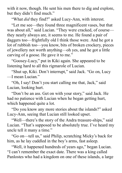with it now, though. He sent his men there to dig and explore, but they didn't find much."

"What *did* they find?" asked Lucy-Ann, with interest.

"Let me see—they found three magnificent vases, but that was about all," said Lucian. "They were cracked, of course they nearly always are, it seems to me. He found a pair of daggers too—frightfully old I think those were. And he got a lot of rubbish too—you know, bits of broken crockery, pieces of jewellery not worth anything—oh yes, and he got a little carving of a goose. He gave it to me."

"Goosey-Lucy," put in Kiki again. She appeared to be listening hard to all this rigmarole of Lucian.

"Shut up, Kiki. Don't interrupt," said Jack. "Go on, Lucy —I mean Lucian."

"Oh, I say! Don't you start calling me that, Jack," said Lucian, looking hurt.

"Don't be an ass. Get on with your story," said Jack. He had no patience with Lucian when he began getting hurt, which happened quite a lot.

"Do you know any more stories about the islands?" asked Lucy-Ann, seeing that Lucian still looked upset.

"Well—there's the story of the Andra treasure-ships," said Lucian. "That's supposed to be absolutely true. I've heard my uncle tell it many a time."

"Go on—tell us," said Philip, scratching Micky's back for him, as he lay cuddled in the boy's arms, fast asleep.

"Well, it happened hundreds of years ago," began Lucian. "I can't remember the exact date. There was a king called Panlostes who had a kingdom on one of these islands, a large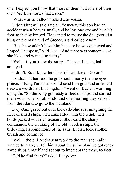one. I expect you know that most of them had rulers of their own. Well, Panlostes had a son."

"What was he called?" asked Lucy-Ann.

"I don't know," said Lucian. "Anyway this son had an accident when he was small, and he lost one eye and hurt his foot so that he limped. He wanted to marry the daughter of a king on the mainland of Greece, a girl called Andra."

"But she wouldn't have him because he was one-eyed and limped, I suppose," said Jack. "And there was someone else she liked and wanted to marry."

"Well—if you know the story ..." began Lucian, half annoyed.

"I don't. But I know lots like it!" said Jack. "Go on."

"Andra's father said the girl should marry the one-eyed prince, if King Panlostes would send him gold and arms and treasure worth half his kingdom," went on Lucian, warming up again. "So the King got ready a fleet of ships and stuffed them with riches of all kinds, and one morning they set sail from the island to go to the mainland."

Lucy-Ann gazed out over the dark-blue sea, imagining the fleet of small ships, their sails filled with the wind, their holds packed with rich treasure. She heard the sharp commands, the creaking of the old wooden ships, the billowing, flapping noise of the sails. Lucian took another breath and continued.

"Well—the girl Andra sent word to the man she really wanted to marry to tell him about the ships. And he got ready some ships himself and set out to intercept the treasure-fleet."

"Did he find them?" asked Lucy-Ann.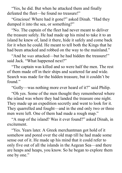"Yes, he did. But when he attacked them and finally defeated the fleet—he found no treasure!"

"Gracious! Where had it gone?" asked Dinah. "Had they dumped it into the sea, or something?"

"No. The captain of the fleet had never meant to deliver the treasure safely. He had made up his mind to take it to an island he knew of, land it there, hide it safely and come back for it when he could. He meant to tell both the Kings that he had been attacked and robbed on the way to the mainland."

"And he *was* attacked—but he had hidden the treasure!" said Jack. "What happened next?"

"The captain was killed and so were half the men. The rest of them made off in their ships and scattered far and wide. Search was made for the hidden treasure, but it couldn't be found"

"Golly—was nothing more ever heard of it?" said Philip.

"Oh yes. Some of the men thought they remembered where the island was where they had landed the treasure one night. They made up an expedition secretly and went to look for it. They quarrelled and fought—and in the end only two or three men were left. One of them had made a rough map."

"A map of the island? Was it ever found?" asked Dinah, in excitement.

"Yes. Years later. A Greek merchantman got hold of it somehow and pored over the old map till he had made some sense out of it. He made up his mind that it could refer to only five out of all the islands in the Aegean Sea—and there are heaps and heaps, you know. So he began to explore them one by one."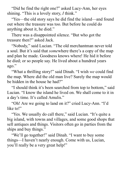"Did he find the right one?" asked Lucy-Ann, her eyes shining. "This is a lovely story, *I* think."

"Yes—the old story says he did find the island—and found out where the treasure was too. But before he could do anything about it, he died."

There was a disappointed silence. "But who got the treasure then?" asked Jack.

"Nobody," said Lucian. "The old merchantman never told a soul. But it's said that *some*where there's a copy of the map and plan he made. Goodness knows where! He hid it before he died; or so people say. He lived about a hundred years ago."

"What a thrilling story!" said Dinah. "I wish *we* could find the map. Where did the old man live? Surely the map would be hidden in the house he had?"

"I should think it's been searched from top to bottom," said Lucian. "I know the island he lived on. We shall come to it in a day's time. It's called Amulis."

"Oh! Are we going to land on it?" cried Lucy-Ann. "I'd like to!"

"Yes. We usually do call there," said Lucian. "It's quite a big island, with towns and villages, and some good shops that sell antiques and things. Visitors often go in parties from the ships and buy things."

"We'll go together!" said Dinah. "I want to buy some things—I haven't nearly enough. Come with us, Lucian, you'll really be a very great help!"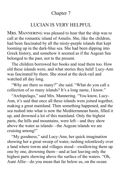## Chapter 7

## LUCIAN IS VERY HELPFUL

MRS. MANNERING was pleased to hear that the ship was to call at the romantic island of Amulis. She, like the children, had been fascinated by all the misty-purple islands that kept looming up in the dark-blue sea. She had been dipping into Greek history, and somehow it seemed as if the Aegean Sea belonged to the past, not to the present.

The children borrowed her books and read them too. How old these islands were, and what stories they held! Lucy-Ann was fascinated by them. She stood at the deck-rail and watched all day long.

"Why are there so many?" she said. "What do you call a collection of so many islands? It's a long name, I know."

"Archipelago," said Mrs. Mannering. "You know, Lucy-Ann, it's said that once all these islands were joined together, making a great mainland. Then something happened, and the sea rushed into what is now the Mediterranean basin, filled it up, and drowned a lot of this mainland. Only the highest parts, the hills and mountains, were left—and they show above the water as islands—the Aegean islands we are cruising among!"

"My goodness," said Lucy-Ann, her quick imagination showing her a great sweep of water, rushing relentlessly over a land where towns and villages stood—swallowing them up one by one, drowning them—and at last leaving only the highest parts showing above the surface of the waters. "Oh, Aunt Allie—do you mean that far below us, on the ocean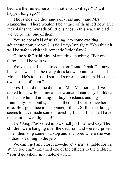bed, are the ruined remains of cities and villages? Did it happen long ago?"

"Thousands and thousands of years ago," said Mrs. Mannering. "There wouldn't be a trace of them left now. But it explains the myriads of little islands in this sea. I'm glad we are to visit one of them."

"You're not afraid of us falling into some exciting adventure now, are you?" said Lucy-Ann slyly. "You think it will be safe to visit this romantic little island?"

"Quite safe," said Mrs. Mannering, laughing. "For one thing I shall be with you."

"We've asked Lucian to come too," said Dinah. "I know he's a nit-wit—but he really does know about these islands, Mother. He's told us all sorts of stories about them. His uncle owns some of them."

"Yes, I heard that he did," said Mrs. Mannering. "I've talked to his wife—quite a nice woman. I can't say I'd like a husband who did nothing but buy up islands and dig frantically for months, then sell them and start somewhere else. He's got a bee in his bonnet, I think. Still, he certainly seems to have made some interesting finds—finds that have made him a wealthy man!"

The *Viking Star* sailed into a small port the next day. The children were hanging over the deck-rail and were surprised when their ship came to a stop and anchored where she was, without steaming to the jetty.

"We can't get any closer in—the jetty isn't suitable for us. We're too big," explained one of the officers to the children. "You'll go ashore in a motor-launch."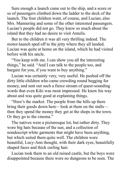Sure enough a launch came out to the ship, and a score or so of passengers climbed down the ladder to the deck of the launch. The four children went, of course, and Lucian, also Mrs. Mannering and some of the other interested passengers. Lucian's people did not go. They knew so much about the island that they had no desire to visit Amulis.

But to the children it was all very thrilling indeed. The motor-launch sped off to the jetty where they all landed. Lucian was quite at home on the island, which he had visited before with his uncle.

"You keep with me. I can show you all the interesting things," he said. "And I can talk to the people too, and bargain for you, if you want to buy anything."

Lucian was certainly very, very useful. He pushed off the dirty little children who came crowding round begging for money, and sent out such a fierce stream of queer-sounding words that even Kiki was most impressed. He knew his way about and was quite good at explaining things.

"Here's the market. The people from the hills up there bring their goods down here—look at them on the stalls then they spend the money they get at the shops in the town. Or they go to the cinema."

The natives were a picturesque lot, but rather dirty. They wore big hats because of the sun, and a collection of nondescript white garments that might have been anything, but which suited them quite well. The children were beautiful, Lucy-Ann thought, with their dark eyes, beautifully shaped faces and thick curling hair.

Lucian took them to an old ruined castle, but the boys were disappointed because there were no dungeons to be seen. The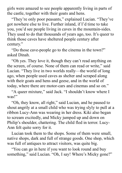girls were amazed to see people apparently living in parts of the castle, together with their goats and hens.

"They're only poor peasants," explained Lucian. "They've got nowhere else to live. Further inland, if I'd time to take you, you'd see people living in caves in the mountain-sides. They used to do that thousands of years ago, too. It's queer to think those caves have sheltered people century after century."

"Do those cave-people go to the cinema in the town?" asked Dinah.

"Oh yes. They love it, though they can't read anything on the screen, of course. None of them can read or write," said Lucian. "They live in two worlds really—the world of long ago, when people used caves as shelter and scraped along with their goats and hens and geese, and in the world of today, where there are motor-cars and cinemas and so on."

"A queer mixture," said Jack. "I shouldn't know where I was!"

"Oh, they know, all right," said Lucian, and he paused to shout angrily at a small child who was trying slyly to pull at a ribbon Lucy-Ann was wearing in her dress. Kiki also began to scream excitedly, and Micky jumped up and down on Philip's shoulder, chattering. The child fled in terror. Lucy-Ann felt quite sorry for it.

Lucian took them to the shops. Some of them were small, native shops, dark and full of strange goods. One shop, which was full of antiques to attract visitors, was quite big.

"You can go in here if you want to look round and buy something," said Lucian. "Oh, I say! Where's Micky gone?"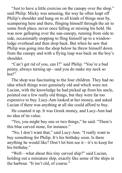"Just to have a little exercise on the canopy over the shop," said Philip. Micky was amusing, the way he often leapt off Philip's shoulder and hung on to all kinds of things near by, scampering here and there, flinging himself through the air to some fresh place, never once falling or missing his hold. He was now galloping over the sun-canopy, running from side to side, occasionally stopping to fling himself up to a windowledge overhead and then drop back. But when he saw that Philip was going into the shop below he threw himself down from the canopy and with a flying leap was back on the boy's shoulder.

"Can't get rid of you, can I?" said Philip. "You're a bad penny, always turning up—and you do make my neck so hot!"

The shop was fascinating to the four children. They had no idea which things were genuinely old and which were not. Lucian, with the knowledge he had picked up from his uncle, pointed out a few really old things, but they were far too expensive to buy. Lucy-Ann looked at her money, and asked Lucian if there was anything at all she could afford to buy.

He counted it up. It was Greek money, and Lucy-Ann had no idea of its value.

"Yes, you might buy one or two things," he said. "There's this blue carved stone, for instance."

"No, I don't want that," said Lucy-Ann. "I really want to buy something for Philip. It's his birthday soon. Is there anything he would like? Don't let him see it—it's to keep for his birthday."

"Well—what about this tiny carved ship?" said Lucian, holding out a miniature ship, exactly like some of the ships in the harbour. "It isn't old, of course."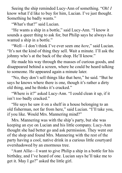Seeing the ship reminded Lucy-Ann of something. "Oh! *I* know what I'd like to buy for him, Lucian. I've just thought. Something he badly wants."

"What's that?" said Lucian.

"He wants a ship in a bottle," said Lucy-Ann. "I know it sounds a queer thing to ask for, but Philip says he always *has* wanted a ship in a bottle."

"Well—I don't think I've ever seen one *here*," said Lucian. "It's not the kind of thing they sell. Wait a minute. I'll ask the johnny who's at the back of the shop. He'll know."

He made his way through the masses of curious goods, and disappeared behind a screen, where he could be heard talking to someone. He appeared again a minute later.

"No, they don't sell things like that here," he said. "But he says he knows where there is one, though it's rather a dirty old thing, and he thinks it's cracked."

"Where is it?" asked Lucy-Ann. "I could clean it up, if it isn't *too* badly cracked."

"He says he saw it on a shelf in a house belonging to an old fisherman, not far from here," said Lucian. "I'll take you, if you like. Would Mrs. Mannering mind?"

Mrs. Mannering was with the ship's party, but she was keeping an eye on Lucian and his little company. Lucy-Ann thought she had better go and ask permission. They went out of the shop and found Mrs. Mannering with the rest of the party having a cool, native drink in a curious little courtyard overshadowed by an enormous tree.

"Aunt Allie—I want to give Philip a ship in a bottle for his birthday, and I've heard of one. Lucian says he'll take me to get it. May I go?" asked the little girl.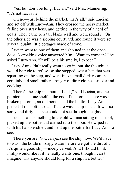"Yes, but don't be long, Lucian," said Mrs. Mannering. "It's not far, is it?"

"Oh no—just behind the market, that's all," said Lucian, and set off with Lucy-Ann. They crossed the noisy market, falling over stray hens, and getting in the way of a herd of goats. They came to a tall blank wall and went round it. On the other side was a sloping courtyard, and round it were set several quaint little cottages made of stone.

Lucian went to one of them and shouted in at the open door. A croaking voice answered him. "Want to come in?" he asked Lucy-Ann. "It will be a bit smelly, I expect."

Lucy-Ann didn't really want to go in, but she thought it would be rude to refuse, so she stepped over a hen that was squatting on the step, and went into a small dark room that certainly did smell rather strongly of dirty clothes, smoke and cooking.

"There's the ship in a bottle. Look," said Lucian, and he pointed to a stone shelf at the end of the room. There was a broken pot on it, an old bone—and the bottle! Lucy-Ann peered at the bottle to see if there was a ship inside. It was so sooty and dirty that she could not see through the glass.

Lucian said something to the old woman sitting on a stool, picked up the bottle and carried it to the door. He wiped it with his handkerchief, and held up the bottle for Lucy-Ann to see.

"There you are. You can *just* see the ship now. We'd have to wash the bottle in soapy water before we got the dirt off. It's quite a good ship—nicely carved. And I should think Philip would like it if he really wants one, though I can't imagine why anyone should long for a ship in a bottle."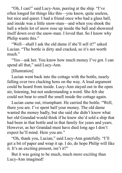"Oh, I can!" said Lucy-Ann, peering at the ship. "I've often longed for things like this—you know, quite useless, but nice and queer. I had a friend once who had a glass ball, and inside was a little snow-man—and when you shook the ball a whole lot of snow rose up inside the ball and showered itself down over the snow-man. I loved that. So I know why Philip wants this."

"Well—shall I ask the old dame if she'll sell it?" asked Lucian. "The bottle is dirty and cracked, so it's not worth much."

"Yes—ask her. You know how much money I've got. I can spend all that," said Lucy-Ann.

[Illustration]

Lucian went back into the cottage with the bottle, nearly falling over two clucking hens on the way. A loud argument could be heard from inside. Lucy-Ann stayed out in the open air, listening, but not understanding a word. She felt she could not bear to smell the smell inside the cottage again.

Lucian came out, triumphant. He carried the bottle. "Well, there you are. I've spent half your money. The old dame wanted the money badly, but she said she didn't know what her old Grandad would think if he knew she'd sold a ship that had been in that bottle and in that family for years and years. However, as her Grandad must have died long ago I don't expect he'll mind. Here you are."

"Oh, thank you, Lucian," said Lucy-Ann gratefully. "I'll get a bit of paper and wrap it up. I do, do hope Philip will like it. It's an exciting present, isn't it?"

But it was going to be much, much more exciting than Lucy-Ann imagined!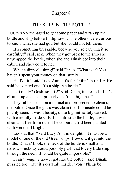#### Chapter 8

#### THE SHIP IN THE BOTTLE

LUCY-ANN managed to get some paper and wrap up the bottle and ship before Philip saw it. The others were curious to know what she had got, but she would not tell them.

"It's something breakable, because you're carrying it so carefully!" said Jack. When they got back to the ship she unwrapped the bottle, when she and Dinah got into their cabin, and showed it to her.

"What a dirty old thing!" said Dinah. "What is it? You haven't spent your money on that, surely!"

"Half of it," said Lucy-Ann. "It's for Philip's birthday. He said he wanted one. It's a ship in a bottle."

"Is it really? Gosh, so it is!" said Dinah, interested. "Let's clean it up and see it properly. Isn't it a big one?"

They rubbed soap on a flannel and proceeded to clean up the bottle. Once the glass was clean the ship inside could be plainly seen. It was a beauty, quite big, intricately carved, with carefully made sails. In contrast to the bottle, it was clean and free from dust. The colours it had been painted with were still bright.

"Look at that!" said Lucy-Ann in delight. "It must be a model of one of the old Greek ships. How did it get into the bottle, Dinah? Look, the neck of the bottle is small and narrow—nobody could possibly push that lovely little ship through the neck. It would be quite impossible."

"I can't *imagine* how it got into the bottle," said Dinah, puzzled too. "But it's certainly inside. Won't Philip be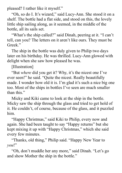pleased? I rather like it myself."

"Oh, so do I. It's wizard," said Lucy-Ann. She stood it on a shelf. The bottle had a flat side, and stood on this, the lovely little ship sailing along, as it seemed, in the middle of the bottle, all its sails set.

"What's the ship called?" said Dinah, peering at it. "I can't tell, can you? The letters on it aren't like ours. They must be Greek<sup>"</sup>

The ship in the bottle was duly given to Philip two days later on his birthday. He was thrilled. Lucy-Ann glowed with delight when she saw how pleased he was.

[Illustration]

"But *where* did you get it? Why, it's the nicest one I've ever seen!" he said. "Quite the nicest. Really beautifully made. I wonder how old it is. I'm glad it's such a nice big one too. Most of the ships in bottles I've seen are much smaller than this."

Micky and Kiki came to look at the ship in the bottle. Micky saw the ship through the glass and tried to get hold of it. He couldn't, of course, because of the glass, and it puzzled him.

"Happy Christmas," said Kiki to Philip, every now and again. She had been taught to say "Happy returns" but she kept mixing it up with "Happy Christmas," which she said every few minutes.

"Thanks, old thing," Philip said. "Happy New Year to *you*!"

"Oh, don't muddle her any more," said Dinah. "Let's go and show Mother the ship in the bottle."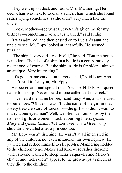They went up on deck and found Mrs. Mannering. Her deck-chair was next to Lucian's aunt's chair, which she found rather trying sometimes, as she didn't very much like the uncle.

"Look, Mother—see what Lucy-Ann's given me for my birthday—something I've always wanted," said Philip.

It was admired, and then passed on to Lucian's aunt and uncle to see. Mr. Eppy looked at it carefully. He seemed puzzled.

"The ship is very old—really old," he said. "But the bottle is modern. The idea of a ship in a bottle is a comparatively recent one, of course. But the ship inside is far older—almost an antique! Very interesting."

"It's got a name carved on it, very small," said Lucy-Ann. "I can't read it. Can you, Mr. Eppy?"

He peered at it and spelt it out. "Yes—A-N-D-R-A—queer name for a ship! Never heard of one called that in Greek."

"I've heard the name before," said Lucy-Ann, and she tried to remember. "Oh yes—wasn't it the name of the girl in that lovely treasure story of Lucian's—the girl who didn't want to marry a one-eyed man? Well, we often call our ships by the names of girls or women—look at our big liners, *Queen Mary* and *Queen Elizabeth*. I don't see why a Greek ship shouldn't be called after a princess too."

Mr. Eppy wasn't listening. He wasn't at all interested in any of the children, not even in Lucian, his own nephew. He yawned and settled himself to sleep. Mrs. Mannering nodded to the children to go. Micky and Kiki were rather tiresome when anyone wanted to sleep. Kiki's squawks and Micky's chatter and tricks didn't appeal to the grown-ups as much as they did to the children.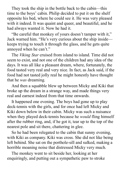They took the ship in the bottle back to the cabin—this time to the boys' cabin. Philip decided to put it on the shelf opposite his bed, where he could see it. He was very pleased with it indeed. It was quaint and queer, and beautiful, and he had always wanted it. Now he had it.

"Be careful that monkey of yours doesn't tamper with it," Jack warned him. "He's very curious about the ship inside keeps trying to touch it through the glass, and he gets quite annoyed when he can't."

The *Viking Star* cruised from island to island. Time did not seem to exist, and not one of the children had any idea of the days. It was all like a pleasant dream, where, fortunately, the food tasted very real and very nice. In fact, as Jack said, if the food had not tasted jolly real he might honestly have thought that he *was* dreaming.

And then a squabble blew up between Micky and Kiki that broke up the dream in a strange way, and made things very real and earnest indeed from that time onwards.

It happened one evening. The boys had gone up to play deck-tennis with the girls, and for once had left Micky and Kiki down below in their cabin. Micky was such a nuisance when they played deck-tennis because he *would* fling himself after the rubber ring, and, if he got it, tear up to the top of the nearest pole and sit there, chattering in glee.

So he had been relegated to the cabin that sunny evening, with Kiki as company. Kiki was cross. She did not like being left behind. She sat on the porthole-sill and sulked, making a horrible moaning noise that distressed Micky very much.

The monkey went to sit beside her, looking at her enquiringly, and putting out a sympathetic paw to stroke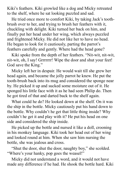Kiki's feathers. Kiki growled like a dog and Micky retreated to the shelf, where he sat looking puzzled and sad.

He tried once more to comfort Kiki, by taking Jack's toothbrush over to her, and trying to brush her feathers with it, chuckling with delight. Kiki turned her back on him, and finally put her head under her wing, which always puzzled and frightened Micky. He did not like her to have no head. He began to look for it cautiously, parting the parrot's feathers carefully and gently. Where had the head gone?

Kiki spoke from the depth of her feathers. "Nit-wit, nit-wit, nit-wit, oh, I say! Grrrrrrr! Wipe the door and shut your feet! God save the King."

Micky left her in despair. He would wait till she grew her head again, and became the jolly parrot he knew. He put the tooth-brush back into its mug and considered the sponge near by. He picked it up and sucked some moisture out of it. He sponged his little face with it as he had seen Philip do. Then he got tired of that and darted back to the shelf again.

What could he do? He looked down at the shelf. On it was the ship in the bottle. Micky cautiously put his hand down to the bottle. Why couldn't he get that little thing inside? Why couldn't he get it and play with it? He put his head on one side and considered the ship inside.

He picked up the bottle and nursed it like a doll, crooning in his monkey language. Kiki took her head out of her wing and looked round at him. When she saw him nursing the bottle, she was jealous and cross.

"Shut the door, shut the door, naughty boy," she scolded. "Where's your hanky, pop goes the weasel!"

Micky did not understand a word, and it would not have made any difference if he had. He shook the bottle hard. Kiki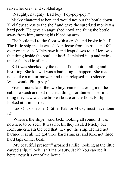raised her crest and scolded again.

"Naughty, naughty! Bad boy! Pop-pop-pop!"

Micky chattered at her, and would not put the bottle down. Kiki flew across to the shelf and gave the surprised monkey a hard peck. He gave an anguished howl and flung the bottle away from him, nursing his bleeding arm.

The bottle fell to the floor with a crash, and broke in half. The little ship inside was shaken loose from its base and fell over on its side. Micky saw it and leapt down to it. Here was that thing inside the bottle at last! He picked it up and retired under the bed in silence.

Kiki was shocked by the noise of the bottle falling and breaking. She knew it was a bad thing to happen. She made a noise like a motor-mower, and then relapsed into silence. What would Philip say?

Five minutes later the two boys came clattering into the cabin to wash and put on clean things for dinner. The first thing they saw was the broken bottle on the floor. Philip looked at it in horror.

"Look! It's smashed! Either Kiki or Micky must have done it!"

"Where's the ship?" said Jack, looking all round. It was nowhere to be seen. It was not till they hauled Micky out from underneath the bed that they got the ship. He had not harmed it at all. He got three hard smacks, and Kiki got three hard taps on her beak.

"My beautiful present!" groaned Philip, looking at the little carved ship. "Look, isn't it a beauty, Jack? You can see it better now it's out of the bottle."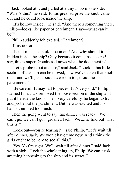Jack looked at it and pulled at a tiny knob in one side. "What's this?" he said. To his great surprise the knob came out and he could look inside the ship.

"It's hollow inside," he said. "And there's something there, Philip—looks like paper or parchment. I say—what can it be?"

Philip suddenly felt excited. "Parchment?

[Illustration]

Then it must be an old document! And why should it be hidden inside the ship? Only because it contains a secret! I say, this is super. Goodness knows what the document is!"

"Let's probe it out and see," said Jack. "Look—this little section of the ship can be moved, now we've taken that knob out—and we'll just about have room to get out the parchment."

"Be careful! It may fall to pieces if it's very old," Philip warned him. Jack removed the loose section of the ship and put it beside the knob. Then, very carefully, he began to try and probe out the parchment. But he was excited and his hands trembled too much.

Then the gong went to say that dinner was ready. "We can't go, we can't go," groaned Jack. "We *must* find out what this is!"

"Look out—you're tearing it," said Philip. "Let's wait till after dinner, Jack. We won't have time now. And I think the girls ought to be here to see all this."

"Yes. You're right. We'll wait till after dinner," said Jack, with a sigh. "Lock the whole thing up, Philip. We can't risk anything happening to the ship and its secret!"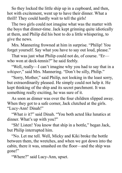So they locked the little ship up in a cupboard, and then, hot with excitement, went up to have their dinner. What a thrill! They could hardly wait to tell the girls!

The two girls could not imagine what was the matter with the boys that dinner-time. Jack kept grinning quite idiotically at them, and Philip did his best to do a little whispering, to give the news.

Mrs. Mannering frowned at him in surprise. "Philip! You forget yourself. Say what you have to say out loud, please."

That was just what Philip could not do, of course. "Er who won at deck-tennis?" he said feebly.

"Well, really—I can't imagine why you had to say that in a *whisper*," said Mrs. Mannering. "Don't be silly, Philip."

"Sorry, Mother," said Philip, not looking in the least sorry, but extraordinarily pleased. He simply could not help it. He kept thinking of the ship and its secret parchment. It was something really exciting, he was sure of it.

As soon as dinner was over the four children slipped away. When they got to a safe corner, Jack clutched at the girls. "Lucy-Ann! Dinah!"

"What *is* it?" said Dinah. "You both acted like lunatics at dinner. What's up with you?"

"Sh! Listen! You know that ship in a bottle," began Jack, but Philip interrupted him.

"No. Let me tell. Well, Micky and Kiki broke the bottle between them, the wretches, and when we got down into the cabin, there it was, smashed on the floor—and the ship was gone!"

"Where?" said Lucy-Ann, upset.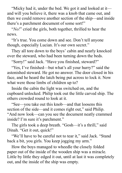"Micky had it, under the bed. We got it and looked at it and will you believe it, there was a knob that came out, and then we could remove another section of the ship—and inside there's a parchment document of some sort!"

"*No!*" cried the girls, both together, thrilled to hear the news.

"It's true. You come down and see. Don't tell anyone though, especially Lucian. It's our own secret."

They all tore down to the boys' cabin and nearly knocked over the steward, who had been turning down the beds.

"Sorry!" said Jack. "Have you finished, steward?"

"Yes, I've finished—but what's all your hurry?" said the astonished steward. He got no answer. The door closed in his face, and he heard the latch being put across to lock it. Now what were those limbs of children up to?

Inside the cabin the light was switched on, and the cupboard unlocked. Philip took out the little carved ship. The others crowded round to look at it.

"See—you take out this knob—and that loosens this section of the side—and it comes right out," said Philip. "And now look—can you see the document neatly crammed inside? I'm sure it's parchment."

The girls took a deep breath. "Gosh—it's a thrill," said Dinah. "Get it out, quick!"

"We'll have to be careful not to tear it," said Jack. "Stand back a bit, you girls. You keep jogging my arm."

How the boys managed to wheedle the closely folded paper out of the inside of the wooden ship was a miracle. Little by little they edged it out, until at last it was completely out, and the inside of the ship was empty.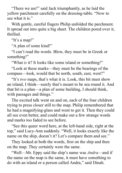"There we are!" said Jack triumphantly, as he laid the yellow parchment carefully on the dressing-table. "Now to see what it is."

With gentle, careful fingers Philip unfolded the parchment. It spread out into quite a big sheet. The children pored over it, thrilled.

"It's a map!"

"A plan of some kind!"

"I can't read the words. Blow, they must be in Greek or something!"

"What *is* it? It looks like some island or something!"

"Look at these marks—they must be the bearings of the compass—look, would that be north, south, east, west?"

"It's *two* maps, that's what it is. Look, this bit must show an island, I think—surely that's meant to be sea round it. And that bit is a plan—a plan of some building, I should think, with passages and things."

The excited talk went on and on, each of the four children trying to press closer still to the map. Philip remembered that he had a magnifying-glass and went to get it. Then they could all see even better, and could make out a few strange words and marks too faded to see before.

"See this queer word here, at the left-hand side, right at the top," said Lucy-Ann suddenly. "Well, it looks exactly like the name on the ship, doesn't it? Let's compare them and see."

They looked at both the words, first on the ship and then on the map. They certainly were the same.

"Well—Mr. Eppy said the ship's name was *Andra*—and if the name on the map is the same, it must have something to do with an island or a person called Andra," said Dinah.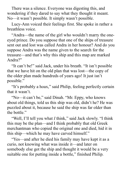There was a silence. Everyone was digesting this, and wondering if they dared to say what they thought it meant. No—it wasn't possible. It simply wasn't possible.

Lucy-Ann voiced their feelings first. She spoke in rather a breathless voice.

"Andra—the name of the girl who wouldn't marry the oneeyed prince. Do you suppose that one of the ships of treasure sent out and lost was called Andra in her honour? And do you suppose Andra was the name given to the search for the treasure—and that's why this ship and this map are marked Andra?"

"It can't be!" said Jack, under his breath. "It isn't possible that we have hit on the old plan that was lost—the copy of the older plan made hundreds of years ago! It just isn't possible."

"It's probably a hoax," said Philip, feeling perfectly certain that it wasn't.

"No—it can't be," said Dinah. "Mr. Eppy, who knows about old things, told us this ship was old, didn't he? He was puzzled about it, because he said the ship was far older than the bottle."

"Well, I'll tell you what *I* think," said Jack slowly. "I think this may be the plan—and I think probably that old Greek merchantman who copied the original one and died, hid it in this ship—which he may have carved himself."

"Yes—and after he died his family may have kept it as a curio, not knowing what was inside it—and later on somebody else got the ship and thought it would be a very suitable one for putting inside a bottle," finished Philip.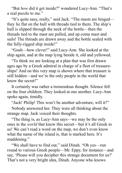"But *how* did it get inside?" wondered Lucy-Ann. "That's a real puzzle to me."

"It's quite easy, really," said Jack. "The masts are hinged they lie flat on the hull with threads tied to them. The ship's hull is slipped through the neck of the bottle—then the threads tied to the mast are pulled, and up come mast and sails! The threads are drawn away and the bottle sealed with the fully-rigged ship inside!"

"Gosh—how clever!" said Lucy-Ann. She looked at the ship again, and at the map lying beside it, old and yellowed.

"To think we are looking at a plan that was first drawn ages ago by a Greek admiral in charge of a fleet of treasureships! And on this very map is shown where that treasure is still hidden—and we're the only people in the world that know the secret!"

It certainly was rather a tremendous thought. Silence fell on the four children. They looked at one another. Lucy-Ann spoke again, timidly.

"Jack! Philip! This won't be another adventure, will it?"

Nobody answered her. They were all thinking about the strange map. Jack voiced their thoughts.

"The thing is, as Lucy-Ann says—we may be the only ones in the *world* that know this secret—but it's all Greek to us! We can't read a word on the map, we don't even know what the name of the island is, that is marked here. It's maddening."

"We shall have to find out," said Dinah. "Oh yes—run round to various Greek people—Mr. Eppy, for instance—and say, 'Please will you decipher this strange document for us?' That's not a very bright idea, Dinah. Anyone who knows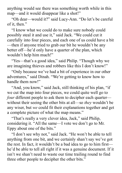anything would see there was something worth while in this map—and it would disappear like a shot!"

"Oh dear—would it?" said Lucy-Ann. "Do let's be careful of it, then."

"I know what we could do to make sure nobody could possibly steal it and use it," said Jack. "We could cut it carefully into four pieces, and each one of us could have a bit —then if anyone tried to grab our bit he wouldn't be any better off—he'd only have a quarter of the plan, which wouldn't help him much!"

"Yes—that's a good idea," said Philip. "Though why we are imagining thieves and robbers like this I don't know!"

"Only because we've had a bit of experience in our other adventures," said Dinah. "We're getting to know how to handle them now!"

"And, you know," said Jack, still thinking of his plan, "if we cut the map into four pieces, we could quite well go to *four* different people to ask them to decipher each quarter without their seeing the other bits at all—so *they* wouldn't be any wiser, but *we* could fit their explanations together and get a complete picture of what the map means."

"That's really a very clever idea, Jack," said Philip, considering it. "All the same—I vote we don't go to Mr. Eppy about one of the bits."

"I don't see why not," said Jack. "He won't be able to tell anything from one bit, and we certainly shan't say we've got the rest. In fact, it wouldn't be a bad idea to go to him first he'd be able to tell all right if it was a genuine document. If it isn't we shan't need to waste our time trailing round to find three other people to decipher the other bits."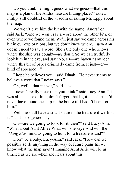"Do you think he might guess what *we* guess—that this map is a plan of the Andra treasure hiding-place?" asked Philip, still doubtful of the wisdom of asking Mr. Eppy about the map.

"We won't give him the bit with the name 'Andra' on," said Jack. "And we won't say a word about the other bits, or even where we found them. We'll just say we came across his bit in our explorations, but we don't know where. Lucy-Ann doesn't need to say a word. She's the only one who knows where the ship was bought—*we* don't. So we can truthfully look him in the eye, and say 'No, sir—we haven't any idea where this bit of paper originally came from. It just—er kind of appeared.'"

"I hope he believes you," said Dinah. "He never seems to believe a word that Lucian says."

"Oh, well—that nit-wit," said Jack.

"Lucian's really nicer than you think," said Lucy-Ann. "It was all because of him, don't forget, that I got this ship—I'd never have found the ship in the bottle if it hadn't been for him."

"Well, he shall have a small share in the treasure if we find it," said Jack generously.

"Oh—are we going to look for it, then?" said Lucy-Ann. "What about Aunt Allie? What will she say? And will the *Viking Star* mind us going to hunt for a treasure island?"

"Don't be a baby, Lucy-Ann," said Jack. "How can we possibly settle anything in the way of future plans till we know what the map says? I imagine Aunt Allie will be as thrilled as we are when she hears about this."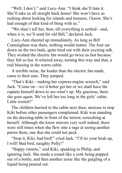"Well, I don't," said Lucy-Ann. "I think she'll hate it. She'll take us all straight back home! She won't have us rushing about looking for islands and treasure, *I* know. She's had enough of that kind of thing with us."

"We shan't tell her, then, till everything is settled—and, when it is, we'll send for old Bill," declared Jack.

Lucy-Ann cheered up immediately. As long as Bill Cunningham was there, nothing would matter. The four sat down on the two beds, quite tired out with their exciting talk. They wished the electric fan would go twice as fast because they felt so hot. It whirred away, turning this way and that, a real blessing in the warm cabin.

A terrible noise, far louder than the electric fan made, came to their ears. They jumped.

"That's Kiki—making her express-engine screech," said Jack. "Come on—we'd better get her or we shall have the captain himself down to see what's up. My gracious, there she goes again. We've left her too long in the girls' cabin. Little wretch!"

The children hurried to the cabin next door, anxious to stop Kiki before other passengers complained. Kiki was standing on the dressing-table in front of the mirror, screeching at herself. Although she knew mirrors very well indeed, there were still times when she flew into a rage at seeing another parrot there, one that she could not peck.

"Stop it, Kiki, bad bird!" cried Jack. "I'll tie your beak up, I will! Bad bird, naughty Polly!"

"Happy returns," said Kiki, speaking to Philip, and ignoring Jack. She made a sound like a cork being popped out of a bottle, and then another noise like the gurgling of a liquid being poured out.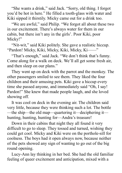"She wants a drink," said Jack. "Sorry, old thing. I forgot you'd be hot in here." He filled a tooth-glass with water and Kiki sipped it thirstily. Micky came out for a drink too.

"We are awful," said Philip. "We forgot all about these two in our excitement. There's always water for them in our cabin, but there isn't any in the girls'. Poor Kiki, poor Micky!"

"Nit-wit," said Kiki politely. She gave a realistic hiccup. "Pardon! Micky, Kiki, Micky, Kiki, Micky, Ki——"

"That's enough," said Jack. "We don't think that's funny. Come along for a walk on deck. We'll all get some fresh air, and then sleep on our plans."

They went up on deck with the parrot and the monkey. The other passengers smiled to see them. They liked the four children and their amusing pets. Kiki gave a hiccup every time she passed anyone, and immediately said "Oh, I say! Pardon!" She knew that made people laugh, and she loved showing off.

It was cool on deck in the evening air. The children said very little, because they were thinking such a lot. The bottle —the ship—the old map—quartering it—deciphering it hunting, hunting, hunting for—Andra's treasure!

Down in their cabins that night they all found it very difficult to go to sleep. They tossed and turned, wishing they could get cool. Micky and Kiki were on the porthole-sill for coolness. The boys had it open always now, because neither of the pets showed any sign of wanting to go out of the big round opening.

Lucy-Ann lay thinking in her bed. She had the old familiar feeling of queer excitement and anticipation, mixed with a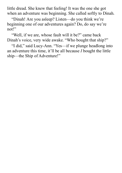little dread. She knew that feeling! It was the one she got when an adventure was beginning. She called softly to Dinah.

"Dinah! Are you asleep? Listen—do you think we're beginning one of our adventures again? Do, do say we're not!"

"Well, if we are, whose fault will it be?" came back Dinah's voice, very wide awake. "Who bought that ship?"

"I did," said Lucy-Ann. "Yes—if we plunge headlong into an adventure this time, it'll be all because *I* bought the little ship—the Ship of Adventure!"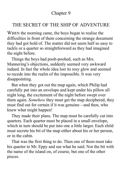## Chapter 9

# THE SECRET OF THE SHIP OF ADVENTURE

WHEN the morning came, the boys began to realise the difficulties in front of them concerning the strange document they had got hold of. The matter did not seem half so easy to tackle or a quarter so straightforward as they had imagined the night before.

Things the boys had pooh-poohed, such as Mrs. Mannering's objections, suddenly seemed very awkward indeed. In fact the whole idea lost its rosy glow and seemed to recede into the realm of the impossible. It was very disappointing.

But when they got out the map again, which Philip had carefully put into an envelope and kept under his pillow all night long, the excitement of the night before swept over them again. *Somehow* they must get the map deciphered, they must find out for certain if it was genuine—and then, who knew what might happen!

They made their plans. The map must be carefully cut into quarters. Each quarter must be placed in a small envelope, which in turn should be put into one a little larger. Each child must secrete his bit of the map either about his or her person, or in the cabin.

That was the first thing to do. Then one of them must take his quarter to Mr. Eppy and see what he said. Not the bit with the name of the island on, of course, but one of the other pieces.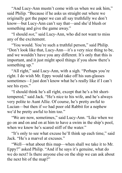"And Lucy-Ann mustn't come with us when we ask him," said Philip. "Because if he asks us straight out where we originally got the paper we can all say truthfully we don't know—but Lucy-Ann can't say that—and she'd blush or something and give the game away."

"I should *not*," said Lucy-Ann, who did not want to miss any of the excitement.

"You would. You're such a truthful person," said Philip. "Don't look like that, Lucy-Ann—it's a very nice thing to be, and we wouldn't have you any different. It's only that this is important, and it just might spoil things if you show there's something up."

"All right," said Lucy-Ann, with a sigh. "Perhaps you're right. I do wish Mr. Eppy would take off his sun-glasses sometimes—I just don't know what he's really like if I can't see his eyes."

"I should think he's all right, except that he's a bit shorttempered," said Jack. "He's nice to his wife, and he's always very polite to Aunt Allie. Of course, he's pretty awful to Lucian—but then if *we* had poor old Rabbit for a nephew we'd be pretty awful to him too."

"We are now, sometimes," said Lucy-Ann. "Like when we go on and on and on at him to have a swim in the ship's pool, when we know he's scared stiff of the water."

"It's only to see what excuse he'll think up each time," said Jack. "He's a marvel at excuses."

"Well—what about this map—when shall we take it to Mr. Eppy?" asked Philip. "And if he says it's genuine, what do we do next? Is there anyone else on the ship we can ask about the next bit of the map?"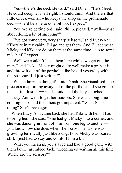"Yes—there's the deck steward," said Dinah. "He's Greek. He could decipher it all right, I should think. And there's that little Greek woman who keeps the shop on the promenade deck—she'd be able to do a bit too, I expect."

"Yes. We're getting on!" said Philip, pleased. "Well—what about doing a bit of snipping?"

"I've got some very, very sharp scissors," said Lucy-Ann. "They're in my cabin. I'll go and get them. And I'll see what Micky and Kiki are doing there at the same time—up to some mischief, I expect!"

"Well, we couldn't have them here whilst we get out the map," said Jack. "Micky might quite well make a grab at it and throw it out of the porthole, like he did yesterday with the post-card I'd just written!"

"What a horrible thought!" said Dinah. She visualised their precious map sailing away out of the porthole and she got up to shut it. "Just in *case*," she said, and the boys laughed.

Lucy-Ann went to get her scissors. She was a long time coming back, and the others got impatient. "What *is* she doing? She's been ages."

When Lucy-Ann came back she had Kiki with her. "I had to bring her," she said. "She had got Micky into a corner, and she was dancing in front of him from one leg to another you know how she does when she's cross—and she was growling terrifically just like a dog. Poor Micky was scared stiff. I just had to stay and comfort him a bit."

"What you mean is, you stayed and had a good game with them both," grumbled Jack. "Keeping us waiting all this time. Where are the scissors?"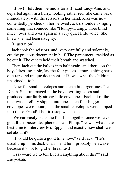"Blow! I left them behind after all!" said Lucy-Ann, and departed again in a hurry, looking rather red. She came back immediately, with the scissors in her hand. Kiki was now contentedly perched on her beloved Jack's shoulder, singing something that sounded like "Humpy-Dumpy, three blind mice" over and over again in a very quiet little voice. She knew she had been naughty.

[Illustration]

Jack took the scissors, and, very carefully and solemnly, cut the precious document in half. The parchment crackled as he cut it. The others held their breath and watched.

Then Jack cut the halves into half again, and there, on the boys' dressing-table, lay the four pieces—four exciting parts of a rare and unique document—if it was what the children imagined it to be!

"Now for small envelopes and then a bit larger ones," said Dinah. She rummaged in the boys' writing-cases and produced four fairly strong little envelopes. Each bit of the map was carefully slipped into one. Then four bigger envelopes were found, and the small envelopes were slipped into those. Good! The first step was taken.

"We can easily paste the four bits together once we have got all the pieces deciphered," said Philip. "Now—what's the best time to interview Mr. Eppy—and exactly how shall we set about it?"

"It would be quite a good time now," said Jack. "He's usually up in his deck-chair—and he'll probably be awake because it's not long after breakfast!"

"I say—are we to tell Lucian anything about this?" said Lucy-Ann.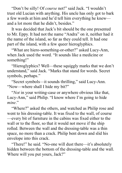"Don't be silly! Of *course* not!" said Jack. "I wouldn't trust old Lucian with anything. His uncle has only got to bark a few words at him and he'd tell him everything he knew and a lot more that he didn't, besides."

It was decided that Jack's bit should be the one presented to Mr. Eppy. It had not the name "Andra" on it, neither had it the name of the island, so far as they could tell. It had one part of the island, with a few queer hieroglyphics.

"What are hiero-something-or-other?" asked Lucy-Ann, when Jack used the word. "It sounds like a medicine or something!"

"Hieroglyphics? Well—these squiggly marks that we don't understand," said Jack. "Marks that stand for words. Secret symbols, perhaps."

"Secret symbols—it sounds thrilling," said Lucy-Ann. "Now—where shall I hide my bit?"

"*Not* in your writing-case or anywhere obvious like that, Lucy-Ann," said Philip. "I know where I'm going to hide *mine*."

"Where?" asked the others, and watched as Philip rose and went to his dressing-table. It was fixed to the wall, of course —every bit of furniture in the cabins was fixed either to the wall or to the floor, so that it would not move if the ship rolled. Between the wall and the dressing-table was a thin space, no more than a crack. Philip bent down and slid his envelope into this crack.

"There!" he said. "No-one will dust there—it's absolutely hidden between the bottom of the dressing-table and the wall. Where will you put yours, Jack?"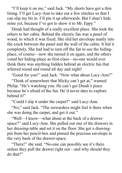"I'll keep it on me," said Jack. "My shorts have got a thin lining. I'll get Lucy-Ann to take out a few stitches so that I can slip my bit in. I'll pin it up afterwards. But I shan't hide mine yet, because I've got to show it to Mr. Eppy."

Dinah had thought of a really excellent place. She took the others to her cabin. Behind the electric fan was a panel of wood, to which it was fixed. She slid her envelope neatly into the crack between the panel and the wall of the cabin. It hid it completely. She had had to turn off the fan to use the hidingplace, of course—now she turned it on again, and the others voted her hiding-place as first-class—no-one would ever think there was anything hidden behind an electric fan that whirred round and round all day and night!

"Good for you!" said Jack. "Now what about Lucy-Ann?"

"Think of somewhere that Micky can't get at," warned Philip. "He's watching you. He can't get Dinah's piece because he's afraid of the fan. He'd never dare to explore behind it!"

"Could I slip it under the carpet?" said Lucy-Ann.

"No," said Jack. "The stewardess might feel it there when she was doing the carpet, and get it out."

"Well—I know—what about at the back of a drawerspace?" said Lucy-Ann. She pulled out one of the drawers in her dressing-table and set it on the floor. She got a drawingpin from her pencil-box and pinned the precious envelope to the very back of the drawer-space.

"There!" she said. "No-one can possibly see it's there unless they pull the drawer right out—and why should they do that?"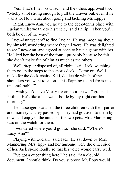"Yes. That's fine," said Jack, and the others approved too. "Micky's not strong enough to pull the drawer out, even if he wants to. Now what about going and tackling Mr. Eppy?"

"Right. Lucy-Ann, you go up to the deck-tennis place with Lucian whilst we talk to his uncle," said Philip. "Then you'll both be out of the way."

Lucy-Ann went off to find Lucian. He was mooning about by himself, wondering where they all were. He was delighted to see Lucy-Ann, and agreed at once to have a game with her. He liked her the best of the four—probably because he felt she didn't make fun of him as much as the others.

"Well, *they're* disposed of, all right," said Jack, watching them go up the steps to the sports deck. "Come on. We'll make for the deck-chairs. Kiki, do decide which of my shoulders you want to sit on—this flapping to and fro is most uncomfortable!"

"I wish you'd have Micky for an hour or two," groaned Philip. "He's like a hot-water bottle by my right ear this morning."

The passengers watched the three children with their parrot and monkey as they passed by. They had got used to them by now, and enjoyed the antics of the two pets. Mrs. Mannering was on the watch for them.

"I wondered where you'd got to," she said. "Where's Lucy-Ann?"

"Playing with Lucian," said Jack. He sat down by Mrs. Mannering. Mrs. Eppy and her husband were the other side of her. Jack spoke loudly so that his voice would carry well.

"I've got a queer thing here," he said. "An old, old document, I should think. Do you suppose Mr. Eppy would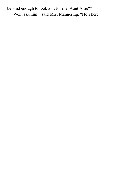be kind enough to look at it for me, Aunt Allie?" "Well, ask him!" said Mrs. Mannering. "He's here."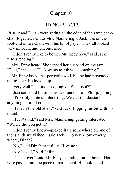# Chapter 10

# HIDING-PLACES

PHILIP and Dinah were sitting on the edge of the same deckchair together, next to Mrs. Mannering's. Jack was on the foot-end of her chair, with his bit of paper. They all looked very innocent and unconcerned.

"I don't really like to bother Mr. Eppy now," said Jack. "He's reading."

Mrs. Eppy heard. She tapped her husband on the arm. "Paul," she said. "Jack wants to ask you something."

Mr. Eppy knew that perfectly well, but he had pretended not to hear. He looked up.

"Very well," he said grudgingly. "What is it?"

"Just some old bit of paper we found," said Philip, joining in. "Probably quite uninteresting. We can't understand anything on it, of course."

"It mayn't be old at all," said Jack, flipping his bit with his thumb.

"It *looks* old," said Mrs. Mannering, getting interested. "Where did you get it?"

"I don't really know—picked it up somewhere on one of the islands we visited," said Jack. "Do you know exactly where, Dinah?"

"No," said Dinah truthfully. "I've no idea."

"Nor have I," said Philip.

"Pass it over," said Mr. Eppy, sounding rather bored. His wife passed him the piece of parchment. He took it and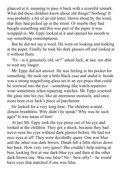glanced at it, meaning to pass it back with a scornful remark. What did these children know about old things? Nothing! It was probably a bit of an old letter, blown about by the wind, that they had picked up in the street. Or maybe they had bought something and this was part of the paper it was wrapped in. Mr. Eppy looked at it and opened his mouth to say something contemptuous.

But he did not say a word. He went on looking and looking at the paper. Finally he took his dark glasses off and looked at it without them.

"Er—is it genuinely old, sir?" asked Jack, at last, not able to wait any longer.

Mr. Eppy did not answer. He was feeling in his pocket for something. He took out a little black case and undid it. Inside was a strong magnifying-glass set in an eye-piece that could be screwed into the eye—something like watch-repairers wear sometimes when repairing watches. Mr. Eppy screwed the glass into his eye, like an enormous monocle, and once more bent over Jack's piece of parchment.

He looked for a very long time. The children waited, almost breathless. Why didn't he speak? Why was he such ages? It was mean of him!

At last Mr. Eppy took the eye-piece out of his eye and looked at the children. They got a shock, because they had never seen his eyes without dark glasses before. He had not nice eyes at all! They were decidedly queer. One was blue and the other was dark brown. Dinah felt a little shiver down her back. How very very queer! She couldn't help staring at him, looking first at one dark-blue eye and then at the other dark-brown one. Was one false? No—how silly!—he would have eyes that matched if one was false.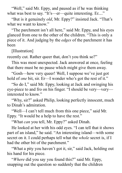"Well," said Mr. Eppy, and paused as if he was thinking what was best to say. "It's—er—quite interesting. Er...."

"But is it genuinely *old*, Mr. Eppy?" insisted Jack. "That's what we want to know."

"The parchment isn't all here," said Mr. Eppy, and his eyes glanced from one to the other of the children. "This is only a piece of it. And judging by the *edges* of the parchment it has been

[Illustration]

recently cut. Rather queer that, don't you think so?"

This was most unexpected. Jack answered at once, feeling that there must be no pause which might give them away.

"Gosh—how very queer! Well, I suppose we've just got hold of *one* bit, sir. Er—I wonder who's got the rest of it."

"So do I," said Mr. Eppy, looking at Jack and swinging his eye-piece to and fro on his finger. "I should be very—very interested to know."

"Why, sir?" asked Philip, looking perfectly innocent, much to Dinah's admiration.

"Well—I can't tell much from this one piece," said Mr. Eppy. "It would be a help to have the rest."

"What *can* you tell, Mr. Eppy?" asked Dinah.

He looked at her with his odd eyes. "I can tell that it shows part of an island," he said. "An interesting island—with some secret on it. I could perhaps tell what the *whole* secret is, if I had the other bit of the parchment."

"What a pity you haven't got it, sir," said Jack, holding out his hand for his piece.

"*Where* did you say you found this?" said Mr. Eppy, snapping out the question so suddenly that the children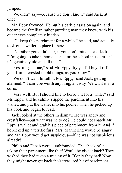jumped.

"We didn't say—because we don't know," said Jack, at once.

Mr. Eppy frowned. He put his dark glasses on again, and became the familiar, rather puzzling man they knew, with his queer eyes completely hidden.

"I'll keep this parchment for a while," he said, and actually took out a wallet to place it there.

"I'd rather you didn't, sir, if you don't mind," said Jack. "I'm going to take it home—er—for the school museum—if it's genuinely old and all that."

"Yes, it's genuine," said Mr. Eppy dryly. "I'll buy it off you. I'm interested in old things, as you know."

"We don't want to sell it, Mr. Eppy," said Jack, getting alarmed. "It can't be worth anything, anyway. We want it as a curio"

"Very well. But I should like to borrow it for a while," said Mr. Eppy, and he calmly slipped the parchment into his wallet, and put the wallet into his pocket. Then he picked up his book and began to read.

Jack looked at the others in dismay. He was angry and crestfallen—but what was he to do? He could not snatch Mr. Eppy's wallet and grab his piece of parchment from it. And if he kicked up a terrific fuss, Mrs. Mannering would be angry, and Mr. Eppy would get suspicious—if he was not suspicious already!

Philip and Dinah were dumbfounded. The cheek of it taking their parchment like that! Would he give it back? They wished they had taken a tracing of it. If only they had! Now they might never get back their treasured bit of parchment.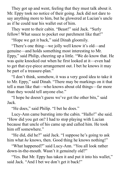They got up and went, feeling that they must talk about it. Mr. Eppy took no notice of their going. Jack did not dare to say anything more to him, but he glowered at Lucian's uncle as if he could tear his wallet out of him.

They went to their cabin. "Beast!" said Jack. "Surly fellow! What sauce to pocket our parchment like that!"

"Hope we get it back," said Dinah gloomily.

"There's one thing—we jolly well know it's old—and genuine—and holds something most interesting to Mr. Eppy," said Philip, cheering up a little. "We do know that. He was quite knocked out when he first looked at it—even had to get that eye-piece arrangement out. I bet he knows it may be part of a treasure-plan."

"I don't think, somehow, it was a very good idea to take it to Mr. Eppy," said Dinah. "There may be markings on it that tell a man like that—who knows about old things—far more than they would tell anyone else."

"I hope he doesn't guess we've got the other bits," said Jack.

"He does," said Philip. "I bet he does."

Lucy-Ann came bursting into the cabin. "Hallo!" she said. "How did you get on? I had to stop playing with Lucian because that uncle of his came up and called him. He took him off somewhere."

"He did, did he?" said Jack. "I suppose he's going to ask him what *he* knows, then. Good thing he knows nothing!"

"What happened?" said Lucy-Ann. "You all look rather down-in-the-mouth. Wasn't it genuinely old?"

"Yes. But Mr. Eppy has taken it and put it into his wallet," said Jack. "And I bet we don't get it back!"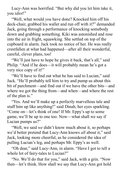Lucy-Ann was horrified. "But why did you let him take it, you *idiot*!"

"Well, what would *you* have done? Knocked him off his deck-chair, grabbed his wallet and run off with it?" demanded Jack, going through a performance of knocking somebody down and grabbing something. Kiki was astonished and rose into the air in fright, squawking. She settled on top of the cupboard in alarm. Jack took no notice of her. He was really crestfallen at what had happened—after all their wonderful, careful, clever plans, too!

"We'll just have to hope he gives it back, that's all," said Philip. "And if he does—it will probably mean he's got a very nice copy of it!"

"We'll have to find out what he has said to Lucian," said Jack. "He'll probably tell him to try and pump us about this bit of parchment—and find out if we have the other bits—and where we got the thing from—and when—and where the rest of the plan is."

"Yes. And we'll make up a perfectly marvellous tale and stuff him up like anything!" said Dinah, her eyes sparkling. "Come on—let's think of one! If Mr. Eppy's up to some game, we'll be up to one too. Now—what shall we say if Lucian pumps us?"

"Well, we said *we* didn't know much about it, so perhaps we'd better pretend that Lucy-Ann knows *all* about it," said Jack, looking more cheerful, as he considered the idea of pulling Lucian's leg, and perhaps Mr. Eppy's as well.

"Oh dear," said Lucy-Ann, in alarm. "Have I got to tell a whole lot of fairy-tales to Lucian?"

"No. We'll do that for you," said Jack, with a grin. "Now then—let's think. How shall we say that Lucy-Ann got hold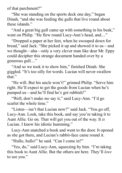of that parchment?"

"She was standing on the sports deck one day," began Dinah, "and she was feeding the gulls that live round about these islands."

"And a great big gull came up with something in his beak," went on Philip. "He flew round Lucy-Ann's head, and...."

"Dropped a paper at her feet, when he swooped down for bread," said Jack. "She picked it up and showed it to us—and we thought—aha—only a very clever man like dear Mr. Eppy could decipher this strange document handed over by a generous gull...."

"And so we took it to show him," finished Dinah. She giggled. "It's too silly for words. Lucian will never swallow that"

"He will. But his uncle won't!" grinned Philip. "Serve him right. He'll expect to get the goods from Lucian when he's pumped us—and he'll find he's got rubbish!"

"Well, don't make *me* say it," said Lucy-Ann. "I'd go scarlet the whole time."

"Listen—isn't that Lucian now?" said Jack. "You go off, Lucy-Ann. Look, take this book, and say you're taking it to Aunt Allie. Go on. That will get you out of the way. It *is* Lucian. I know his idiotic humming."

Lucy-Ann snatched a book and went to the door. It opened as she got there, and Lucian's rabbit-face came round it.

"Hullo, hullo!" he said. "Can I come in?"

"Yes, do," said Lucy-Ann, squeezing by him. "I'm taking" this book to Aunt Allie. But the others are here. They'll *love* to see you."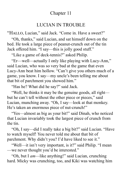## Chapter 11

#### LUCIAN IN TROUBLE

"HALLO, Lucian," said Jack. "Come in. Have a sweet?"

"Oh, thanks," said Lucian, and sat himself down on the bed. He took a large piece of peanut-crunch out of the tin Jack offered him. "I say—this is jolly good stuff."

"Like a game of deck-tennis?" asked Philip.

"Er—well—actually I only like playing with Lucy-Ann," said Lucian, who was so very bad at the game that even Lucy-Ann beat him hollow. "Can't give you others much of a game, you know. I say—my uncle's been telling me about that bit of parchment you showed him."

"Has he? What did he say?" said Jack.

"Well, he thinks it may be the genuine goods, all right but he can't tell without the other piece or pieces," said Lucian, munching away. "Oh, I say—look at that monkey. He's taken an enormous piece of nut-crunch!"

"Yes—almost as big as your bit!" said Dinah, who noticed that Lucian invariably took the largest piece of crunch from the tin.

"Oh, I say—did I really take a big bit?" said Lucian. "Have to watch myself! You never told me about that bit of parchment. Why didn't you? I'd have liked to see it."

"Well—it isn't very important, is it?" said Philip. "I mean —we never thought you'd be interested."

"Oh, but I *am*—like anything!" said Lucian, crunching hard. Micky was crunching, too, and Kiki was watching him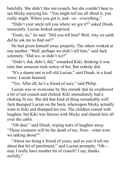balefully. She didn't like nut-crunch, but she couldn't bear to see Micky enjoying his. "You might tell me all about it, you really might. Where you got it, and—er—everything."

"Didn't your uncle tell you where we got it?" asked Dinah innocently. Lucian looked surprised.

"Gosh, no," he said. "Did you tell him? Well, why on earth did he ask me to find out?"

He had given himself away properly. The others winked at one another. "Well, perhaps we *did*n't tell him," said Jack solemnly. "Did we, or didn't we?"

"Didn't, did, didn't, did," remarked Kiki, thinking it was time that someone took notice of her. But nobody did.

"It's a shame not to tell old Lucian," said Dinah, in a kind voice. Lucian beamed.

"Yes. After all, he's a friend of ours," said Philip.

Lucian was so overcome by this remark that he swallowed a bit of nut-crunch and choked. Kiki immediately had a choking fit too. She did that kind of thing remarkably well. Jack thumped Lucian on the back, whereupon Micky actually went to Kiki and thumped her too. The children roared with laughter, but Kiki was furious with Micky and chased him all over the cabin.

"Oh dear," said Dinah, wiping tears of laughter away. "Those creatures will be the death of me. Now—what were we talking about?"

"About me being a friend of yours, and so you'd tell me about that bit of parchment," said Lucian promptly. "Oh may I really have another bit of crunch? I say, thanks awfully."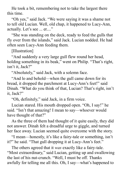He took a bit, remembering not to take the largest there this time.

"Oh yes," said Jack. "We were saying it was a shame not to tell old Lucian. Well, old chap, it happened to Lucy-Ann, actually. Let's see ... er...."

"She was standing on the deck, ready to feed the gulls that fly over from the islands," said Jack. Lucian nodded. He had often seen Lucy-Ann feeding them.

[Illustration]

"And suddenly a very large gull flew round her head, holding something in its beak," went on Philip. "That's right, isn't it, Jack?"

"Absolutely," said Jack, with a solemn face.

"And lo and behold—when the gull came down for its bread, it dropped the parchment at Lucy-Ann's feet!" said Dinah. "What do you think of that, Lucian? That's right, isn't it, Jack?"

"Oh, definitely," said Jack, in a firm voice.

Lucian stared. His mouth dropped open. "Oh, I say!" he said. "Isn't that amazing! I mean to say—whoever would have thought of that?"

As the three of them had thought of it quite easily, they did not answer. Dinah felt a dreadful urge to giggle, and turned her face away. Lucian seemed quite overcome with the story.

"I mean—honestly, it's like a fairy-tale or something, isn't it?" he said. "That gull dropping it at Lucy-Ann's feet."

The others agreed that it *was* exactly like a fairy-tale. "Most extraordinary," said Lucian, getting up and swallowing the last of his nut-crunch. "Well, I must be off. Thanks awfully for telling me all this. Oh, I say—what's happened to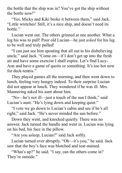the bottle that the ship was in? You've got the ship without the bottle now!"

"Yes. Micky and Kiki broke it between them," said Jack. "Little wretches! Still, it's a nice ship, and doesn't need its hottle."

Lucian went out. The others grinned at one another. What a leg his was to pull! Poor old Lucian—he just *asked* for his leg to be well and truly pulled!

"I can just see him spouting that all out to his disbelieving uncle," said Jack. "Come on—if I don't get up into the fresh air and have some exercise I shall expire. Let's find Lucy-Ann and have a game of quoits or something. It's too hot now for deck-tennis."

They played games all the morning, and then went down to lunch, feeling very hungry indeed. To their surprise Lucian did not appear at lunch. They wondered if he was ill. Mrs. Mannering asked his aunt about him.

"No—he's not ill—just a touch of the sun I think," said Lucian's aunt. "He's lying down and keeping quiet."

"I vote we go down to Lucian's cabin and see if he's all right," said Jack. "He's never minded the sun before."

Down they went, and knocked quietly. There was no answer. Jack turned the handle and went in. Lucian was lying on his bed, his face in the pillow.

"Are you asleep, Lucian?" said Jack softly.

Lucian turned over abruptly. "Oh—it's you," he said. Jack saw that the boy's face was blotched and tear-stained.

"What's up?" he said. "I say, can the others come in? They're outside."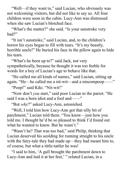"Well—if they want to," said Lucian, who obviously was not welcoming visitors, but did not like to say so. All four children were soon in the cabin. Lucy-Ann was distressed when she saw Lucian's blotched face.

"What's the matter?" she said. "Is your sunstroke very bad?"

"It isn't sunstroke," said Lucian, and, to the children's horror his eyes began to fill with tears. "It's my beastly, horrible uncle!" He buried his face in the pillow again to hide his tears.

"What's he been up to?" said Jack, not very sympathetically, because he thought it was too feeble for words for a boy of Lucian's age to behave like that.

"He called me all kinds of names," said Lucian, sitting up again. "He—he called me a nit-wit—and a nincompoop——"

"Poop!" said Kiki. "Nit-wit!"

"Now don't *you* start," said poor Lucian to the parrot. "He said I was a born idiot and a fool and—

"But *why*?" asked Lucy-Ann, astonished.

"Well, I told him how Lucy-Ann got that silly bit of parchment," Lucian told them. "You know—just how you told me. I thought he'd be so pleased to think I'd found out what he wanted to know. But he wasn't."

"Wasn't he? That was too bad," said Philip, thinking that Lucian deserved his scolding for running straight to his uncle with the fairy-tale they had made up—they had meant him to, of course, but what a tittle-tattler he was!

"I said to him, 'A gull brought the parchment down to Lucy-Ann and laid it at her feet,' " related Lucian, in a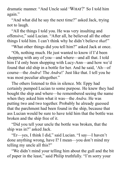dramatic manner. "And Uncle said 'WHAT?' So I told him again."

"And what did he say the next time?" asked Jack, trying not to laugh.

"All the things I told you. He was very insulting and offensive," said Lucian. "After all, he believed all the other things I told him. I can't think why he didn't believe *that*!"

"What other things did you tell him?" asked Jack at once.

"Oh, nothing much. He just wanted to know if I'd been shopping with any of you—and where—and all that. I told him I'd only been shopping with Lucy-Ann—and how we'd found that old ship in a bottle for her. And he said, 'Ah—of course—the *Andra*! The *Andra*!' Just like that. I tell you he was most peculiar altogether."

The others listened to this in silence. Mr. Eppy had certainly pumped Lucian to some purpose. He knew they had bought the ship and where—he remembered seeing the name when they asked him what it was—the *Andra*. He was putting two and two together. Probably he already guessed that the parchment had been found in the ship, because that ass Lucian would be sure to have told him that the bottle was broken and the ship free of it.

"Did you tell your uncle the bottle was broken, that the ship was in?" asked Jack.

"Er—yes, I think I did," said Lucian. "I say—I haven't done anything wrong, have I? I mean—you don't mind my telling my uncle all this?"

"We didn't mind your telling him about the gull and the bit of paper in the least," said Philip truthfully. "I'm sorry your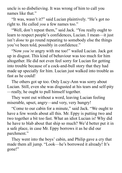uncle is so disbelieving. It was wrong of him to call you names like that."

"It was, wasn't it?" said Lucian plaintively. "He's got no right to. He called *you* a few names too."

"Well, don't repeat them," said Jack. "You really ought to learn to respect people's confidences, Lucian. I mean—it just isn't *done* to go round repeating to somebody else the things you've been told, possibly in confidence."

"Now *you're* angry with me too!" wailed Lucian. Jack got up in disgust. This kind of behaviour was too much for him altogether. He did not even feel sorry for Lucian for getting into trouble because of a cock-and-bull story that they had made up specially for him. Lucian just walked into trouble as fast as he could!

The others got up too. Only Lucy-Ann was sorry about Lucian. Still, even she was disgusted at his tears and self-pity —really, he ought to pull himself together.

They went out without a word, leaving Lucian feeling miserable, upset, angry—and very, very hungry!

"Come to our cabin for a minute," said Jack. "We ought to have a few words about all this. Mr. Eppy is putting two and two together a bit too fast. What an idiot Lucian is! Why did he have to blab about that ship so much? We'd better put it in a safe place, in case Mr. Eppy borrows it as he did our parchment."

They went into the boys' cabin, and Philip gave a cry that made them all jump. "Look—he's borrowed it already! It's gone!"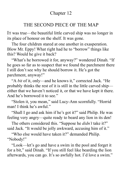## Chapter 12

#### THE SECOND PIECE OF THE MAP

IT was true—the beautiful little carved ship was no longer in its place of honour on the shelf. It was gone.

The four children stared at one another in exasperation. Blow Mr. Eppy! What right had he to "borrow" things like this? Would he give it back?

"What's he borrowed it for, anyway?" wondered Dinah. "If he goes so far as to suspect that we found the parchment there I still don't see why he should borrow it. He's got the parchment, anyway!"

"A *bit* of it, only—and he knows it," corrected Jack. "He probably thinks the rest of it is still in the little carved ship either that we haven't noticed it, or that we have kept it there. And he's borrowed it to see."

"Stolen it, you mean," said Lucy-Ann scornfully. "Horrid man! I think he's awful."

"Shall I go and ask him if he's got it?" said Philip. He was feeling very angry—quite ready to beard any lion in its den!

The others considered this. "Suppose he *didn't* take it?" said Jack. "It would be jolly awkward, accusing him of it."

"Who else would have taken it?" demanded Philip. "Nobody!"

"Look—let's go and have a swim in the pool and forget it for a bit," said Dinah. "If you still feel like bearding the lion afterwards, you can go. It's so awfully hot. I'd love a swim."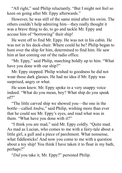"All right," said Philip reluctantly. "But I might not feel so keen on going after Mr. Eppy afterwards."

However, he was still of the same mind after his swim. The others couldn't help admiring him—they really thought it was a brave thing to do, to go and tackle Mr. Eppy and accuse him of "borrowing" their ship!

He went off to find Mr. Eppy. He was not in his cabin. He was not in his deck-chair. Where could he be? Philip began to hunt over the ship for him, determined to find him. He saw him at last coming out of the radio office.

"Mr. Eppy," said Philip, marching boldly up to him. "What have you done with our ship?"

Mr. Eppy stopped. Philip wished to goodness he did not wear those dark glasses. He had no idea if Mr. Eppy was surprised, angry or what.

He soon knew. Mr. Eppy spoke in a very snappy voice indeed. "What do you mean, boy? What ship do you speak of?"

"The little carved ship we showed you—the one in the bottle—called *Andra*," said Philip, wishing more than ever that he could see Mr. Eppy's eyes, and read what was in them. "What have you done with it?"

"I think you are mad," said Mr. Eppy coldly. "Quite mad. As mad as Lucian, who comes to me with a fairy-tale about a little girl, a gull and a piece of parchment. What nonsense, what fiddlesticks! And now you come to me with a question about a toy ship! You think I have taken it to float in my bath, perhaps?"

"*Did* you take it, Mr. Eppy?" persisted Philip.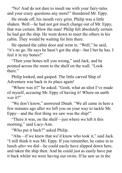"No! And do not dare to insult me with your fairy-tales and your crazy questions any more!" thundered Mr. Eppy.

He strode off, his mouth very grim. Philip was a little shaken. Well—he had not got much change out of Mr. Eppy, that was certain. Blow the man! Philip felt absolutely certain he had got the ship. He went down to meet the others in his cabin. They would be waiting for him there.

He opened the cabin door and went in. "Well," he said, "it's no go. He says he hasn't got the ship—but I bet he has. I feel it in my bones!"

"Then your bones tell you wrong," said Jack, and he pointed across the room to the shelf on the wall. "Look there."

Philip looked, and gasped. The little carved Ship of Adventure was back in its place again!

"Where was it?" he asked. "Gosh, what an idiot I've made of myself, accusing Mr. Eppy of having it! Where on earth *was* it?"

"We don't know," answered Dinah. "We all came in here a few minutes ago after we left you on your way to tackle Mr. Eppy—and the first thing we saw was the ship!"

"There it was, on the shelf—just where we left it this morning," said Lucy-Ann.

"Who put it back?" asked Philip.

"Aha—if we knew that we'd know who took it," said Jack. "I still think it was Mr. Eppy. If you remember, he came in to lunch *after* we did—he could easily have slipped down here, and taken the ship then. And he could just as easily have put it back whilst we were having our swim. If he saw us in the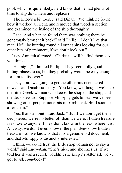pool, which is quite likely, he'd know that he had plenty of time to slip down here and replace it."

"The knob's a bit loose," said Dinah. "We think he found how it worked all right, and removed that wooden section, and examined the inside of the ship thoroughly."

"I see. And when he found there was nothing there he generously brought it back!" said Philip. "I don't like that man. He'll be hunting round all our cabins looking for our other bits of parchment, if we don't look out."

Lucy-Ann felt alarmed. "Oh dear—will he find them, do you think?"

"He might," admitted Philip. "They seem jolly good hiding-places to us, but they probably would be easy enough for him to discover."

"I say—are we going to get the other bits deciphered now?" said Dinah suddenly. "You know, we thought we'd ask the little Greek woman who keeps the shop on the ship, and the deck steward. Suppose Mr. Eppy gets to hear we've been showing other people more bits of parchment. He'll soon be after them."

"Yes, that's a point," said Jack. "But if we don't get them deciphered, we're no better off than we were. Hidden treasure is no use to anyone if they don't know in the least where it is. Anyway, we don't even know if the plan *does* show hidden treasure—all we know is that it is a genuine old document, and that Mr. Eppy is distinctly interested."

"I think we could trust the little shopwoman not to say a word," said Lucy-Ann. "She's nice, and she likes us. If we told her it was a secret, wouldn't she keep it? After all, we've got to ask *some*body!"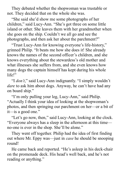They debated whether the shopwoman was trustable or not. They decided that on the whole she was.

"She said she'd show me some photographs of her children," said Lucy-Ann. "She's got three on some little island or other. She leaves them with her grandmother when she goes on the ship. Couldn't we all go and see the photographs, and then ask her about the parchment?"

"Trust Lucy-Ann for knowing everyone's life-history," grinned Philip. "It beats me how she does it! She already knows the names of the second officer's children, and she knows everything about the stewardess's old mother and what illnesses she suffers from, and she even knows how many dogs the captain himself has kept during his whole life!"

"I *don't*," said Lucy-Ann indignantly. "I simply wouldn't *dare* to ask him about dogs. Anyway, he can't have had any on board ship."

"I'm only pulling your leg, Lucy-Ann," said Philip. "Actually I think your idea of looking at the shopwoman's photos, and then springing our parchment on her—or a bit of it—is a good one."

"Let's go now, then," said Lucy-Ann, looking at the clock. "Everyone always has a sleep in the afternoon at this time no-one is ever in the shop. She'll be alone."

They went off together. Philip had the idea of first finding out where Mr. Eppy was—just in *case* he should be snooping round!

He came back and reported. "He's asleep in his deck-chair on the promenade deck. His head's well back, and he's not reading or anything."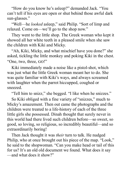"How do you know he's asleep?" demanded Jack. "You can't tell if his eyes are open or shut behind those awful dark sun-glasses."

"Well—he *looked* asleep," said Philip. "Sort of limp and relaxed. Come on—we'll go to the shop now."

They went to the little shop. The Greek woman who kept it showed all her white teeth in a pleased smile when she saw the children with Kiki and Micky.

"Ah, Kiki, Micky, and what mischief have you done?" she asked, tickling the little monkey and poking Kiki in the chest. "One, two, three, GO!"

Kiki immediately made a noise like a pistol-shot, which was just what the little Greek woman meant her to do. She was quite familiar with Kiki's ways, and always screamed with laughter when the parrot hiccupped, coughed or sneezed.

"Tell him to snizz," she begged. "I like when he snizzes."

So Kiki obliged with a fine variety of "snizzes," much to Micky's amazement. Then out came the photographs and the children were treated to a life-history of each of the three little girls she possessed. Dinah thought that surely never in this world had there lived such children before—so sweet, so good, so loving, so religious, so incredibly beautiful—and so extraordinarily boring!

Then Jack thought it was *their* turn to talk. He nudged Philip, who at once brought out his piece of the map. "Look," he said to the shopwoman. "Can you make head or tail of this for us? It's an old old document we found. What does it say —and what does it show?"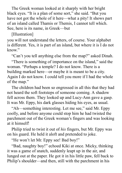The Greek woman looked at it sharply with her bright black eyes. "It is a plan of some sort," she said. "But you have not got the whole of it here—what a pity! It shows part of an island called Thamis or Themis, I cannot tell which. See, here is its name, in Greek—but

[Illustration]

you will not understand the letters, of course. Your alphabet is different. Yes, it is part of an island, but where it is I do not know"

"Can't you tell anything else from the map?" asked Dinah.

"There is something of importance on the island," said the woman. "Perhaps a temple? I do not know. There is a building marked here—or maybe it is meant to be a city. Again I do not know. I could tell you more if I had the whole of the map."

The children had been so engrossed in all this that they had not heard the soft footsteps of someone coming. A shadow fell across them. They looked up and Lucy-Ann gave a gasp. It was Mr. Eppy, his dark glasses hiding his eyes, as usual.

"Ah—something interesting. Let me see," said Mr. Eppy coolly, and before anyone could stop him he had twisted the parchment out of the Greek woman's fingers and was looking at it himself!

Philip tried to twist it out of *his* fingers, but Mr. Eppy was on his guard. He held it aloft and pretended to joke.

"He won't let Mr. Eppy see! Bad boy!"

"Bad, naughty boy!" echoed Kiki at once. Micky, thinking it was a game of snatch, suddenly leapt up in the air, and lunged out at the paper. He got it in his little paw, fell back to Philip's shoulder—and then, still with the parchment in his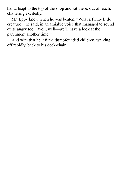hand, leapt to the top of the shop and sat there, out of reach, chattering excitedly.

Mr. Eppy knew when he was beaten. "What a funny little creature!" he said, in an amiable voice that managed to sound quite angry too. "Well, well—we'll have a look at the parchment another time!"

And with that he left the dumbfounded children, walking off rapidly, back to his deck-chair.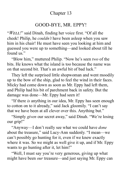## Chapter 13

#### GOOD-BYE, MR. EPPY!

"*WELL!*" said Dinah, finding her voice first. "Of all the cheek! Philip, he *couldn't* have been asleep when you saw him in his chair! He must have seen you looking at him and guessed you were up to something—and looked about till he found us."

"Blow him," muttered Philip. "Now he's seen *two* of the bits. He knows what the island is too because the name was on that second bit. That's an awful bit of bad luck."

They left the surprised little shopwoman and went moodily up to the bow of the ship, glad to feel the wind in their faces. Micky had come down as soon as Mr. Eppy had left them, and Philip had his bit of parchment back in safety. But the damage was done—Mr. Eppy had seen it!

"If there *is* anything in our idea, Mr. Eppy has seen enough to cotton on to it already," said Jack gloomily. "I can't say that we have been at all clever over this. Anything but."

"Simply *given* our secret away," said Dinah. "We're losing our grip!"

"Anyway—I don't really see what we could have *done* about the treasure," said Lucy-Ann suddenly. "I mean—we can't possibly go hunting for it, even if we knew exactly where it was. So we might as well give it up, and if Mr. Eppy wants to go hunting after it, let him!"

"Well, I must say you're very generous, giving up what might have been *our* treasure—and just saying Mr. Eppy can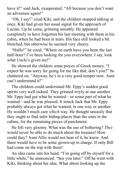have it!" said Jack, exasperated. "All because you don't want an adventure again!"

"Oh, I say!" cried Kiki, and the children stopped talking at once. Kiki had given her usual signal for the approach of Lucian. Up he came, grinning amiably. He appeared completely to have forgotten his last meeting with them in his cabin, when he had been in tears. His face still looked a bit blotched, but otherwise he seemed very cheery.

"Hallo!" he cried. "Where on earth have you been the last half-hour? I've been looking for you everywhere. I say, look what Uncle's given me!"

He showed the children some pieces of Greek money. "I expect he was sorry for going for me like that, don't you?" he chattered on. "Anyway, he's in a very good temper now. Aunt can't understand it!"

The children could understand Mr. Eppy's sudden good spirits very well indeed. They grinned wryly at one another. Mr. Eppy had got what he wanted—or some part of what he wanted—and he was pleased. It struck Jack that Mr. Eppy probably always got what he wanted, in one way or another. He wouldn't much care *which* way. He thought uneasily that they ought to find safer hiding-places than the ones in the cabins, for the remaining pieces of parchment.

He felt very gloomy. What was the use of bothering? *They* would never be able to do much about the treasure! How could they? Aunt Allie would not hear of it, he knew. And there would *have* to be some grown-up in charge. If only Bill had come on the trip with them!

An idea came into his head. "I'm going off by myself for a little while," he announced. "See you later." Off he went with Kiki, thinking about his idea. What about looking up the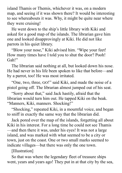island Thamis or Themis, whichever it was, on a modern map, and seeing if it was shown there? It would be interesting to see whereabouts it was. Why, it might be quite near where they were cruising!

He went down to the ship's little library with Kiki and asked for a good map of the islands. The librarian gave him one and looked disapprovingly at Kiki. He did not like parrots in his quiet library.

"Blow your nose," Kiki advised him. "Wipe your feet! How many times have I told you to shut the door? Pooh! Gah!"

The librarian said nothing at all, but looked down his nose. He had never in his life been spoken to like that before—and by a parrot, too! He was most irritated.

"One, two, three, GO!" said Kiki, and made the noise of a pistol going off. The librarian almost jumped out of his seat.

"Sorry about that," said Jack hastily, afraid that the librarian would turn him out. He tapped Kiki on the beak. "Manners, Kiki, manners. Shocking!"

"Shocking," repeated Kiki, in a mournful voice, and began to sniff in exactly the same way that the librarian did.

Jack pored over the map of the islands, forgetting all about Kiki in his interest. For a long time he could not see Thamis —and then there it was, under his eyes! It was not a large island, and was marked with what seemed to be a city or town, just on the coast. One or two small marks seemed to indicate villages—but there was only the one town.

[Illustration]

So that was where the legendary fleet of treasure ships went, years and years ago! They put in at that city by the sea,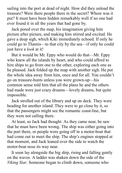sailing into the port at dead of night. How did they unload the treasure? Were there people there in the secret? Where was it put? It must have been hidden remarkably well if no one had ever found it in all the years that had gone by.

Jack pored over the map, his imagination giving him picture after picture, and making him stirred and excited. He gave a deep sigh, which Kiki immediately echoed. If only he could go to Thamis—to that city by the sea—if only he could just have a *look* at it!

But it would be Mr. Eppy who would do that—Mr. Eppy who knew all the islands by heart, and who could afford to hire ships to go from one to the other, exploring each one as he pleased. Jack folded up the map with another sigh. He put the whole idea away from him, once and for all. You couldn't go on treasure-hunts unless you were grown-up—his common sense told him that all the plans he and the others had made were just crazy dreams—lovely dreams, but quite impossible.

Jack strolled out of the library and up on deck. They were heading for another island. They were to go close by it, so that the passengers might see the romantic coast-line, but they were not calling there.

At least, so Jack had thought. As they came near, he saw that he must have been wrong. The ship was either going into the port there, or people were going off in a motor-boat that had come out to meet the ship. The ship's engines stopped at that moment, and Jack leaned over the side to watch the motor-boat nose its way near.

It soon lay alongside the big ship, rising and falling gently on the waves. A ladder was shaken down the side of the *Viking Star*. Someone began to climb down, someone who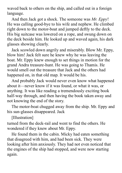waved back to others on the ship, and called out in a foreign language.

And then Jack got a shock. The someone was *Mr. Eppy*! He was calling good-bye to his wife and nephew. He climbed right down to the motor-boat and jumped deftly to the deck. His big suitcase was lowered on a rope, and swung down on the deck beside him. He looked up and waved again, his dark glasses showing clearly.

Jack scowled down angrily and miserably. Blow Mr. Eppy, blow him! Jack felt sure he knew why he was leaving the boat. Mr. Eppy knew enough to set things in motion for the grand Andra treasure-hunt. He was going to Thamis. He would smell out the treasure that Jack and the others had happened on, in that old map. It would be his.

And probably Jack would never even know what happened about it—never know if it was found, or what it was, or anything. It was like reading a tremendously exciting book half-way through, and then having the book taken away and not knowing the end of the story.

The motor-boat chugged away from the ship. Mr. Eppy and his sun-glasses disappeared. Jack

[Illustration]

turned from the deck-rail and went to find the others. He wondered if they knew about Mr. Eppy.

He found them in the cabin. Micky had eaten something that disagreed with him, and had been sick. They were looking after him anxiously. They had not even noticed that the engines of the ship had stopped, and were now starting again.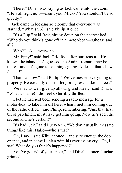"There!" Dinah was saying as Jack came into the cabin. "He's all right now—aren't you, Micky? You shouldn't be so greedy."

Jack came in looking so gloomy that everyone was startled. "What's up?" said Philip at once.

"It's *all* up," said Jack, sitting down on the nearest bed. "Who do you think's gone off in a motor-boat—suitcase and all?"

"Who?" asked everyone.

"Mr. Eppy!" said Jack. "Hotfoot after our treasure! He knows the island, he's guessed the Andra treasure may be there—and he's gone to set things going. At least, that's how *I* see it!"

"That's a blow," said Philip. "We've messed everything up properly. He certainly doesn't let grass grow under his feet."

"We may as well give up all our grand ideas," said Dinah. "What a shame! I did feel so terribly thrilled."

"I bet he had just been sending a radio message for a motor-boat to take him off here, when I met him coming out of the radio office," said Philip, remembering. "Just that first bit of parchment must have got him going. Now he's seen the second and he's certain!"

"It's bad luck," said Lucy-Ann. "We don't usually mess up things like this. Hallo—who's that?"

"Oh, I say!" said Kiki, at once—and sure enough the door opened, and in came Lucian with his everlasting cry. "Oh, I say! What do you think's happened?"

"You've got rid of your uncle," said Dinah at once. Lucian grinned.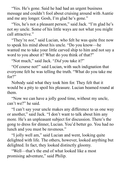"Yes. He's gone. Said he had had an urgent business message and couldn't fool about cruising around with Auntie and me any longer. Gosh, I'm glad he's gone."

"Yes, he's not a pleasant person," said Jack. "I'm glad he's not *my* uncle. Some of his little ways are not what you might call attractive."

"They're *not*," said Lucian, who felt he was quite free now to speak his mind about his uncle. "Do you know—he wanted me to take your little carved ship to him and not say a word to you about it? What do you think of that?"

"Not much," said Jack. "*Did* you take it?"

"Of course not!" said Lucian, with such indignation that everyone felt he was telling the truth. "What do you take me for?"

Nobody said what they took him for. They felt that it would be a pity to spoil his pleasure. Lucian beamed round at them.

"Now we can have a jolly good time, without my uncle, can't we?" he said.

"I can't say your uncle makes any difference to us one way or another," said Jack. "I don't want to talk about him any more. He's an unpleasant subject for discussion. There's the gong to dress for dinner, Lucian. You'd better go. You had no lunch and you must be ravenous."

"I jolly well am," said Lucian and went, looking quite delighted with life. The others, however, looked anything but delighted. In fact, they looked distinctly gloomy.

"Well—that's the end of what looked like a most promising adventure," said Philip.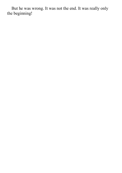But he was wrong. It was not the end. It was really only the beginning!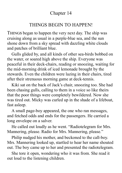## Chapter 14

## THINGS BEGIN TO HAPPEN!

THINGS began to happen the very next day. The ship was cruising along as usual in a purple-blue sea, and the sun shone down from a sky spread with dazzling white clouds and patches of brilliant blue.

Gulls glided by, and all kinds of other sea-birds bobbed on the water, or soared high above the ship. Everyone was peaceful in their deck-chairs, reading or snoozing, waiting for the mid-morning drink of iced lemonade brought by the stewards. Even the children were lazing in their chairs, tired after their strenuous morning game at deck-tennis.

Kiki sat on the back of Jack's chair, snoozing too. She had been chasing gulls, calling to them in a voice so like theirs that the poor things were completely bewildered. Now she was tired out. Micky was curled up in the shade of a lifeboat, fast asleep.

A small page-boy appeared, the one who ran messages, and fetched odds and ends for the passengers. He carried a long envelope on a salver.

He called out loudly as he went. "Radiotelegram for Mrs. Mannering, please. Radio for Mrs. Mannering, please."

Philip nudged his mother, and beckoned to the call-boy. Mrs. Mannering looked up, startled to hear her name shouted out. The boy came up to her and presented the radiotelegram.

She tore it open, wondering who it was from. She read it out loud to the listening children.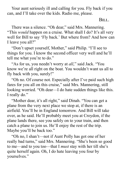Your aunt seriously ill and calling for you. Fly back if you can, and I'll take over the kids. Radio me, please.

 $R_{\rm H.L.}$ 

There was a silence. "Oh dear," said Mrs. Mannering. "This *would* happen on a cruise. What shall I do? It's all very well for Bill to say 'Fly back.' But where from? And how can I leave you all?"

"Don't upset yourself, Mother," said Philip. "I'll see to things for you. I know the second officer very well and he'll tell me what you're to do."

"As for us, you needn't worry at *all*," said Jack. "You know we're all right on the boat. You wouldn't want us all to fly back with you, surely!"

"Oh no. Of course not. Especially after I've paid such high fares for you all on this cruise," said Mrs. Mannering, still looking worried. "Oh dear—I do hate sudden things like this. I really do."

"Mother dear, it's all right," said Dinah. "You can get a plane from the very next place we stop at, if there is an airfield. You'll be in England tomorrow. And Bill will take over, as he said. He'll probably meet you at Croydon, if the plane lands there, see you safely on to your train, and then catch a plane to join us. He'll enjoy the rest of the trip. Maybe you'll be back too."

"Oh no, I shan't—not if Aunt Polly has got one of her really bad turns," said Mrs. Mannering. "She's been so good to me—and to you too—that I *must* stay with her till she's quite herself again. Oh, I do hate leaving you four by yourselves."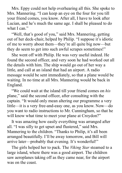Mrs. Eppy could not help overhearing all this. She spoke to Mrs. Mannering. "I can keep an eye on the four for you till your friend comes, you know. After all, I have to look after Lucian, and he's much the same age. I shall be pleased to do what I can"

"Well, that's good of you," said Mrs. Mannering, getting out of her deck-chair, helped by Philip. "I suppose it's idiotic of me to worry about them—they're all quite big now—but they do seem to get into such awful scrapes sometimes!"

She went off with Philip. He was very useful indeed. He found the second officer, and very soon he had worked out all the details with him. The ship would go out of her way a little, and call at an island that had an airport. A radio message would be sent immediately, so that a plane would be waiting. In no time at all Mrs. Mannering would be back in England.

"We could wait at the island till your friend comes on *his* plane," said the second officer, after consulting with the captain. "It would only mean altering our programme a very little—it is a very free-and-easy one, as you know. Now—do you want to radio instructions to Mr. Cunningham, so that he will know what time to meet your plane at Croydon?"

It was amazing how easily everything was arranged after all. "I was silly to get upset and flustered," said Mrs. Mannering to the children. "Thanks to Philip, it's all been arranged beautifully. I'll be away tomorrow, and Bill will arrive later—probably that evening. It's wonderful!"

The girls helped her to pack. The *Viking Star* steamed to a large island, where there was a good airport. The children saw aeroplanes taking off as they came near, for the airport was on the coast.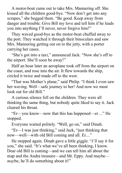A motor-boat came out to take Mrs. Mannering off. She kissed all the children good-bye. "Now don't get into any scrapes," she begged them. "Be good. Keep away from danger and trouble. Give Bill my love and tell him if he leads you into anything I'll never, never forgive him!"

They waved good-bye as the motor-boat chuffed away to the port. They watched it through their binoculars and saw Mrs. Mannering getting out on to the jetty, with a porter carrying her cases.

"She's got into a taxi," announced Jack. "Now she's off to the airport. She'll soon be away!"

Half an hour later an aeroplane took off from the airport on the coast, and rose into the air. It flew towards the ship, circled it twice and made off to the west.

"That was Mother's plane," said Philip. "I think I even saw her waving. Well—safe journey to her! And now we must look out for old Bill."

A curious silence fell on the children. They were all thinking the same thing, but nobody quite liked to say it. Jack cleared his throat.

"Er—you know—now that this has happened—er ..." He stopped.

Everyone waited politely. "Well, go on," said Dinah.

"Er—I was just thinking," said Jack, "just thinking that now—well—with old Bill coming and all. Er...."

He stopped again. Dinah gave a little giggle. "*I'll* say it for you," she said. "It's what we've all been thinking, I know. Dear old Bill is coming—and we can tell him all about the map and the Andra treasure—and Mr. Eppy. And maybe *maybe*, he'll do something about it!"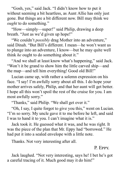"Gosh, yes," said Jack. "I didn't know how to put it without seeming a bit heartless, as Aunt Allie has only just gone. But things are a bit different now. Bill may think we *ought* to do something."

"How—simply—super!" said Philip, drawing a deep breath. "Just as we'd given up hope!"

"We couldn't *possibly* drag Mother into an adventure," said Dinah. "But Bill's different. I mean—he won't want us to plunge into an adventure, I know—but he may quite well think *he* ought to do something about it."

"And we shall at least know what's happening," said Jack. "Won't it be grand to show him the little carved ship—and the map—and tell him everything! Good old Bill!"

Lucian came up, with rather a solemn expression on his face. "I say! I'm awfully sorry about all this. I do hope your mother arrives safely, Philip, and that her aunt will get better. I hope all this won't spoil the rest of the cruise for you. I am most awfully sorry."

"Thanks," said Philip. "We shall get over it."

"Oh, I say, I quite forgot to give you this," went on Lucian. "I'm so sorry. My uncle gave it to me before he left, and said I was to hand it to you. I can't imagine what it is."

Jack took it. He guessed what it was, and he was right. It was the piece of the plan that Mr. Eppy had "borrowed." He had put it into a sealed envelope with a little note.

Thanks. Not very interesting after all.

P. Eppy.

Jack laughed. "Not very interesting, says he! I bet he's got a careful tracing of it. Much good may it do him!"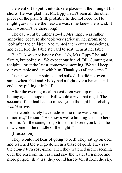He went off to put it into its safe place—in the lining of his shorts. He was glad that Mr. Eppy hadn't seen all the other pieces of the plan. Still, probably he did not need to. He might guess where the treasure was, if he knew the island. If so, it wouldn't be there long!

The day went by rather slowly. Mrs. Eppy was rather annoying, because she took very seriously her promise to look after the children. She hunted them out at meal-times, and even told the table steward to seat them at her table.

But Jack was not having that. "No, Mrs. Eppy," he said firmly, but politely. "We expect our friend, Bill Cunningham, tonight—or at the latest, tomorrow morning. We will keep our own table and eat with him. Thank you all the same."

Lucian was disappointed, and sulked. He did not even smile when Kiki and Micky had a fight over a banana and ended by pulling it in half.

After the evening meal the children went up on deck, hoping against hope that Bill would arrive that night. The second officer had had no message, so thought he probably *would* arrive.

"He would surely have radioed me if he was coming tomorrow," he said. "He knows we're holding the ship here for him. All the same, I'd go to bed, if I were you kids—he may come in the middle of the night!"

[Illustration]

They would not hear of going to bed! They sat up on deck and watched the sun go down in a blaze of gold. They saw the clouds turn rosy-pink. Then they watched night creeping over the sea from the east, and saw the water turn more and more purple, till at last they could hardly tell it from the sky.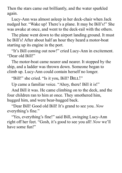Then the stars came out brilliantly, and the water sparkled again.

Lucy-Ann was almost asleep in her deck-chair when Jack nudged her. "Wake up! There's a plane. It may be Bill's!" She was awake at once, and went to the deck-rail with the others.

The plane went down to the airport landing ground. It must be Bill's! After about half an hour they heard a motor-boat starting up its engine in the port.

"It's Bill coming out now!" cried Lucy-Ann in excitement. "Dear old Bill!"

The motor-boat came nearer and nearer. It stopped by the ship, and a ladder was thrown down. Someone began to climb up. Lucy-Ann could contain herself no longer.

"Bill!" she cried. "Is it you, Bill? BILL!"

Up came a familiar voice. "Ahoy, there! Bill it is!"

And Bill it was. He came climbing on to the deck, and the four children ran to him at once. They smothered him, hugged him, and were bear-hugged back.

"Dear Bill! Good old Bill! It's grand to see you. *Now* everything's fine."

"Yes, everything's fine!" said Bill, swinging Lucy-Ann right off her feet. "Gosh, it's good to see you all! *Now* we'll have some fun!"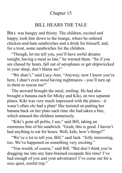## Chapter 15

#### BILL HEARS THE TALE

BILL was hungry and thirsty. The children, excited and happy, took him down to the lounge, where he ordered chicken-and-ham sandwiches and a drink for himself, and, for a treat, some sandwiches for the children.

"Though, let me tell you, you'll have awful dreams tonight, having a meal so late," he warned them. "So if you are chased by bears, fall out of aeroplanes or get shipwrecked in your sleep, don't blame *me*!"

"We shan't," said Lucy-Ann. "Anyway, now I know you're here, I shan't even *mind* having nightmares—you'll turn up in them to rescue me!"

The steward brought the meal, smiling. He had also brought a banana each for Micky and Kiki, on two separate plates. Kiki was very much impressed with the plates—it wasn't often *she* had a plate! She insisted on putting her banana back on her plate each time she had taken a bite, which amused the children immensely.

"Kiki's gone all polite, I see," said Bill, taking an enormous bite of his sandwich. "Gosh, this is good. I haven't had anything to eat for hours. Well, kids, how's things?"

"We've a lot to tell you, Bill," said Jack. "Jolly interesting, too. We've happened on something very exciting."

"You would, of course," said Bill. "But don't think you're dragging me into any hare-brained escapade this time! I've had enough of you and your adventures! I've come out for a nice quiet, restful trip."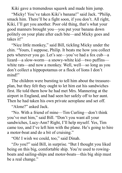Kiki gave a tremendous squawk and made him jump.

"Micky! You've taken Kiki's banana!" said Jack. "Philip, smack him. There'll be a fight soon, if you don't. All right, Kiki, I'll get you another. Poor old thing, that's what your good manners brought you—you put your banana down politely on your plate after each bite—and Micky goes and takes it!"

"Nice little monkey," said Bill, tickling Micky under the chin. "Yours, I suppose, Philip. It beats me how you collect pets wherever you go. Let's see—you've had a fox cub—a lizard—a slow-worm—a snowy-white kid—two puffins white rats—and now a monkey. Well, well—so long as you don't collect a hippopotamus or a flock of lions I don't mind!"

The children were bursting to tell him about the treasureplan, but they felt they ought to let him eat his sandwiches first. He told them how he had met Mrs. Mannering at the airport in England, and had seen her safely off to her aunt. Then he had taken his own private aeroplane and set off.

"Alone?" asked Jack.

"No. With a friend of mine—Tim Curling—don't think you've met him," said Bill. "Don't you want all your sandwiches, Lucy-Ann? Right, I'll help myself. Yes, Tim came too, and I've left him with the plane. He's going to hire a motor-boat and do a bit of cruising."

"Oh! I wish we could, too," said Dinah.

"*Do* you?" said Bill, in surprise. "But I thought you liked being on this big, comfortable ship. You're used to rowingboats and sailing-ships and motor-boats—this big ship must be a real change."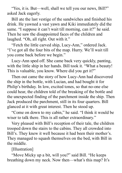"Yes, it is. But—well, shall we tell you our news, Bill?" asked Jack eagerly.

Bill ate the last vestige of the sandwiches and finished his drink. He yawned a vast yawn and Kiki immediately did the same. "I suppose it can't wait till morning, can it?" he said. Then he saw the disappointed faces of the children and laughed. "Oh, all right. Out with it."

"Fetch the little carved ship, Lucy-Ann," ordered Jack. "I've got all the four bits of the map. Hurry. We'll wait till you come back before we begin."

Lucy-Ann sped off. She came back very quickly, panting, with the little ship in her hands. Bill took it. "What a beauty! This is valuable, you know. Where did you get it?"

Then out came the story of how Lucy-Ann had discovered the ship in the bottle, with Lucian, and had bought it for Philip's birthday. In low, excited tones, so that no-one else could hear, the children told of the breaking of the bottle and the unexpected finding of the parchment inside the ship. Then Jack produced the parchment, still in its four quarters. Bill glanced at it with great interest. Then he stood up.

"Come on down to my cabin," he said. "I think it would be wiser to talk there. This is all rather extraordinary."

Very pleased with Bill's reception of their tale, the children trooped down the stairs to the cabins. They all crowded into Bill's. They knew it well because it had been their mother's. They managed to squash themselves on the bed, with Bill in the middle.

[Illustration]

"Move Micky up a bit, will you?" said Bill. "He keeps breathing down my neck. Now then—what's this map? It's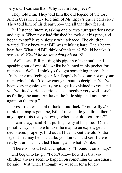very old, I can see that. Why is it in four pieces?"

They told him. They told him the old legend of the lost Andra treasure. They told him of Mr. Eppy's queer behaviour. They told him of his departure—and all that they feared.

Bill listened intently, asking one or two curt questions now and again. When they had finished he took out his pipe, and began to stuff it very slowly with tobacco. The children waited. They knew that Bill was thinking hard. Their hearts beat fast. What did Bill think of their tale? Would he take it seriously? *Would he do something about it?*

"Well," said Bill, putting his pipe into his mouth, and speaking out of one side whilst he hunted in his pocket for matches. "Well—I think you've got something there—but I'm basing my feelings on Mr. Eppy's behaviour, not on your map, which I don't know enough about to decipher. You've been very ingenious in trying to get it explained to you, and you've fitted various curious facts together very well—such as finding the name Andra on the little ship, and noticing it again on the map."

"Yes—that was a bit of luck," said Jack. "You really *do* think the map is genuine, Bill? I mean—do you think there's any hope of its really showing where the old treasure is?"

"I can't say," said Bill, puffing away at his pipe. "Can't possibly say. I'd have to take the map to an expert, get it deciphered properly, find out all I can about the old Andra legend—it may be just a tale, you know—and see if there really is an island called Thamis, and what it's like."

"There *is*," said Jack triumphantly. "I found it on a map."

Bill began to laugh. "I don't know how it is that you children always seem to happen on something extraordinary," he said. "Just when I thought we were in for a lovely,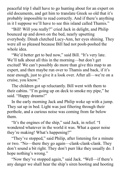peaceful trip I shall have to go hunting about for an expert on old documents, and get him to translate Greek so old that it's probably impossible to read correctly. And if there's anything in it I suppose we'll have to see this island called Thamis."

"Bill! Will you really?" cried Jack in delight, and Philip bounced up and down on the bed, nearly upsetting everybody. Dinah clutched Lucy-Ann, her eyes shining. They were all so pleased because Bill had not pooh-poohed the whole idea.

"We'd better get to bed now," said Bill. "It's very late. We'll talk about all this in the morning—but don't get excited! We can't possibly do more than give this map to an expert, and then maybe run over to Thamis and back, if it's near enough, just to give it a look over. After all—we're on a cruise, you know."

The children got up reluctantly. Bill went with them to their cabins. "I'm going up on deck to smoke my pipe," he said. "Happy dreams!"

In the early morning Jack and Philip woke up with a jump. They sat up in bed. Light was just filtering through their porthole, and a curious noise was coming from far below them.

"It's the engines of the ship," said Jack, in relief. "I wondered whatever in the world it was. What a queer noise they're making! What's happening?"

"They've stopped," said Philip, after listening for a minute or two. "No—there they go again—clank-clank-clank. They don't sound a bit right. They don't purr like they usually do. I hope nothing's wrong."

"Now they've stopped again," said Jack. "Well—if there's any danger we shall hear the ship's siren hooting and hooting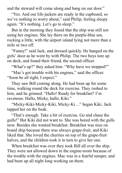and the steward will come along and bang on our door."

"Yes. And our life-jackets are ready in the cupboard, so we've nothing to worry about," said Philip, feeling sleepy again. "It's nothing. Let's go to sleep."

But in the morning they found that the ship was still not using her engines. She lay there on the purple-blue sea, rocking a little, with the airport island lying not more than a mile or two off.

"Funny!" said Jack, and dressed quickly. He banged on the girls' door as he went by with Philip. The two boys tore up on deck, and found their friend, the second officer.

"What's up?" they asked him. "Why have we stopped?"

"Mac's got trouble with his engines," said the officer. "Soon be all right, I expect."

They saw Bill coming along. He had been up for some time, walking round the deck for exercise. They rushed to him, and he grinned. "Hallo! Ready for breakfast? I'm ravenous. Hallo, Micky, hallo, Kiki."

"Micky-Kiki-Micky-Kiki, Micky-Ki ..." began Kiki. Jack tapped her on the beak.

"That's enough. Take a bit of exercise. Go and chase the gulls!" But Kiki did not want to. She was bored with the gulls now. Besides she wanted breakfast. Breakfast was nice on board ship because there was always grape-fruit, and Kiki liked that. She loved the cherries on top of the grape-fruit halves, and the children took it in turn to give her one.

When breakfast was over they took Bill all over the ship. They were not allowed down in the engine-room because of the trouble with the engines. Mac was in a fearful temper, and had been up all night long working on them.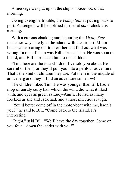A message was put up on the ship's notice-board that morning.

Owing to engine-trouble, the *Viking Star* is putting back to port. Passengers will be notified further at six o'clock this evening.

With a curious clanking and labouring the *Viking Star* made her way slowly to the island with the airport. Motorboats came roaring out to meet her and find out what was wrong. In one of them was Bill's friend, Tim. He was soon on board, and Bill introduced him to the children.

"Tim, here are the four children I've told you about. Be careful of them, or they'll pull you into a perilous adventure. That's the kind of children they are. Put them in the middle of an iceberg and they'll find an adventure somehow!"

The children liked Tim. He was younger than Bill, had a mop of unruly curly hair which the wind did what it liked with, and eyes as green as Lucy-Ann's. He had as many freckles as she and Jack had, and a most infectious laugh.

"You'd better come off in the motor-boat with me, hadn't you?" he said to Bill. "Come back to the island. It's interesting."

"Right," said Bill. "We'll have the day together. Come on, you four—down the ladder with you!"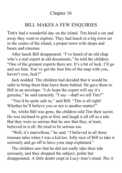## Chapter 16

## BILL MAKES A FEW ENQUIRIES

THEY had a wonderful day on the island. Tim hired a car and away they went to explore. They had lunch in a big town set in the centre of the island, a proper town with shops and buses and cinemas.

After lunch Bill disappeared. "I've heard of an old chap who's a real expert at old documents," he told the children. "One of the greatest experts there are. It's a bit of luck. I'll go and see him. You've got the four bits of the map with you, haven't you, Jack?"

Jack nodded. The children had decided that it would be safer to bring them than leave them behind. He gave them to Bill in an envelope. "I *do* hope the expert will say it's genuine," he said earnestly. "I say—shall we tell Tim?"

"You'd be quite safe to," said Bill. "Tim is all right!" Whether he'll believe you or not is another matter!"

So, whilst Bill was gone, the children told Tim their secret. He was inclined to grin at first, and laugh it all off as a tale. But they were so serious that he saw that they, at least, believed in it all. He tried to be serious too.

"Well, it's marvellous," he said. "*I* believed in all these treasure tales when I was a kid too. Jolly nice of Bill to take it seriously and go off to have your map explained."

The children saw that he did not really take their tale seriously, and they dropped the subject, polite but disappointed. A little doubt crept in Lucy-Ann's mind. *Was* it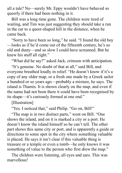all a tale? No—surely Mr. Eppy wouldn't have behaved so queerly if there had been nothing in it.

Bill was a long time gone. The children were tired of waiting, and Tim was just suggesting they should take a run in the car to a queer-shaped hill in the distance, when he came back.

"Sorry to have been so long," he said. "I found the old boy —looks as if he'd come out of the fifteenth century, he's so old and dusty—and so slow I could have screamed. But he knew his stuff all right."

"What did he say?" asked Jack, crimson with anticipation.

"It's genuine. No doubt of that at all," said Bill, and everyone breathed loudly in relief. "He doesn't know if it's a copy of any older map, or a fresh one made by a Greek sailor a hundred or so years ago—probably a mixture, he says. The island is Thamis. It is shown clearly on the map, and even if the name had not been there it could have been recognised by its shape—it's curiously formed at one end."

[Illustration]

"Yes. I noticed that," said Philip. "Go on, Bill!"

"The map is in two distinct parts," went on Bill. "One shows the island, and on it is marked a city or a port. He doesn't know the island himself so he can't tell. The other part shows this same city or port, and is apparently a guide or directions to some spot in the city where something valuable is placed. He says it isn't clear if this valuable thing is treasure or a temple or even a tomb—he only knows it was something of value to the person who first drew the map."

The children were listening, all eyes and ears. This was marvellous!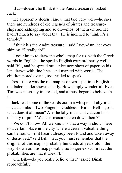"But—doesn't he think it's the Andra treasure?" asked Jack.

"He apparently doesn't know that tale very well—he says there are hundreds of old legends of pirates and treasureships and kidnapping and so on—most of them untrue. He hadn't much to say about that. He is inclined to think it's a temple."

"*I* think it's the Andra treasure," said Lucy-Ann, her eyes shining. "I really do!"

"I got him to re-draw the whole map for us, with the Greek words in English—he speaks English extraordinarily well," said Bill, and he spread out a nice new sheet of paper on his lap, drawn with fine lines, and marked with words. The children pored over it, too thrilled to speak.

Yes—there was the old map re-drawn—put into English the faded marks shown clearly. How simply wonderful! Even Tim was intensely interested, and almost began to believe in it.

Jack read some of the words out in a whisper. "Labyrinth —Catacombs—Two-Fingers—Goddess—Bird—Bell—gosh, what does it all mean? Are the labyrinths and catacombs in this city or port? Was the treasure taken down them?"

"We don't know. All we know is that a way is shown here to a certain place in the city where a certain valuable thing can be found—if it hasn't already been found and taken away or destroyed," said Bill. "But you must remember that the original of this map is probably hundreds of years old—the way shown on this map possibly no longer exists. In fact the probabilities are that it doesn't."

"Oh, Bill—do you really believe that?" asked Dinah reproachfully.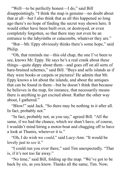"Well—to be perfectly honest—I do," said Bill disappointingly. "I think the map is genuine—no doubt about that at all—but I also think that as all this happened so long ago there's no hope of finding the secret way shown here. It would either have been built over, or destroyed, or even completely forgotten, so that there may not even be an entrance to the labyrinths or catacombs, whatever they are."

"But—Mr. Eppy obviously thinks there's some hope," said Philip.

"Oh, that reminds me—this old chap, the one I've been to see, knows Mr. Eppy. He says he's a real crank about these things—quite dippy about them—and goes off on all sorts of hare-brained schemes," said Bill. "Buys and sells islands as if they were books or carpets or pictures! He admits that Mr. Eppy knows a lot about the islands, and about the antiques that can be found in them—but he doesn't think that because he believes in the map, for instance, that necessarily means there is anything to get excited about. Rather the other way about, I gathered."

"Blow!" said Jack. "So there may be nothing in it after all. In fact, probably not."

"In fact, probably not, as you say," agreed Bill. "All the same, if we had the chance, which we shan't have, of course, I wouldn't mind hiring a motor-boat and chugging off to have a look at Thamis, wherever it is."

"Oh, I do wish we *could*," said Lucy-Ann. "It would be lovely just to *see* it."

"I could run you over there," said Tim unexpectedly. "That is, if it's not too far away."

"No time," said Bill, folding up the map. "We've got to be back by six, as you know. Thanks all the same, Tim. Now,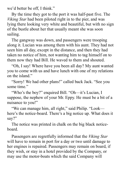we'd better be off, I think."

By the time they got to the port it was half-past five. The *Viking Star* had been piloted right in to the pier, and was lying there looking very white and beautiful, but with no sign of the bustle about her that usually meant she was soon sailing.

The gangway was down, and passengers were trooping along it. Lucian was among them with his aunt. They had not seen him all day, except in the distance, and then they had taken no notice of him, not wanting him to tag himself on to them now they had Bill. He waved to them and shouted.

"Oh, I say! Where have you been all day? My aunt wanted you to come with us and have lunch with one of my relations on the island."

"Sorry! We had other plans!" called back Jack. "See you some time."

"Who's the boy?" enquired Bill. "Oh—it's Lucian, I suppose, the nephew of your Mr. Eppy. He must be a bit of a nuisance to you!"

"We can manage him, all right," said Philip. "Look here's the notice-board. There's a big notice up. What does it say?"

The notice was printed in chalk on the big black noticeboard.

Passengers are regretfully informed that the *Viking Star* will have to remain in port for a day or two until damage to her engines is repaired. Passengers may remain on board, if they wish, or stay in a hotel provided by the Company, or may use the motor-boats which the said Company will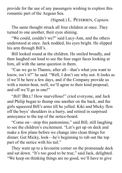provide for the use of any passengers wishing to explore this romantic part of the Aegean Sea.

(Signed.) L. PETERSEN, *Captain*.

The same thought struck all four children at once. They turned to one another, their eyes shining.

"We could, couldn't we?" said Lucy-Ann, and the others understood at once. Jack nodded, his eyes bright. He slipped his arm through Bill's.

Bill looked round at the children. He smiled broadly, and then laughed out loud to see the four eager faces looking at him, all with the same question in them.

"Can we go to Thamis, after all—that's what you want to know, isn't it?" he said. "Well, I don't see why not. It looks as if we'll be here a few days, and if the Company provide us with a motor-boat, well, we'll agree to their kind proposal, and off we'll go in one!"

"*Bill!* BILL! How marvellous!" cried everyone, and Jack and Philip began to thump one another on the back, and the girls squeezed Bill's arms till he yelled. Kiki and Micky flew off the boys' shoulders in a hurry, and retired in surprised annoyance to the top of the notice-board.

"Come on—stop this pantomime," said Bill, still laughing to see the children's excitement. "Let's get up on deck and make a few plans before we change into clean things for dinner. Get Micky, look—he's beginning to rub out the top part of the notice with his tail."

They went up to a favourite corner on the promenade deck and sat down. "It's too good to be true," said Jack, delighted. "We keep on thinking things are no good, we'll have to give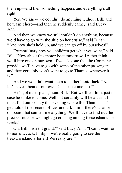them up—and then something happens and everything's all right."

"Yes. We knew we couldn't do anything without Bill, and he wasn't here—and then he suddenly came," said Lucy-Ann.

"And then we knew we still couldn't do anything, because we'd have to go with the ship on her cruise," said Dinah. "And now she's held up, and we can go off by ourselves!"

"Extraordinary how you children get what you want," said Bill. "Now about this motor-boat tomorrow. I rather think we'll hire one on our own. If we take one that the Company provide we'll have to go with some of the other passengers and they certainly won't want to go to Thamis, wherever it  $i_S$  "

"And we wouldn't want them to, either," said Jack. "No let's have a boat of our own. Can Tim come too?"

"He's got other plans," said Bill. "But we'll tell him, just in case he'd like to come. Well—it certainly will be a thrill. I must find out exactly this evening where this Thamis is. I'll get hold of the second officer and ask him if there's a sailor on board that can tell me anything. We'll have to find out the precise route or we might go cruising among these islands for weeks!"

"Oh, Bill—isn't it grand?" said Lucy-Ann. "I can't wait for tomorrow. Jack, Philip—we're really going to see the treasure island after all! We really are!"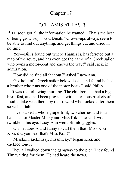## Chapter 17

# TO THAMIS AT LAST!

BILL soon got all the information he wanted. "That's the best of being grown-up," said Dinah. "Grown-ups always seem to be able to find out anything, and get things cut and dried in no time"

"Yes—Bill's found out where Thamis is, has ferreted out a map of the route, and has even got the name of a Greek sailor who owns a motor-boat and knows the way!" said Jack, in admiration.

"How did he find all that out?" asked Lucy-Ann.

"Got hold of a Greek sailor below decks, and found he had a brother who runs one of the motor-boats," said Philip.

It was the following morning. The children had had a big breakfast, and had been provided with enormous packets of food to take with them, by the steward who looked after them so well at table.

"I've packed a whole grape-fruit, two cherries and four bananas for Master Micky and Miss Kiki," he said, with a twinkle in his eye. Lucy-Ann went off into giggles.

"Oh—it does sound funny to call them that! Miss Kiki! Kiki, did you hear that? Miss Kiki!"

"Misskiki, kickmissy, missmicky," began Kiki, and cackled loudly.

They all walked down the gangway to the pier. They found Tim waiting for them. He had heard the news.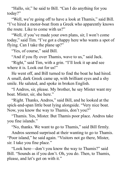"Hallo, sir," he said to Bill. "Can I do anything for you today?"

"Well, we're going off to have a look at Thamis," said Bill. "I've hired a motor-boat from a Greek who apparently knows the route. Like to come with us?"

"Well, if you've made your own plans, sir, I won't come today," said Tim. "I've got a chappy here who wants a spot of flying. Can I take the plane up?"

"Yes, of course," said Bill.

"And if you fly over Thamis, wave to us," said Jack.

"Right," said Tim, with a grin. "I'll look it up and see where it is. Look out for us!"

He went off, and Bill turned to find the boat he had hired. A small, dark Greek came up, with brilliant eyes and a shy smile. He saluted, and spoke in broken English.

"I Andros, sir, please. My brother, he say Mister want my boat. Mister, sir, she here."

"Right. Thanks, Andros," said Bill, and he looked at the spick-and-span little boat lying alongside. "Very nice boat. Now, you know the way to Thamis, don't you?"

"Thamis. Yes, Mister. But Thamis poor place. Andros take you fine islands."

"No, thanks. We want to go to Thamis," said Bill firmly.

Andros seemed surprised at their wanting to go to Thamis. "Poor island," he said again. "Visitors not go there, Mister, sir. I take you fine place."

"Look here—don't you know the way to Thamis?" said Bill. "Sounds as if you don't. Oh, you do. Then, to Thamis, please, and let's get on with it."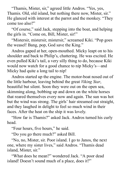"Thamis, Mister, sir," agreed little Andros. "Yes, yes, Thamis. Old, old island, but nothing there now, Mister, sir." He glanced with interest at the parrot and the monkey. "They come too also?"

"Of course," said Jack, stepping into the boat, and helping the girls in. "Come on, Bill, Mister, sir!"

"Mistersir, mistersir, mistersir," screamed Kiki. "Pop goes the weasel! Bang, pop, God save the King."

Andros gaped at her, open-mouthed. Micky leapt on to his shoulder and back to Philip's, chattering. He was excited. He even pulled Kiki's tail, a very silly thing to do, because Kiki would now watch for a good chance to nip Micky's—and Micky had quite a long tail to nip!

Andros started up the engine. The motor-boat nosed out of the little harbour, leaving behind the great *Viking Star*, beautiful but silent. Soon they were out on the open sea, skimming along, bobbing up and down on the white horses that reared themselves every now and again. The sun was hot but the wind was strong. The girls' hair streamed out straight, and they laughed in delight to feel so much wind in their faces. After the heat on the ship it was lovely.

"How far is Thamis?" asked Jack. Andros turned his curly head.

"Four hours, five hours," he said.

"Do you go there much?" asked Bill.

"No, no, Mister, sir. Poor island. I go to Janos, the next one, where my sister lives," said Andros. "Thamis dead island, Mister, sir."

"What does he mean?" wondered Jack. "A poor dead island! Doesn't sound much of a place, does it?"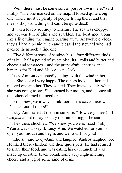"Well, there must be some sort of port or town there," said Philip. "The one marked on the map. It looked quite a big one. There must be plenty of people living there, and that means shops and things. It can't be quite dead!"

It was a lovely journey to Thamis. The sea was choppy, and yet was full of glints and sparkles. The boat sped along like a live thing, the engine purring away. At twelve o'clock they all had a picnic lunch and blessed the steward who had packed them such a fine one.

"Five different sorts of sandwiches—four different kinds of cake—half a pound of sweet biscuits—rolls and butter and cheese and tomatoes—and the grape-fruit, cherries and bananas for Kiki and Micky," said Jack.

Lucy-Ann sat contentedly eating, with the wind in her face. She looked very happy. The others looked at her and nudged one another. They waited. They knew exactly what she was going to say. She opened her mouth, and at once all the others chimed in together.

"You know, we always think food tastes *much* nicer when it's eaten out of doors!"

Lucy-Ann stared at them in surprise. "How very queer!—I was *just* about to say exactly the same thing," she said.

The others chuckled. "We knew you were," said Philip. "You always do say it, Lucy-Ann. We watched for you to open your mouth and begin, and we said it for you!"

"Idiots," said Lucy-Ann, and laughed. Andros laughed too. He liked these children and their queer pets. He had refused to share their food, and was eating his own lunch. It was made up of rather black bread, some very high-smelling cheese and a jug of some kind of drink.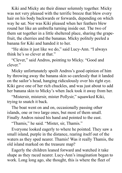Kiki and Micky ate their dinner solemnly together. Micky was not very pleased with the terrific breeze that blew every hair on his body backwards or forwards, depending on which way he sat. Nor was Kiki pleased when her feathers blew round her like an umbrella turning inside out. The two of them sat together in a little sheltered place, sharing the grapefruit, the cherries and the bananas. Micky politely peeled a banana for Kiki and handed it to her.

"He skins it just like we do," said Lucy-Ann. "I always think he's so clever at that."

"Clever," said Andros, pointing to Micky. "Good and clever."

Micky unfortunately spoilt Andros's good opinion of him by throwing away the banana skin so carelessly that it landed on the sailor's head, hanging ridiculously over his right eye. Kiki gave one of her rich chuckles, and was just about to add her banana skin to Micky's when Jack took it away from her.

"Mistersir, mistersir, mister Pollysir," squawked Kiki, trying to snatch it back.

The boat went on and on, occasionally passing other islands, one or two large ones, but most of them small. Finally Andros raised his hand and pointed to the east.

"Thamis," he said. "Mister, sir, Thamis."

Everyone looked eagerly to where he pointed. They saw a small island, purple in the distance, rearing itself out of the waters as they sped nearer. Thamis! Was it really Thamis, the old island marked on the treasure map?

Eagerly the children leaned forward and watched it take shape as they raced nearer. Lucy-Ann's imagination began to work. Long long ago, she thought, this is where the fleet of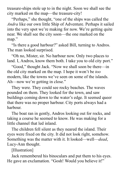treasure-ships stole up to in the night. Soon we shall see the city marked on the map—the treasure-city!

"Perhaps," she thought, "one of the ships was called the *Andra* like our own little Ship of Adventure. Perhaps it sailed into the very spot we're making for now. We're getting quite near. We shall see the city soon—the one marked on the map."

"Is there a good harbour?" asked Bill, turning to Andros. The man looked surprised.

"Oh no, Mister, sir. No harbour now. Only two places to land. I, Andros, know them both. I take you to old city port."

"Good," thought Jack. "Now we shall soon be there—in the old city marked on the map. I hope it won't be *too* modern, like the towns we've seen on some of the islands. Ah—now we're getting in close."

They were. They could see rocky beaches. The waves pounded on them. They looked for the town, and saw buildings coming down to the water's edge. It seemed queer that there was no proper harbour. City ports always had a harbour.

The boat ran in gently, Andros looking out for rocks, and taking a course he seemed to know. He was making for a little channel that led inland.

The children fell silent as they neared the island. Their eyes were fixed on the city. It did not look right, somehow. Something was the matter with it. It looked—well—*dead*, Lucy-Ann thought.

[Illustration]

Jack remembered his binoculars and put them to his eyes. He gave an exclamation. "Gosh! Would you believe it!"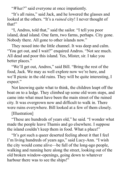"*What?*" said everyone at once impatiently.

"It's all ruins," said Jack, and he lowered the glasses and looked at the others. "It's a *ruined* city! I never thought of that!"

"I, Andros, told that," said the sailor. "I tell you poor island, dead island. One farm, two farms, perhaps. City gone. Nobody there. All gone to other islands now."

They nosed into the little channel. It was deep and calm. "You get out, and I wait?" enquired Andros. "Not see much. All dead and poor this island. Yes, Mister, sir. I take you better places."

"We'll get out, Andros," said Bill. "Bring the rest of the food, Jack. We may as well explore now we're here, and we'll picnic in the old ruins. They will be quite interesting, I expect."

Not knowing quite what to think, the children leapt off the boat on to a ledge. They climbed up some old worn steps, and came into what must have been the main street of the ruined city. It was overgrown now and difficult to walk in. There were ruins everywhere. Bill looked at a few of them closely.

[Illustration]

"These are hundreds of years old," he said. "I wonder what made the people leave Thamis and go elsewhere. I suppose the island couldn't keep them in food. What a place!"

"It's got such a queer deserted feeling about it that I feel I'm living hundreds of years ago," said Lucy-Ann. "I wish the city would come alive—be full of the long-ago people, walking and running here along the street, looking out of the old broken window-openings, going down to whatever harbour there was to see the ships!"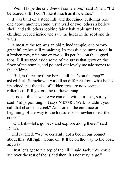"Well, I hope the city *doesn't* come alive," said Dinah. "I'd be scared stiff. I don't like it much as it is, either."

It was built on a steep hill, and the ruined buildings rose one above another, some just a wall or two, others a hollow shell, and still others looking fairly habitable until the children peeped inside and saw the holes in the roof and the walls.

Almost at the top was an old ruined temple, one or two graceful arches still remaining. Its massive columns stood in a broken row, with one or two gulls perched on the jagged tops. Bill scraped aside some of the grass that grew on the floor of the temple, and pointed out lovely mosaic stones to the children.

"Bill, is there anything here at all that's on the map?" asked Jack. Somehow it was all so different from what he had imagined that the idea of hidden treasure now seemed ridiculous. Bill got out the re-drawn map.

"Look—this is where we came in with our boat, surely," said Philip, pointing. "It says 'CREEK'. Well, wouldn't you call that channel a creek? And look—the entrance or beginning of the way to the treasure is somewhere near the creek."

"Oh, Bill—let's go back and explore along there!" said Dinah.

Bill laughed. "We've certainly got a bee in our bonnet about this! All right. Come on. It'll be on the way to the boat, anyway."

"Just let's get to the top of the hill," said Jack. "We could see over the rest of the island then. It's not very large."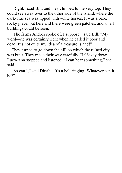"Right," said Bill, and they climbed to the very top. They could see away over to the other side of the island, where the dark-blue sea was tipped with white horses. It was a bare, rocky place, but here and there were green patches, and small buildings could be seen.

"The farms Andros spoke of, I suppose," said Bill. "My word—he was certainly right when he called it poor and dead! It's not quite my idea of a treasure island!"

They turned to go down the hill on which the ruined city was built. They made their way carefully. Half-way down Lucy-Ann stopped and listened. "I can hear something," she said.

"So can I," said Dinah. "It's a bell ringing! Whatever can it be?"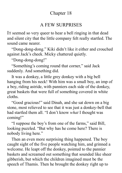# Chapter 18

# A FEW SURPRISES

It seemed so very queer to hear a bell ringing in that dead and silent city that the little company felt really startled. The sound came nearer.

"Dong-dong-dong." Kiki didn't like it either and crouched against Jack's cheek. Micky chattered quietly.

"Dong-dong-dong!"

"Something's coming round that corner," said Jack suddenly. And something did.

It was a donkey, a little grey donkey with a big bell hanging from his neck! With him was a small boy, an imp of a boy, riding astride, with panniers each side of the donkey, great baskets that were full of something covered in white cloths.

"Good gracious!" said Dinah, and she sat down on a big stone, most relieved to see that it was just a donkey-bell that had startled them all. "I don't know *what* I thought was coming!"

"I suppose the boy's from one of the farms," said Bill, looking puzzled. "But why has he come here? There is nobody living here."

Then an even more surprising thing happened. The boy caught sight of the five people watching him, and grinned a welcome. He leapt off the donkey, pointed to the pannier baskets and screamed out something that sounded like sheer gibberish, but which the children imagined must be the speech of Thamis. Then he brought the donkey right up to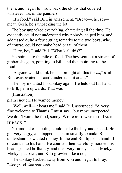them, and began to throw back the cloths that covered whatever was in the panniers.

"It's food," said Bill, in amazement. "Bread—cheeses meat. Gosh, he's unpacking the lot."

The boy unpacked everything, chattering all the time. He evidently could not understand why nobody helped him, and addressed quite a few cutting remarks to the two boys, who, of course, could not make head or tail of them.

"Here, boy," said Bill. "What's all this?"

He pointed to the pile of food. The boy sent out a stream of gibberish again, pointing to Bill, and then pointing to the food.

"Anyone would think he had brought all this for *us*," said Bill, exasperated. "I can't understand it at all."

The boy mounted his donkey again. He held out his hand to Bill, palm upwards. That was

[Illustration]

plain enough. He wanted money!

"Well, well—it beats me," said Bill, astounded. "A very fine welcome to Thamis, I must say—but most unexpected. We don't want the food, sonny. WE  $DOM'T$  WANT IT. TAKE IT BACK!"

No amount of shouting could make the boy understand. He got very angry, and tapped his palm smartly to make Bill understand he wanted money. In the end Bill tipped a handful of coins into his hand. He counted them carefully, nodded his head, grinned brilliantly, and then very rudely spat at Micky. Micky spat back, and Kiki growled like a dog.

The donkey backed away from Kiki and began to bray. "Eee-yore! Eee-eee-yore!"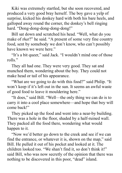Kiki was extremely startled, but she soon recovered, and produced a very good bray herself. The boy gave a yelp of surprise, kicked his donkey hard with both his bare heels, and galloped away round the corner, the donkey's bell ringing hard. "Dong-dong-dong-dong-dong!"

Bill sat down and scratched his head. "Well, what do you make of *that*?" he said. "A present of some very fine country food, sent by somebody we don't know, who can't possibly have known we were here."

"It's a bit queer," said Jack. "I wouldn't mind one of those rolls."

They all had one. They were very good. They sat and munched them, wondering about the boy. They could not make head or tail of his appearance.

"What are we going to do with this food?" said Philip. "It won't keep if it's left out in the sun. It seems an awful waste of good food to leave it mouldering here."

"It does," said Bill. "Well—the only thing we can do is to carry it into a cool place somewhere—and hope that boy will come back!"

They picked up the food and went into a near-by building. There was a hole in the floor, shaded by a half-ruined wall. They packed all the food there, wondering what would happen to it.

"Now we'd better go down to the creek and see if we can find the entrance, or whatever it is, shown on the map," said Bill. He pulled it out of his pocket and looked at it. The children looked too. "We shan't find it, so don't think it!" said Bill, who was now secretly of the opinion that there was nothing to be discovered in this poor, "dead" island.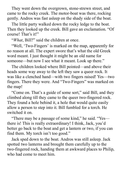They went down the overgrown, stone-strewn street, and came to the rocky creek. The motor-boat was there, rocking gently. Andros was fast asleep on the shady side of the boat.

The little party walked down the rocky ledge to the boat. Then they looked up the creek. Bill gave an exclamation. "Of course! That's it!"

"*What*, Bill?" said the children at once.

"Well, 'Two-Fingers' is marked on the map, apparently for no reason at all. The expert swore that's what the old Greek word meant. I just thought it might be an old name for someone—but now I see what it meant. Look up there."

The children looked where Bill pointed—and above their heads some way away to the left they saw a queer rock. It was like a clenched hand—with two fingers raised! Yes—two fingers. There they were. And "Two-Fingers" was marked on the map!

"Come on. That's a guide of some sort," said Bill, and they climbed along till they came to the queer two-fingered rock. They found a hole behind it, a hole that would quite easily allow a person to step into it. Bill fumbled for a torch. He switched it on.

"There may be a passage of some kind," he said. "Yes there is! This is really extraordinary! I think, Jack, you'd better go back to the boat and get a lantern or two, if you can find them. My torch isn't too good."

Jack sped down to the boat. Andros was still asleep. Jack spotted two lanterns and brought them carefully up to the two-fingered rock, handing them at awkward places to Philip, who had come to meet him.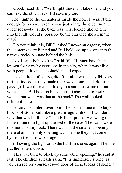"Good," said Bill. "We'll light these. I'll take one, and you can take the other, Jack. I'll save my torch."

They lighted the oil lanterns inside the hole. It wasn't big enough for a cave. It really was just a large hole behind the queer rock—but at the back was what looked like an entry into the hill. Could it possibly be the entrance shown in the map?

"Do you think it is, Bill?" asked Lucy-Ann eagerly, when the lanterns were lighted and Bill held one up to peer into the narrow rocky passage behind the hole.

"No. I can't believe it is," said Bill. "It must have been known for years by everyone in the city, when it was alive with people. It's just a coincidence, I expect."

The children, of course, didn't think it was. They felt very thrilled indeed as they made their way along the dark little passage. It went for a hundred yards and then came out into a wide space. Bill held up his lantern. It shone on to rocky walls—but what was that at the back? The wall looked different there.

He took his lantern over to it. The beam shone on to large blocks of stone built like a great irregular door. "I wonder why that was built here," said Bill, surprised. He swung the lantern round to light up the rest of the cave. The walls were of smooth, shiny rock. There was not the smallest opening there at all. The only opening was the one they had come in by, from the narrow passage.

Bill swung the light on to the built-in stones again. Then he put the lantern down.

"This was built to block up some other opening," he said at last. The children's hearts sank. "It is immensely strong, as you can see for yourselves—a door of great blocks of stone, a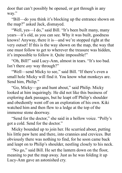door that can't possibly be opened, or got through in any way."

"Bill—do you think it's blocking up the entrance shown on the map?" asked Jack, dismayed.

"Well, yes—I do," said Bill. "It's been built many, many years—it's old, as you can see. Why it was built, goodness knows! Anyway, there it is—and we're stopped right at the very outset! If this is the way shown on the map, the way that one must follow to get to wherever the treasure was hidden, it's impossible to follow it. Quite impossible!"

"Oh, Bill!" said Lucy-Ann, almost in tears. "It's too bad. Isn't there *any* way through?"

"Well—send Micky to see," said Bill. "If there's even a small hole Micky will find it. You know what monkeys are. Send him, Philip."

"Go, Micky—go and hunt about," said Philip. Micky looked at him inquiringly. He did not like this business of exploring dark passages, but he leapt off Philip's shoulder and obediently went off on an exploration of his own. Kiki watched him and then flew to a ledge at the top of the immense stone doorway.

"Send for the doctor," she said in a hollow voice. "Polly's got a cold. Send for the doctor."

Micky bounded up to join her. He scurried about, putting his little paw here and there, into crannies and crevices. But obviously there was nothing to find, for he soon came back and leapt on to Philip's shoulder, nestling closely to his neck.

"No go," said Bill. He set the lantern down on the floor, meaning to put the map away. Just as he was folding it up Lucy-Ann gave an astonished cry.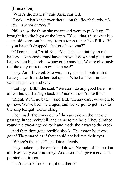[Illustration]

"What's the matter?" said Jack, startled.

"Look—what's that over there—on the floor? Surely, it's —it's—a *torch battery*!"

Philip saw the thing she meant and went to pick it up. He brought it to the light of the lamp. "Yes—that's just what it is —an old worn-out battery from a torch rather like Bill's. Bill —you haven't dropped a battery, have you?"

"Of course not," said Bill. "Yes, this is certainly an old battery—somebody must have thrown it down and put a new battery into his torch—whoever he may be! We are obviously not the only ones to know this place!"

Lucy-Ann shivered. She was sorry she had spotted that battery now. It made her feel queer. Who had been in this walled-up cave, and why?

"Let's go, Bill," she said. "We can't do any good here—it's all walled up. Let's go back to Andros. I don't like this."

"Right. We'll go back," said Bill. "In any case, we ought to go now. We've been here ages, and we've got to get back to the ship tonight. Come along."

They made their way out of the cave, down the narrow passage in the rocky hill and came to the hole. They climbed round the two-fingered rock and made their way to the creek.

And then they got a terrible shock. The motor-boat was gone! They stared as if they could not believe their eyes.

"Where's the boat?" said Dinah feebly.

They looked up the creek and down. No sign of the boat at all. How very extraordinary! And then Jack gave a cry, and pointed out to sea.

"Isn't that it? Look—right out there?"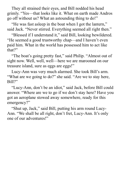They all strained their eyes, and Bill nodded his head grimly. "Yes—that looks like it. What on earth made Andros go off without us? What an astounding thing to do!"

"He was fast asleep in the boat when I got the lantern," said Jack. "Never stirred. Everything seemed all right then."

"Blessed if I understand it," said Bill, looking bewildered. "He seemed a good trustworthy chap—and I haven't even paid him. What in the world has possessed him to act like that?"

"The boat's going pretty fast," said Philip. "Almost out of sight now. Well, well, well—here we are marooned on our treasure island, sure as eggs are eggs!"

Lucy-Ann was very much alarmed. She took Bill's arm. "What are we going to do?" she said. "Are we to stay here, Bill?"

"Lucy-Ann, don't be an idiot," said Jack, before Bill could answer. "Where are we to go if we don't stay here? Have you got an aeroplane stowed away somewhere, ready for this emergency?"

"Shut up, Jack," said Bill, putting his arm round Lucy-Ann. "We shall be all right, don't fret, Lucy-Ann. It's only one of our adventures!"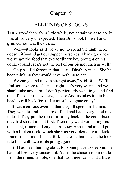### Chapter 19

### ALL KINDS OF SHOCKS

THEY stood there for a little while, not certain what to do. It was all so very unexpected. Then Bill shook himself and grinned round at the others.

"Well—it looks as if we've got to spend the night here, doesn't it?—and get our supper ourselves. Thank goodness we've got the food that extraordinary boy brought on his donkey! And Jack's got the rest of our picnic lunch as well."

"Oh *yes*—I'd forgotten that!" said Dinah, pleased. She had been thinking they would have nothing to eat.

"We can go and tuck in straight away," said Bill. "We'll find somewhere to sleep all right—it's very warm, and we shan't take any harm. I don't particularly want to go and find one of those farms we saw, in case Andros takes it into his head to call back for us. He must have gone crazy."

It was a curious evening that they all spent on Thamis. They went to find the store of food and had a very good meal indeed. They put the rest of it safely back in the cool place they had stored it in at first. Then they went wandering round the silent, ruined old city again. Lucy-Ann found an old pot with a broken neck, which she was very pleased with. Jack found some kind of metal fork—at least that is what he took it to be—with two of its prongs gone.

Bill had been hunting about for some place to sleep in. He had not been very successful. At last he chose a room not far from the ruined temple, one that had three walls and a little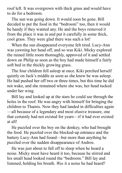roof left. It was overgrown with thick grass and would have to do for a bedroom.

The sun was going down. It would soon be gone. Bill decided to put the food in the "bedroom" too, then it would be handy if they wanted any. He and the boys removed it from the place it was in and put it carefully in some thick, cool grass. They were glad there was such a lot!

When the sun disappeared everyone felt tired. Lucy-Ann was yawning her head off, and so was Kiki. Micky explored the ruined little room thoroughly, approved of it and settled down on Philip as soon as the boy had made himself a fairly soft bed in the thickly growing grass.

The four children fell asleep at once. Kiki perched herself quietly on Jack's middle as soon as she knew he was asleep. He had pushed her off two or three times, but this time he did not wake, and she remained where she was, her head tucked under her wing.

Bill lay and looked up at the stars he could see through the holes in the roof. He was angry with himself for bringing the children to Thamis. Now they had landed in difficulties again —all because of a legendary and most elusive treasure, one that certainly had not existed for years—if it had ever existed at all!

He puzzled over the boy on the donkey, who had brought the food. He puzzled over the blocked-up entrance and the battery Lucy-Ann had found—but more than anything he puzzled over the sudden disappearance of Andros.

He was just about to fall off to sleep when he heard a noise. Micky must have heard it too, because he stirred and his small head looked round the "bedroom." Bill lay and listened, holding his breath. *Was* it a noise he had heard?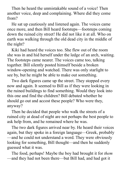Then he heard the unmistakable sound of a voice! Then another voice, deep and complaining. Where did they come from?

He sat up cautiously and listened again. The voices came once more, and then Bill heard footsteps—footsteps coming down the ruined city street! He did not like it at all. Who on earth was walking through the old dead city in the middle of the night?

Kiki had heard the voices too. She flew out of the room she was in and hid herself under the ledge of an arch, waiting. The footsteps came nearer. The voices came too, talking together. Bill silently posted himself beside a broken window-opening and watched. There was only starlight to see by, but he might be able to make out something.

Two dark figures came up the street. They stopped every now and again. It seemed to Bill as if they were looking in the ruined buildings to find something. Would they look into this one and find the children? Bill debated whether he should go out and accost these people? Who were they, anyway?

Then he decided that people who walk the streets of a ruined city at dead of night are not perhaps the best people to ask help from, and he remained where he was.

The two dark figures arrived near by. He heard their voices again, but they spoke in a foreign language—Greek, probably —and he could not understand a word. They were obviously looking for something, Bill thought—and then he suddenly guessed what it was.

The food, perhaps! Maybe the boy had brought it for *them* —and they had not been there—but Bill had, and had got it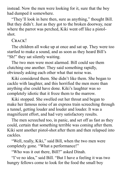instead. Now the men were looking for it, sure that the boy had dumped it somewhere.

"They'll look in here then, sure as anything," thought Bill. But they didn't. Just as they got to the broken doorway, near where the parrot was perched, Kiki went off like a pistolshot.

#### $CRACT$ !

The children all woke up at once and sat up. They were too startled to make a sound, and as soon as they heard Bill's "Sh!" they sat silently waiting.

The two men were most alarmed. Bill could see them clutching one another. They said something rapidly, obviously asking each other what that noise was.

Kiki considered them. She didn't like them. She began to cackle with laughter, and this horrified the men more than anything else could have done. Kiki's laughter was so completely idiotic that it froze them to the marrow.

Kiki stopped. She swelled out her throat and began to make her famous noise of an express train screeching through a tunnel, getting louder and louder and louder. It was a magnificent effort, and had very satisfactory results.

The men screeched too, in panic, and set off as fast as they could, certain that something terrible was coming after them. Kiki sent another pistol-shot after them and then relapsed into cackles.

"Well, really, Kiki," said Bill, when the two men were completely gone. "What a performance!"

"Who was it out there, Bill?" asked Dinah.

"I've no idea," said Bill. "But I have a feeling it was two hungry fellows come to look for the food the small boy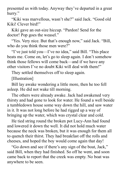presented us with today. Anyway they've departed in a great hurry."

"Kiki was marvellous, wasn't she?" said Jack. "Good old Kiki! Clever bird!"

Kiki gave an out-size hiccup. "Pardon! Send for the doctor! Pop goes the weasel."

"Yes. Very nice. But that's enough now," said Jack. "Bill, who do you think those men were?"

"I've just told you—I've no idea," said Bill. "This place beats me. Come on, let's go to sleep again. I don't somehow think those fellows will come back—and if we have any other visitors I've no doubt Kiki will deal with them!"

They settled themselves off to sleep again.

[Illustration]

Bill lay awake wondering a little more, then he too fell asleep. He did not wake till morning.

The others were already awake. Jack had awakened very thirsty and had gone to look for water. He found a well beside a tumbledown house some way down the hill, and saw water in it. It was not long before he had rigged up a way of bringing up the water, which was crystal clear and cold.

He tied string round the broken pot Lucy-Ann had found and lowered it down the well. It did not hold much water because the neck was broken, but it was enough for them all to quench their thirst. They had breakfast off the rolls and cheeses, and hoped the boy would come again that day!

"Go down and see if there's any sign of the boat, Jack," said Bill, when they had finished. So off he went, and soon came back to report that the creek was empty. No boat was anywhere to be seen.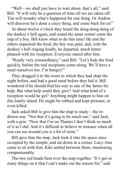"Well—we shall just have to wait about, that's all," said Bill. "It will only be a question of time till we are taken off. Tim will wonder what's happened for one thing. Or Andros will discover he's done a crazy thing, and come back for us!"

At about twelve o'clock they heard the dong-dong-dong of the donkey's bell again, and round the same corner came the imp of a boy. Bill knew what to do this time! He and the others unpacked the food, the boy was paid, and, with the donkey's bell ringing loudly, he departed, much better pleased with his reception. Everyone stared after him.

"Really very extraordinary," said Bill. "Let's hide the food quickly, before the real recipients come along. We'll have a meal ourselves too. I'm hungry!"

They dragged it to the room in which they had slept the night before, and had a good meal before they hid it. Bill wondered if he should find his way to one of the farms for help. But what help could they give? And what kind of a reception would he get? Anything might happen to him on this lonely island. He might be robbed and kept prisoner, or even killed.

Jack asked Bill to give him the map to study—the redrawn one. "Not that it's going to be much use," said Jack, with a grin. "Now that I'm on Thamis I don't think so much of it as I did. And it's difficult to believe in treasure when all you can see around you is a lot of ruins."

Bill gave him the map. Jack took it into the space once occupied by the temple, and sat down in a corner. Lucy-Ann came to sit with him. Kiki settled between them, murmuring companionably.

The two red heads bent over the map together. "It's got so many things on it that I can't make out the reason for," said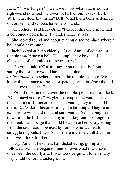Jack. " 'Two-Fingers'—well, we know what that means, all right—and now look here—a lot further on, it says 'Bell.' Well, what does that mean? Bell! What has a bell? A donkey, of course—and schools have bells—and...."

"Churches," said Lucy-Ann. "I expect this old temple had a bell once upon a time. I wonder where it was."

She looked round and about but could see no place where a bell could have hung.

Jack looked at her suddenly. "Lucy-Ann—of *course*—a temple *would* have a bell. The temple may be one of the clues, one of the guides to the treasure."

"Do you think so?" said Lucy-Ann doubtfully. "But surely the treasure would have been hidden deep *underground* somewhere—not in the temple, up here. We know the entrance to the secret passage was far *down* the hill, just above the creek."

"Would it be hidden *under* the temple, perhaps?" said Jack. "Or somewhere near? Maybe the temple had vaults. I say that's an idea! If this one once had vaults, they must still be there. *Vaults* don't become ruins, like buildings. They're not exposed to wind and rain and sun. Vaults! Yes—going deep down into the hill—reached by an underground passage from the creek—a passage that could be approached easily enough from the sea—could be used by sailors who wanted to smuggle in goods. Lucy-Ann—there must be vaults! Come on—we'll look for them."

Lucy-Ann, half excited, half disbelieving, got up and followed Jack. He began to hunt all over what must have once been the courtyard. It was too overgrown to tell if any way could be found underground.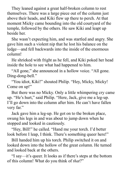They leaned against a great half-broken column to rest themselves. There was a large piece out of the column just above their heads, and Kiki flew up there to perch. At that moment Micky came bounding into the old courtyard of the temple, followed by the others. He saw Kiki and leapt up beside her.

She wasn't expecting him, and was startled and angry. She gave him such a violent nip that he lost his balance on the ledge—and fell backwards into the inside of the enormous column!

He shrieked with fright as he fell, and Kiki poked her head inside the hole to see what had happened to him.

"All gone," she announced in a hollow voice. "All gone. Ding-dong-bell."

"You idiot, Kiki!" shouted Philip. "Hey, Micky, Micky! Come on up!"

But there was no Micky. Only a little whimpering cry came up. "He's hurt," said Philip. "Here, Jack, give me a leg-up. I'll go down into the column after him. He can't have fallen very far."

Jack gave him a leg-up. He got on to the broken place, swung his legs in and was about to jump down when he stopped and looked in cautiously.

"Hey, Bill!" he called. "Hand me your torch. I'd better look before I leap, I think. There's something queer here!"

Bill handed him up his torch. Philip switched it on and looked down into the hollow of the great column. He turned and looked back at the others.

"I say—it's queer. It looks as if there's steps at the bottom of this column! What do you think of *that*?"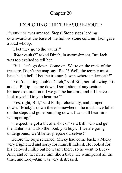### Chapter 20

#### EXPLORING THE TREASURE-ROUTE

EVERYONE was amazed. Steps! Stone steps leading downwards at the base of the hollow stone column! Jack gave a loud whoop.

"I bet they go to the vaults!"

"*What* vaults?" asked Dinah, in astonishment. But Jack was too excited to tell her.

"Bill—let's go down. Come on. We're on the track of the treasure. Didn't the map say 'Bell'? Well, the temple must have had a bell. I bet the treasure's somewhere underneath!"

"You're talking double Dutch," said Bill, not following this at all. "Philip—come down. Don't attempt any scatterbrained exploration till we get the lanterns, and till I have a look myself. Do you hear me?"

"Yes; right, Bill," said Philip reluctantly, and jumped down. "Micky's down there somewhere—he must have fallen on the steps and gone bumping down. I can still hear him whimpering."

"I expect he got a bit of a shock," said Bill. "Go and get the lanterns and also the food, you boys. If we are going underground, we'd better prepare ourselves!"

Before the boys returned, Micky had come back; a Micky very frightened and sorry for himself indeed. He looked for his beloved Philip but he wasn't there, so he went to Lucy-Ann, and let her nurse him like a baby. He whimpered all the time, and Lucy-Ann was very distressed.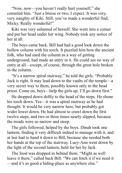"Now, now—you haven't really hurt yourself," she consoled him. "Just a bruise or two, I expect. It was very, very naughty of Kiki. Still, you've made a wonderful find, Micky. Really wonderful!"

Kiki was very ashamed of herself. She went into a corner and put her head under her wing. Nobody took any notice of her at all

The boys came back. Bill had had a good look down the hollow column with his torch. It puzzled him how the ancient folk, who had used the column as a way of getting underground, had made an entry in it. He could see no way of entry at all—except, of course, through the great hole broken in the column.

"It's a narrow spiral stairway," he told the girls. "Probably Jack is right. It may lead down to the vaults of the temple—a very secret way to them, possibly known only to the head priest. Come on, boys—help the girls up. I'll go down first."

He dropped down deftly to the head of the steps. He shone his torch down. Yes—it was a spiral stairway as he had thought. It would be very narrow here, but probably got wider lower down. He had almost to crawl down the first twelve steps, and two or three times nearly slipped, because the treads were so narrow and steep.

The girls followed, helped by the boys. Dinah took one lantern, finding it very difficult indeed to manage with it, and at last had to hand it down to Bill, because she needed both her hands at the top of the stairway. Lucy-Ann went down by the light of the second lantern, held for her by Jack.

The food was dropped in behind them. "Might as well leave it there," called back Bill. "We can fetch it if we need it —and it's as good a hiding-place as anywhere else."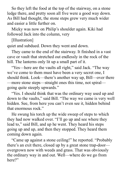So they left the food at the top of the stairway, on a stone ledge there, and pretty soon all five were a good way down. As Bill had thought, the stone steps grew very much wider and easier a little further on.

Micky was now on Philip's shoulder again. Kiki had followed Jack into the column, very

[Illustration]

quiet and subdued. Down they went and down.

They came to the end of the stairway. It finished in a vast cave or vault that stretched out endlessly in the rock of the hill. The lanterns only lit up a small part of it.

"Yes—here are the vaults all right," said Jack. "The way we've come to them must have been a very secret one, I should think. Look—there's another way up, Bill—over there —more stone steps—straight ones this time, not spiral going quite steeply upwards."

"Yes. I should think that was the ordinary way used up and down to the vaults," said Bill. "The way we came is very well hidden. See, from here you can't even see it, hidden behind that enormous rock."

He swung his torch up the wide sweep of steps to which they had now walked over. "I'll go up and see where they lead to," said Bill, and up he went. They heard his steps going up and up, and then they stopped. They heard them coming down again.

"Came up against a stone ceiling!" he reported. "Probably there's an exit there, closed up by a great stone trap-door overgrown now with weeds and grass. That was obviously the ordinary way in and out. Well—where do we go from here?"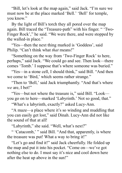"Bill, let's look at the map again," said Jack. "I'm sure we must now be at the place marked 'Bell.' 'Bell' for temple, you know."

By the light of Bill's torch they all pored over the map again. Bill traced the "Treasure-path" with his finger. " 'Two-Finger Rock'," he said. "We were there, and were stopped by the walled-in place."

"Yes—then the next thing marked is 'Goddess', said Philip. "Can't think what *that* means!"

"Something on the way from 'Two-Finger Rock' to here, perhaps," said Jack. "We could go and see. Then look—there comes 'Tomb.' I suppose that's where someone was buried."

"Yes—in a stone cell, I should think," said Bill. "And then we come to 'Bird,' which seems rather strange."

"Then to 'Bell,' said Jack triumphantly. "And that's where *we* are, I bet!"

"Yes—but not where the treasure is," said Bill. "Look you go on to here—marked 'Labyrinth.' Not so good, that."

"What's a labyrinth, exactly?" asked Lucy-Ann.

"A maze—a place where it's so winding and muddling that you can easily get lost," said Dinah. Lucy-Ann did not like the sound of that at all!

"Labyrinth," she said. "Well, what's next?"

" 'Catacomb,' " said Bill. "And that, apparently, is where the treasure was put! What a way to bring it!"

"Let's go and find it!" said Jack cheerfully. He folded up the map and put it into his pocket. "Come on—we've got nothing else to do. I must say it's nice and cool down here after the heat up above in the sun!"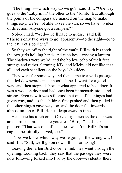"The thing is—which way do we go?" said Bill. "One way goes to the 'Labyrinth,' the other to the 'Tomb.' But although the points of the compass are marked on the map to make things easy, we're not able to see the sun, so we have no idea of direction. Anyone got a compass?"

Nobody had. "Well—we'll have to guess," said Bill. "There's only two ways to go, apparently—to the right—or to the left. Let's go right."

So they set off to the right of the vault, Bill with his torch, the two girls holding hands and each boy carrying a lantern. The shadows were weird, and the hollow echo of their feet strange and rather alarming. Kiki and Micky did not like it at all, and each sat silent on the boys' shoulders.

They went for some way and then came to a wide passage that led downwards in a smooth slope. It went for a good way, and then stopped short at what appeared to be a door. It was a wooden door and had once been immensely stout and strong. Even now it was still good, but one of the hinges had given way, and, as the children first pushed and then pulled it, the other hinges gave way too, and the door fell inwards, almost on top of Bill. He just leapt away in time.

He shone his torch on it. Carved right across the door was an enormous bird. "There you are—'Bird,' " said Jack, pleased. "That was one of the clues, wasn't it, Bill? It's an eagle—beautifully carved, too."

"Now we know which way we're going—the wrong way!" said Bill. "Still, we'll go on now—this is amazing!"

Leaving the fallen Bird-door behind, they went through the opening. Looking back, they saw that the passage they were now following forked into two by the door—evidently there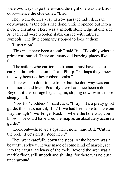were two ways to go there—and the right one was the Birddoor—hence the clue called "Bird."

They went down a very narrow passage indeed. It ran downwards, as the other had done, until it opened out into a narrow chamber. There was a smooth stone ledge at one side. At each end were wooden slabs, carved with intricate symbols. The little company stopped to look at them.

[Illustration]

"This must have been a tomb," said Bill. "Possibly where a priest was buried. There are many old burying-places like this."

"The sailors who carried the treasure must have had to carry it through this tomb," said Philip. "Perhaps they knew this way because they robbed tombs."

There was no door to the tomb, but the doorway was cut out smooth and level. Possibly there had once been a door. Beyond it the passage began again, sloping downwards more steeply still.

"Now for 'Goddess,' " said Jack. "I say—it's a pretty good guide, this map, isn't it, Bill? If we had been able to make our way through 'Two-Finger Rock'—where the hole was, you know—we could have used the map as an absolutely accurate guide."

"Look out—there are steps here, now," said Bill. "Cut in the rock. It gets pretty steep here."

They went carefully down the steps. At the bottom was a beautiful archway. It was made of some kind of marble, set into the natural archway of the rock. Beyond the arch was a marble floor, still smooth and shining, for there was no dust underground.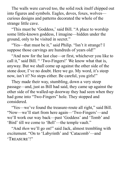The walls were carved too, the solid rock itself chipped out into figures and symbols. Eagles, doves, foxes, wolves curious designs and patterns decorated the whole of the strange little cave.

"This must be 'Goddess,' said Bill. "A place to worship some little-known goddess, I imagine—hidden under the ground, only to be visited in secret."

"Yes—that must be it," said Philip. "Isn't it strange? I suppose those carvings are hundreds of years old!"

"And now for the last clue—or first, whichever you like to call it," said Bill. " 'Two-Fingers!' We know what that is, anyway. But we shall come up against the other side of the stone door, I've no doubt. Here we go. My word, it's steep now, isn't it? No steps either. Be careful, you girls!"

They made their way, stumbling, down a very steep passage—and, just as Bill had said, they came up against the other side of the walled-up doorway they had seen when they had gone into "Two-Fingers" hole. They stopped and considered.

"Yes—we've found the treasure-route all right," said Bill. "Now—we'll start from here again—'Two-Fingers'—and we'll work our way back—past 'Goddess' and 'Tomb' and 'Bird' till we come to 'Bell'—the temple vault."

"And *then* we'll go on!" said Jack, almost trembling with excitement. "On to 'Labyrinth' and 'Catacomb'—and 'TREASURE'!"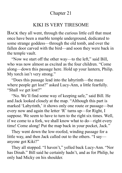# Chapter 21

# KIKI IS VERY TIRESOME

BACK they all went, through the curious little cell that must once have been a marble temple underground, dedicated to some strange goddess—through the old tomb, and over the fallen door carved with the bird—and soon they were back in the temple vault.

"Now we start off the other way—to the left," said Bill, who was now almost as excited as the four children. "Come along—down this passage here. Hold up your lantern, Philip. My torch isn't very strong."

"Does this passage lead into the labyrinth—the maze where people get lost?" asked Lucy-Ann, a little fearfully. "Shall *we* get lost?"

"No. We'll find some way of keeping safe," said Bill. He and Jack looked closely at the map. "Although this part is marked 'Labyrinth,' it shows only one route or passage—but every now and again the letter 'R' turns up—for Right, I suppose. We seem to have to turn to the right six times. Well, if we come to a fork, we shall know what to do—right every time! Come along! Put the map back in your pocket, Jack."

They went down the low-roofed, winding passage for a little way, and then Jack called out to the others. "I say anyone got Kiki?"

They all stopped. "I haven't," yelled back Lucy-Ann. "Nor has Dinah." Bill said he certainly hadn't, and as for Philip, he only had Micky on his shoulder.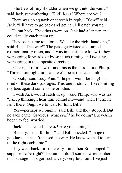"She flew off my shoulder when we got into the vault," said Jack, remembering. "Kiki! KIKI! Where are you?"

There was no squawk or screech in reply. "Blow!" said Jack. "I'll have to go back and get her. I'll catch you up."

He ran back. The others went on. Jack had a lantern and could easily catch them up.

They soon came to a fork. "We take the right-hand one," said Bill. "This way!" The passage twisted and turned extraordinarily often, and it was impossible to know if they were going forwards, or by so much turning and twisting, were going in the opposite direction.

"One right turn—two—and this is the third," said Philip. "Three more right turns and we'll be at the catacomb!"

"Ooooh," said Lucy-Ann. "I hope it won't be long! I'm tired of these dark passages. This one is stony—I keep hitting my toes against some stone or other."

"I wish Jack would catch us up," said Philip, who was last. "I keep thinking I hear him behind me—and when I turn, he isn't there. Ought we to wait for him, Bill?"

"Yes—perhaps we ought," said Bill, and they stopped. But no Jack came. Gracious, what *could* he be doing? Lucy-Ann began to feel worried.

"Jack!" she called. "JACK! Are you coming?"

"Better go back for him," said Bill, puzzled. "I hope to goodness he hasn't missed the way. He knew we had to turn to the right each time."

They went back for some way—and then Bill stopped. "I suppose *we're* right?" he said. "I don't somehow remember this passage—it's got such a very, very low roof. I've just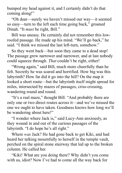bumped my head against it, and I certainly didn't do that coming along!"

"Oh dear—surely we haven't missed our way—it seemed so easy—turn to the left each time going back," groaned Dinah. "It *must* be right, Bill."

Bill was uneasy. He certainly did not remember this lowroofed passage. He made up his mind. "We'll go back," he said. "I think we missed the last left-turn, somehow."

So they went back—but soon they came to a dead stop! The passage grew narrower and narrower, and at last nobody could squeeze through. *That* couldn't be right, either!

"Wrong again," said Bill, much more cheerfully than he felt. Secretly he was scared and horrified. How big was this labyrinth? How far did it go into the hill? On the map it looked a short route—but the labyrinth itself might spread for miles, intersected by mazes of passages, criss-crossing, wandering round and round.

"It's a real maze," thought Bill. "And probably there are only one or two direct routes across it—and we've missed the one we ought to have taken. Goodness knows how long we'll be wandering about here!"

"I wonder where Jack is," said Lucy-Ann anxiously, as they wound in and out of the curious passages of the labyrinth. "I do hope he's all right."

Where *was* Jack? He had gone back to get Kiki, and had heard her talking mournfully to herself in the temple vault, perched on the spiral stone stairway that led up to the broken column. He called her.

"Kiki! What are you doing there? Why didn't you come with us, idiot? Now I've had to come all the way back for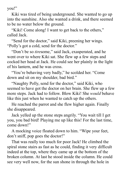you!"

Kiki was tired of being underground. She wanted to go up into the sunshine. Also she wanted a drink, and there seemed to be no water below the ground.

"Kiki! Come along! I want to get back to the others," called Jack.

"Send for the doctor," said Kiki, preening her wings. "Polly's got a cold, send for the doctor."

"Don't be so *tire*some," said Jack, exasperated, and he went over to where Kiki sat. She flew up a few steps and cocked her head at Jack. He could see her plainly in the light of his lantern, and he was cross.

"You're behaving very badly," he scolded her. "Come down and sit on my shoulder, bad bird."

"Naughty Polly, send for the doctor," said Kiki, who seemed to have got the doctor on her brain. She flew up a few more steps. Jack had to follow. Blow Kiki! She *would* behave like this just when he wanted to catch up the others.

He reached the parrot and she flew higher again. Finally she disappeared.

Jack yelled up the stone steps angrily. "You wait till I get you, you bad bird! Playing me up like this! For the last time, come down!"

A mocking voice floated down to him. "Wipe your feet, don't sniff, pop goes the doctor!"

That was really too much for poor Jack! He climbed the spiral stone stairs as fast as he could, finding it very difficult indeed at the top, where they came up at the bottom of the broken column. At last he stood inside the column. He could see very well now, for the sun shone in through the hole in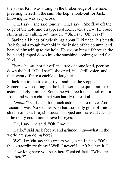the stone. Kiki was sitting on the broken edge of the hole, preening herself in the sun. She kept a look-out for Jack, knowing he was very cross.

"Oh, I say!" she said loudly. "Oh, I say!" She flew off the edge of the hole and disappeared from Jack's view. He could still hear her calling out, though. "Oh, I say! Oh, I say!"

Saying all kinds of rude things about Kiki under his breath, Jack found a rough foothold in the inside of the column, and heaved himself up to the hole. He swung himself through the hole and jumped down into the sunshine, looking round for Kiki.

There she sat, not far off, in a tree of some kind, peering down the hill. "Oh, I say!" she cried, in a shrill voice, and then went off into a cackle of laughter.

Jack ran to the tree angrily—and then he stopped. Someone was coming up the hill—someone quite familiar astonishingly familiar! Someone with teeth that stuck out in front, and with a chin that was hardly there at all!

"*Lucian!*" said Jack, too much astonished to move. And Lucian it was. No wonder Kiki had suddenly gone off into a stream of "Oh, I says!" Lucian stopped and stared at Jack as if he really could not believe his eyes.

"Oh, I say!" he said. "Oh, I SAY."

"Hallo," said Jack feebly, and grinned. "Er—what in the world are *you* doing here?"

"Well, I might say the same to you," said Lucian. "Of all the extraordinary things! Well, I never! I can't believe it!"

"How long have you been here?" asked Jack. "Why are you here?"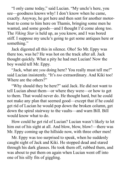"I only came today," said Lucian. "My uncle's here, you see—goodness knows why! I don't know when he came, exactly. Anyway, he got here and then sent for another motorboat to come to him here on Thamis, bringing some men he wanted, and some goods—and I thought I'd come along too. The *Viking Star* is held up, as you know, and I was bored stiff. I suppose my uncle's going to get some antiques here or something."

Jack digested all this in silence. Oho! So Mr. Eppy was there too, was he? He was hot on the track after all. Jack thought quickly. What a pity he had met Lucian! Now the boy would tell Mr. Eppy.

"Jack, what are *you* doing here? You really must tell me!" said Lucian insistently. "It's *too* extraordinary. And Kiki too! Where are the others?"

"Why should they be here?" said Jack. He did not want to tell Lucian about them—or where they were—or how to get to them. That would never do. He thought hard, but he could not make any plan that seemed good—except that if he could get rid of Lucian he would pop down the broken column, get down the spiral stairway to the vaults—and warn Bill. Bill would know what to do.

How could he get rid of Lucian? Lucian wasn't likely to let him out of his sight at all. And blow, blow, blow!—there was Mr. Eppy coming up the hillside now, with three other men!

Mr. Eppy was too surprised to speak, when he suddenly caught sight of Jack and Kiki. He stopped dead and stared through his dark glasses. He took them off, rubbed them, and was about to put them on again when Lucian went off into one of his silly fits of giggling.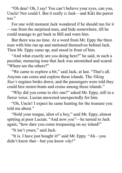"Oh dear! Oh, I say! You can't believe your eyes, can you, Uncle! Nor could I. But it really *is* Jack—and Kiki the parrot too"

For one wild moment Jack wondered if he should run for it —run from the surprised men, and hide somewhere, till he could manage to get back to Bill and warn him.

But there was no time. At a word from Mr. Eppy the three men with him ran up and stationed themselves behind Jack. Then Mr. Eppy came up, and stood in front of him.

"And what exactly are *you* doing here?" he said, in such a peculiar, menacing tone that Jack was astonished and scared. "Where are the others?"

"We came to explore a bit," said Jack, at last. "That's all. Anyone can come and explore these islands. The *Viking Star's* engines broke down, and the passengers were told they could hire motor-boats and cruise among these islands."

"Why did you come to *this* one?" asked Mr. Eppy, still in a fierce voice. Lucian answered unexpectedly for him.

"Oh, Uncle! I expect he came hunting for the treasure you told me about."

"Hold your tongue, idiot of a boy," said Mr. Eppy, almost spitting at poor Lucian. "And now *you*"—he turned to Jack again, "how dare you come trespassing on *my* island!"

"It isn't yours," said Jack.

"It is. I have just bought it!" said Mr. Eppy. "Ah—you didn't know that—but you know *why*!"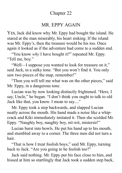### Chapter 22

#### MR. EPPY AGAIN

YES, Jack did know why Mr. Eppy had bought the island. He stared at the man miserably, his heart sinking. If the island was Mr. Eppy's, then the treasure would be his too. Once again it looked as if the adventure had come to a sudden end.

"You know *why* I have bought it?" repeated Mr. Eppy. "Tell me, boy."

"Well—I suppose you wanted to look for treasure on it," said Jack, in a sulky tone. "But you won't find it. You only saw two pieces of the map, remember!"

"Then you will tell me what was on the other pieces," said Mr. Eppy, in a dangerous tone.

Lucian was by now looking distinctly frightened. "Here, I say, Uncle," he began. "I don't think you ought to talk to old Jack like that, you know. I mean to say...."

Mr. Eppy took a step backwards, and slapped Lucian neatly across the mouth. His hand made a noise like a whipcrack and Kiki immediately imitated it. Then she scolded Mr. Eppy. "Naughty boy, naughty boy, nit-wit, mistersir!"

Lucian burst into howls. He put his hand up to his mouth, and stumbled away to a corner. The three men did not turn a hair.

"That is how I treat foolish boys," said Mr. Eppy, turning back to Jack. "Are you going to be foolish too?"

Jack said nothing. Mr. Eppy put his face close to him, and hissed at him so startlingly that Jack took a sudden step back,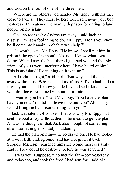and trod on the foot of one of the three men.

"Where are the others?" demanded Mr. Eppy, with his face close to Jack's. "They must be here too. I sent away your boat yesterday. I threatened the man with prison for daring to land people on my island!"

"Oh—so *that's* why Andros ran away," said Jack, in disgust. "What a fool thing to do, Mr. Eppy! Don't you know he'll come back again, probably with help?"

"He won't," said Mr. Eppy. "He knows I shall put him in prison if he opens his mouth. No, no—I knew what I was doing. When I saw the boat there I guessed you and that big friend of yours were interfering here. I have heard of him! This is *my* island! Everything on it is mine."

"All right, all right," said Jack. "But why send the boat away without us? Why not send us off too? If you had told us it was yours—and I know you do buy and sell islands—we wouldn't have trespassed without permission."

"I wanted you here," said Mr. Eppy. "You have the plan have you not? You did not leave it behind you? Ah, no—you would bring such a precious thing with you!"

Jack was silent. Of course—that was why Mr. Eppy had sent the boat away without them—he meant to get the plan! And as he thought of that, Jack also thought of something else—something absolutely maddening.

He had the plan on him—the re-drawn one. He had looked at it with Bill, underground, and had not given it back! Suppose Mr. Eppy searched him? He would most certainly find it. How could he destroy it before he was searched?

"It was you, I suppose, who met the farm-boy yesterday, and today too, and took the food I had sent for," said Mr.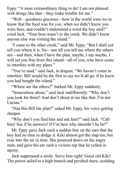Eppy. "A most extraordinary thing to do! I am not pleased with things like that—they make trouble for me."

"Well—goodness gracious—how in the world were we to know that the food was for *you*, when we didn't know you were here, and couldn't understand a word the boy said?" cried Jack. "Your boat wasn't in the creek. We didn't know anyone else was visiting the island."

"I came to the other creek," said Mr. Eppy. "But I shall not tell you where it is. No—not till you tell me where the others are—and then, when I have the plan, maybe, I say *may*be, I will set you free from this island—all of you, who have come to interfere with my plans."

"You're mad," said Jack, in disgust. "We haven't come to interfere. Bill would be the first to say we'd all go, if he knew you had bought the island."

"Where are the others?" barked Mr. Eppy suddenly.

"Somewhere about," said Jack indifferently. "Why don't you look for them? And don't shout at me like that. I'm not Lucian."

"Has this Bill the plan?" asked Mr. Eppy, his voice getting sharper.

"Why don't you find him and ask him?" said Jack. "Call him! See if he answers! If I'm here why shouldn't he be?"

Mr. Eppy gave Jack such a sudden box on the ears that the boy had no time to dodge it. Kiki almost got the slap too, but rose into the air in time. She pounced down on the angry man, and gave his ear such a vicious nip that he yelled in agony.

Jack suppressed a smile. Serve him right! Good old Kiki! The parrot sailed to a high branch and perched there, scolding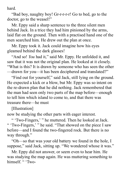hard.

"Bad boy, naughty boy! Gr-r-r-r-r! Go to bed, go to the doctor, go to the weasel!"

Mr. Eppy said a sharp sentence to the three silent men behind Jack. In a trice they had him pinioned by the arms, laid flat on the ground. Then with a practised hand one of the men searched him. He drew out the plan at once.

Mr. Eppy took it. Jack could imagine how his eyes gleamed behind the dark glasses!

"And so! *You* had it," said Mr. Eppy. He unfolded it, and saw that it was not the original plan. He looked at it closely. "What is this? It is drawn by someone who has seen the other

—drawn for you—it has been deciphered and translated?"

"Find out for yourself," said Jack, still lying on the ground. He expected a kick or a blow, but Mr. Eppy was so intent on the re-drawn plan that he did nothing. Jack remembered that the man had seen only two parts of the map before—enough to tell him which island to come to, and that there was treasure there—he must

[Illustration]

now be studying the other parts with eager interest.

" 'Two-Fingers,' " he muttered. Then he looked at Jack. " 'Two-Fingers,' " he said. "That showed on the piece I saw before—and I found the two-fingered rock. But there is no way through."

"Oh—so that was your old battery we found in the hole, I suppose," said Jack, sitting up. "We wondered whose it was."

Mr. Eppy did not answer, or seem even to hear him. He was studying the map again. He was muttering something to himself. " 'Two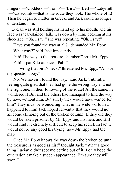Fingers'—'Goddess'—'Tomb'—'Bird'—'Bell'—'Labyrinth '—'Catacomb'—that is the route they took. The whole of it!" Then he began to mutter in Greek, and Jack could no longer understand him.

Lucian was still holding his hand up to his mouth, and his face was tear-stained. Kiki was down by him, pecking at his shoe-lace. "Oh, I say!" she was repeating. "Oh, I say!"

"Have you found the way at all?" demanded Mr. Eppy. "What way?" said Jack innocently.

"Pah! The way to the treasure-chamber!" spat Mr. Eppy.

"Pah!" spat Kiki at once. "Pah!"

"I'll wring that bird's neck," threatened Mr. Eppy. "Answer my question, boy."

"No. We haven't found the way," said Jack, truthfully, feeling quite glad that they had gone the wrong way and not the right one, in their following of the route! All the same, he wondered if Bill and the others had managed to find the way by now, without him. But surely they would have waited for him? They must be wondering what in the wide world had happened to him! Jack hoped fervently that they would not all come climbing out of the broken column. If they did they would be taken prisoner by Mr. Eppy and his men, and Bill would find it extremely difficult to keep his secret. In fact it would not be any good his trying, now Mr. Eppy had the map.

"Once Mr. Eppy knows the way down the broken column, the treasure is as good as his!" thought Jack. "What a good thing Lucian didn't spot me getting out of it! I only hope the others don't make a sudden appearance. I'm sure they will soon!"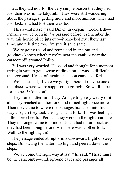But they did not, for the very simple reason that they had lost their way in the labyrinth! They were still wandering about the passages, getting more and more anxious. They had lost Jack, and had lost their way too.

"This awful maze!" said Dinah, in despair. "Look, Bill— I'm *sure* we've been in *this* passage before. I remember the way this horrid piece juts out—it knocked my elbow last time, and this time too. I'm sure it's the same."

"We're going round and round and in and out and goodness knows whether we're near the vault or near the catacomb!" groaned Philip.

Bill was very worried. He stood and thought for a moment, trying in vain to get a sense of direction. It was so difficult underground! He set off again, and soon came to a fork.

"Well," he said, "I vote we go right here. It may be one of the places where we're supposed to go right. So we'll hope for the best! Come on!"

They trailed after him, Lucy-Ann getting very weary of it all. They reached another fork, and turned right once more. Then they came to where the passages branched into four ways. Again they took the right-hand fork. Bill was feeling a little more cheerful. Perhaps they were on the right road now. They no longer came to blind ends and had to turn back as they had been doing before. Ah—here was another fork. Well, to the right again!

The passage ended abruptly in a downward flight of steep steps. Bill swung the lantern up high and peered down the steps.

"We've come the right way at last!" he said. "These must be the catacombs—underground caves and passages all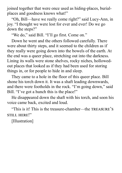joined together that were once used as hiding-places, burialplaces and goodness knows what!"

"Oh, Bill—have we really come right?" said Lucy-Ann, in joy. "I thought we were lost for ever and ever! Do we go down the steps?"

"We do," said Bill. "I'll go first. Come on."

Down he went and the others followed carefully. There were about thirty steps, and it seemed to the children as if they really were going down into the bowels of the earth. At the end was a queer place, stretching out into the darkness. Lining its walls were stone shelves, rocky niches, hollowedout places that looked as if they had been used for storing things in, or for people to hide in and sleep.

They came to a hole in the floor of this queer place. Bill shone his torch down it. It was a shaft leading downwards, and there were footholds in the rock. "I'm going down," said Bill. "I've got a hunch this is the place!"

He disappeared down the shaft with his torch, and soon his voice came back, excited and loud.

"This is it! This is the treasure-chamber—the TREASURE'S STILL HERE!"

[Illustration]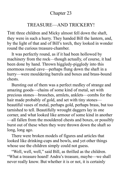#### Chapter 23

#### TREASURE—AND TRICKERY!

THE three children and Micky almost fell down the shaft, they were in such a hurry. They handed Bill the lantern, and, by the light of that and of Bill's torch, they looked in wonder round the curious treasure-chamber.

It was perfectly round, as if it had been hollowed by machinery from the rock—though actually, of course, it had been done by hand. Thrown higgledy-piggledy into this enormous round cave—perhaps flung down the shaft in a hurry—were mouldering barrels and boxes and brass-bound chests.

Bursting out of them was a perfect medley of strange and amazing goods—chains of some kind of metal, set with precious stones—brooches, armlets, anklets—combs for the hair made probably of gold, and set with tiny stones beautiful vases of metal, perhaps gold, perhaps brass, but too tarnished to tell. Beautifully wrought daggers lay in one corner, and what looked like armour of some kind in another —all fallen from the mouldered chests and boxes, or possibly burst out of these when they were thrown down the shaft so long, long ago.

There were broken models of figures and articles that looked like drinking-cups and bowls, and yet other things whose use the children simply could not guess.

"Well, well, well," said Bill, as thrilled as the children. "What a treasure hoard! Andra's treasure, maybe—we shall never really know. But whether it is or not, it is certainly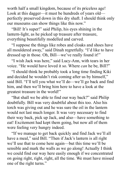worth half a small kingdom, because of its priceless age! Look at this dagger—it must be hundreds of years old perfectly preserved down in this dry shaft. I should think only our museums can show things like this now."

"Bill! It's super!" said Philip, his eyes shining in the lantern-light, as he picked up treasure after treasure, everything beautifully modelled and carved.

"I suppose the things like robes and cloaks and shoes have all mouldered away," said Dinah regretfully. "I'd like to have dressed up in those. Oh, Bill—we've really found it!"

"I wish Jack was here," said Lucy-Ann, with tears in her voice. "He would have loved it so. Where *can* he be, Bill?"

"I should think he probably took a long time finding Kiki and decided he wouldn't risk coming after us by himself," said Bill. "I'll tell you what we'll do—we'll go back and find him, and then we'll bring him here to have a look at the greatest treasure in the world!"

"But shall we be able to find our way back?" said Philip doubtfully. Bill was very doubtful about this too. Also his torch was giving out and he was sure the oil in the lantern would not last much longer. It was very necessary to find their way back, pick up Jack, and also—have something to eat! Excitement had kept them going, but now all of them were feeling very hungry indeed.

"If we manage to get back quickly and find Jack we'll all have a meal," said Bill. "Then if Jack's lantern is all right we'll use that to come here again—but this time we'll be sensible and mark the walls as we go along! Actually I think we could find our way here easily enough if we concentrated on going right, right, right, all the time. We must have missed one of the right turns."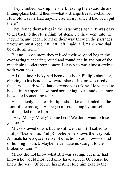They climbed back up the shaft, leaving the extraordinary hiding-place behind them—what a strange treasure-chamber! How old was it? Had anyone else seen it since it had been put there?

They found themselves in the catacombs again. It was easy to get back to the steep flight of steps. Up they went into the labyrinth, and began to make their way through the passages. "Now we must keep left, left, left," said Bill. "Then we shall be quite all right."

But no—once more they missed their way and began the everlasting wandering round and round and in and out of the maddening underground maze. Lucy-Ann was almost crying with weariness.

All this time Micky had been quietly on Philip's shoulder, clinging to his head at awkward places. He too was tired of the curious dark walk that everyone was taking. He wanted to be out in the open, he wanted something to eat and even more he wanted something to drink.

He suddenly leapt off Philip's shoulder and landed on the floor of the passage. He began to scud along by himself. Philip called out to him.

"Hey, Micky, Micky! Come here! We don't want to lose you too!"

Micky slowed down, but he still went on. Bill called to Philip. "Leave him, Philip! I believe he knows the way out. Animals have a queer sense of direction, you know—a kind of homing instinct. Maybe he can take us straight to the broken column!"

Micky did not know what Bill was saying, but if he had known he would most certainly have agreed. Of course he knew the way! Of course his instinct told him exactly the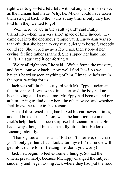right way to go—left, left, left, without any silly mistake such as the humans had made. Why, he, Micky, could have taken them straight back to the vaults at any time if only they had told him they wanted to go!

"Well, here we are in the vault again!" said Philip thankfully, when, in a very short space of time indeed, they came out into the enormous temple vault. Lucy-Ann was so thankful that she began to cry very quietly to herself. Nobody could see. She wiped away a few tears, then stopped her crying, feeling rather ashamed. She slipped her hand into Bill's. He squeezed it comfortingly.

"We're all right now," he said. "We've found the treasure, and found our way back—now we'll find Jack! As we haven't heard or seen anything of him, I imagine he's out in the open, waiting for us!"

Jack was still in the courtyard with Mr. Eppy, Lucian and the three men. It was some time later, and the boy had not been having at all a nice time. Mr. Eppy had been on and on at him, trying to find out where the others were, and whether Jack knew the route to the treasure.

He had threatened Jack, had boxed his ears several times, and had boxed Lucian's too, when he had tried to come to Jack's help. Jack had been surprised at Lucian for that. He had always thought him such a silly little idiot. He looked at Lucian gratefully.

"Thanks, Lucian," he said. "But don't interfere, old chap you'll only get hurt. I can look after myself. Your uncle will get into trouble for ill-treating me, don't you worry!"

Jack had begun to feel extremely hungry. So had the others, presumably, because Mr. Eppy changed the subject suddenly and began asking Jack where they had put the food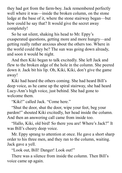they had got from the farm-boy. Jack remembered perfectly well where it was—inside the broken column, on the stone ledge at the base of it, where the stone stairway began—but how could he say that? It would give the secret away completely!

So he sat silent, shaking his head to Mr. Eppy's exasperated questions, getting more and more hungry—and getting really rather anxious about the others too. Where in the world could they be? The sun was going down already, and soon it would be night.

And then Kiki began to talk excitedly. She left Jack and flew to the broken edge of the hole in the column. She peered down it. Jack bit his lip. Oh, Kiki, Kiki, don't give the game away!

Kiki had heard the others coming. She had heard Bill's deep voice, as he came up the spiral stairway, she had heard Lucy-Ann's high voice, just behind. She had gone to welcome them.

"Kiki!" called Jack. "Come here."

"Shut the door, shut the door, wipe your feet, beg your pardon!" shouted Kiki excitedly, her head inside the column. And then an answering call came from inside too.

"Hallo, Kiki, old bird! So there you are! Where's Jack?" It was Bill's cheery deep voice.

Mr. Eppy sprang to attention at once. He gave a short sharp order to his three men, and they ran to the column, waiting. Jack gave a yell.

"Look out, Bill! Danger! Look out!"

There was a silence from inside the column. Then Bill's voice came up again.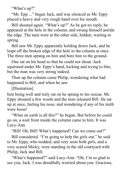"What's up?"

"Mr. Epp ..." began Jack, and was silenced as Mr. Eppy placed a heavy and very rough hand over his mouth.

Bill shouted again. "What's up?" As he got no reply, he appeared at the hole in the column, and swung himself astride the edge. The men were at the other side, hidden, waiting to spring.

Bill saw Mr. Eppy apparently holding down Jack, and he leapt off the broken edge of the hole in the column at once. The three men sprang on him and bore him to the ground.

One sat on his head so that he could not shout. Jack squirmed under Mr. Eppy's hand, kicking and trying to bite, but the man was very strong indeed.

Then up the column came Philip, wondering what had happened to Bill, and when he saw

[Illustration]

him being well and truly sat on he sprang to his rescue. Mr. Eppy shouted a few words and the men released Bill. He sat up at once, feeling his nose, and wondering if any of his teeth were loose!

"What on earth is all this?" he began. But before he could go on, a wail from inside the column came to him. It was Lucy-Ann.

"Bill! Oh, Bill! What's happened? Can we come out?"

Bill considered. "I'm going to help the girls out," he said to Mr. Eppy, who nodded, and very soon both girls, and a very scared Micky, were standing in the old courtyard with Philip, Jack and Bill.

"What's happened?" said Lucy-Ann. "Oh, I'm so glad to see you, Jack. I was dreadfully worried about you. Gracious,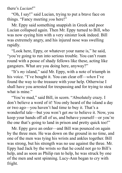there's *Lucian*!"

"Oh, I say!" said Lucian, trying to put a brave face on things. "Fancy meeting *you* here!"

Mr. Eppy said something snappish in Greek and poor Lucian collapsed again. Then Mr. Eppy turned to Bill, who was now eyeing him with a very sinister look indeed. Bill was extremely angry, and his injured nose was swelling rapidly.

"Look here, Eppy, or whatever your name is," he said, "you're going to run into serious trouble. You can't roam round with a posse of shady fellows like these, acting like gangsters. What are you doing here, anyway?"

"It's *my* island," said Mr. Eppy, with a note of triumph in his voice. "I've bought it. You can clear off—*when* I've found the way to the treasure with your help. Otherwise I shall have you arrested for trespassing and for trying to steal what is mine."

"You're mad," said Bill, in scorn. "Absolutely crazy. I don't believe a word of it! You only heard of the island a day or two ago—you haven't had time to buy it. That's a wonderful tale—but you won't get *me* to believe it. Now, you keep your hands off all of us, and behave yourself—or you're the one that's going to land in prison and pretty quick too!"

Mr. Eppy gave an order—and Bill was pounced on again by the three men. He was down on the ground in no time, and one of the men was tying his wrists and ankles together. Bill was strong, but his strength was no use against the three. Mr. Eppy had Jack by the wrists so that he could not go to Bill's help, and as soon as Philip ran to help, he was struck by one of the men and sent spinning. Lucy-Ann began to cry with fright.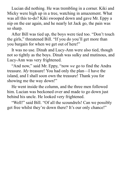Lucian did nothing. He was trembling in a corner. Kiki and Micky were high up in a tree, watching in amazement. What was all this to-do? Kiki swooped down and gave Mr. Eppy a nip on the ear again, and he nearly let Jack go, the pain was so sharp.

After Bill was tied up, the boys were tied too. "Don't touch the girls," threatened Bill. "If you do you'll get more than you bargain for when we get out of here!"

It was no use. Dinah and Lucy-Ann were also tied, though not so tightly as the boys. Dinah was sulky and mutinous, and Lucy-Ann was very frightened.

"And now," said Mr. Eppy, "now *we* go to find the Andra treasure. *My* treasure! You had only the plan—I have the island, and I shall soon own the treasure! Thank you for showing me the way down!"

He went inside the column, and the three men followed him. Lucian was beckoned over and made to go down just behind his uncle. He looked very frightened.

"Well!" said Bill. "Of all the scoundrels! Can we possibly get free whilst they're down there? It's our only chance!"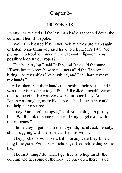# Chapter 24

# **PRISONERS!**

EVERYONE waited till the last man had disappeared down the column. Then Bill spoke.

"Well, I'm blessed if I'll ever look at a treasure map again, or listen to anything you kids have to tell me! It's fatal. We plunge into trouble immediately. Jack—Philip—can you possibly loosen your ropes?"

"I've been trying," said Philip, and Jack said the same. "Those beasts know how to tie knots all right. The rope is biting into my ankles like anything, and I can hardly move my hands."

All of them had their hands tied behind their backs, and it was really impossible to get free. Bill rolled himself over and over to the girls. He was very sorry for poor Lucy-Ann. Dinah was tougher, more like a boy—but Lucy-Ann could not help being scared.

"Lucy-Ann, don't be upset," said Bill, ending up just by her. "We'll think of some wonderful way to get even with these rogues."

"I hope they'll get lost in the labyrinth," said Jack fiercely, still struggling with the rope that tied his wrists.

"They probably will," said Bill. "In any case they'll be a long time gone. We must somehow get free before they come back."

"The first thing *I* do when I get free is to hop inside the column and get some of the food we put down there," said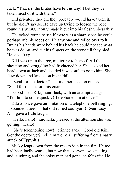Jack. "That's if the brutes have left us any! I bet they've taken most of it with them."

Bill privately thought they probably would have taken it, but he didn't say so. He gave up trying to loosen the rope round his wrists. It only made it cut into his flesh unbearably.

He looked round to see if there was a sharp stone he could perhaps rub his ropes on. He saw one and rolled over to it. But as his hands were behind his back he could not see what he was doing, and cut his fingers on the stone till they bled. He gave it up.

Kiki was up in the tree, muttering to herself. All the shouting and struggling had frightened her. She cocked her head down at Jack and decided it was safe to go to him. She flew down and landed on his middle.

"Send for the doctor," she said, her head on one side. "Send for the doctor, mistersir."

"Good idea, Kiki," said Jack, with an attempt at a grin. "Tell him to come quickly! Telephone him at once!"

Kiki at once gave an imitation of a telephone bell ringing. It sounded queer in that old ruined courtyard! Even Lucy-Ann gave a little laugh.

"Hallo, hallo!" said Kiki, pleased at the attention she was getting. "Hallo!"

"She's telephoning now!" grinned Jack. "Good old Kiki. Got the doctor yet? Tell him we're all suffering from a nasty attack of Eppy-itis!"

Micky leapt down from the tree to join in the fun. He too had been badly scared, but now that everyone was talking and laughing, and the noisy men had gone, he felt safer. He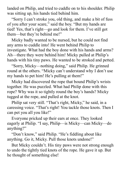landed on Philip, and tried to cuddle on to his shoulder. Philip was sitting up, his hands tied behind him.

"Sorry I can't stroke you, old thing, and make a bit of fuss of you after your scare," said the boy. "But my hands are tied! Yes, that's right—go and look for them. I've still got them—but they're behind me!"

Micky badly wanted to be nursed, but he could not find any arms to cuddle into! He went behind Philip to investigate. What had the boy done with his hands and arms? Ah—there they were behind him! Micky pulled at Philip's hands with his tiny paws. He wanted to be stroked and petted.

"Sorry, Micky—nothing doing," said Philip. He grinned round at the others. "Micky can't understand why I don't use my hands to pet him! He's pulling at them!"

Micky had discovered the rope that bound Philip's wrists together. He was puzzled. What had Philip done with this rope? Why was it so tightly round the boy's hands? Micky tugged at the rope, and pulled at the knot.

Philip sat very still. "That's right, Micky," he said, in a caressing voice. "That's right! You tackle those knots. Then I can pet you all you like!"

Everyone pricked up their ears at once. They looked eagerly at Philip. "I say, Philip—is Micky—can Micky—do anything?"

"Don't know," said Philip. "He's fiddling about like anything. Go it, Micky. Pull those knots undone!"

But Micky couldn't. His tiny paws were not strong enough to undo the tightly tied knots of the rope. He gave it up. But he thought of something else!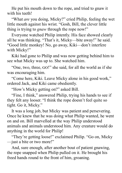He put his mouth down to the rope, and tried to gnaw it with his teeth!

"What *are* you doing, Micky?" cried Philip, feeling the wet little mouth against his wrist. "Gosh, Bill, the clever little thing is trying to *gnaw* through the rope now!"

Everyone watched Philip intently. His face showed clearly all he was thinking. "That's it, Micky—bite away!" he said. "Good little monkey! No, go away, Kiki—don't interfere with Micky!"

Kiki had gone to Philip and was now getting behind him to see what Micky was up to. She watched him.

"One, two, three, GO!" she said, for all the world as if she was encouraging him.

"Come here, Kiki. Leave Micky alone in his good work," ordered Jack, and Kiki came obediently.

"How's Micky getting on?" asked Bill.

"Fine, I think," answered Philip, trying his hands to see if they felt any looser. "I think the rope doesn't feel quite so tight. Go it, Micky."

It was a long job, but Micky was patient and persevering. Once he knew that he was doing what Philip wanted, he went on and on. Bill marvelled at the way Philip understood animals and animals understood him. Any creature would do anything in the world for Philip!

"They're getting loose!" exclaimed Philip. "Go on, Micky —just a bite or two more!"

And, sure enough, after another bout of patient gnawing, the rope snapped when Philip pulled on it. He brought his freed hands round to the front of him, groaning.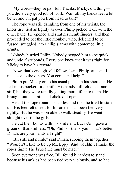"My word—they're painful! Thanks, Micky, old thing you did a very good job of work. Wait till my hands feel a bit better and I'll pat you from head to tail!"

The rope was still dangling from one of his wrists, the knots in it tied as tightly as ever. Philip picked it off with the other hand. He opened and shut his numb fingers, and then proceeded to pet the little monkey, who, delighted to be fussed, snuggled into Philip's arms with contented little grunts.

Nobody hurried Philip. Nobody begged him to be quick and undo *their* bonds. Every one knew that it was right for Micky to have his reward.

"Now, that's enough, old fellow," said Philip, at last. "I must see to the others. You come and help!"

Philip put Micky on to his usual place on his shoulder. He felt in his pocket for a knife. His hands still felt queer and stiff, but they were rapidly getting more life into them. He brought out his knife and clicked it open.

He cut the rope round his ankles, and then he tried to stand up. His feet felt queer, for his ankles had been tied very tightly. But he was soon able to walk steadily. He went straight over to the girls.

He cut their bonds with his knife and Lucy-Ann gave a groan of thankfulness. "Oh, Philip—thank you! That's better. Dinah, are your hands all right?"

"Bit stiff and numb," said Dinah, rubbing them together. "Wouldn't I like to tie up Mr. Eppy! And wouldn't I make the ropes tight! The brute! He must be mad."

Soon everyone was free. Bill found it hardest to stand because his ankles had been tied very viciously, and so had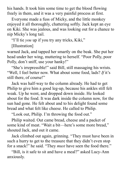his hands. It took him some time to get the blood flowing freely in them, and it was a very painful process at first.

Everyone made a fuss of Micky, and the little monkey enjoyed it all thoroughly, chattering softly. Jack kept an eye on Kiki. She was jealous, and was looking out for a chance to nip Micky's long tail.

"I'll tie *you* up if you try any tricks, Kiki,"

[Illustration]

warned Jack, and tapped her smartly on the beak. She put her head under her wing, muttering to herself. "Poor Polly, poor Polly, don't sniff, use your hanky!"

"She's irrepressible!" said Bill, still massaging his wrists. "Well, I feel better now. What about some food, lads? *If* it's still there, of course!"

Jack was half-way to the column already. He had to get Philip to give him a good leg-up, because his ankles still felt weak. Up he went, and dropped down inside. He looked about for the food. It was dark inside the column now, for the sun had gone. He felt about and to his delight found some bread and what felt like cheese. He called to Philip.

"Look out, Philip. I'm throwing the food out."

Philip waited. Out came bread, cheese and a packet of some kind of meat. "Wait a bit—here's some more bread," shouted Jack, and out it came.

Jack climbed out again, grinning. "They must have been in such a hurry to get to the treasure that they didn't even stop for a snack!" he said. "They *must* have seen the food there."

"Bill, is it safe to sit and have a meal?" asked Lucy-Ann anxiously.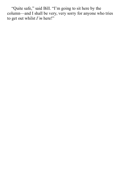"Quite safe," said Bill. "I'm going to sit here by the column—and I shall be very, very sorry for anyone who tries to get out whilst *I'm* here!"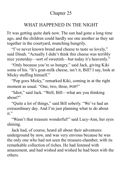# Chapter 25

# WHAT HAPPENED IN THE NIGHT

IT was getting quite dark now. The sun had gone a long time ago, and the children could hardly see one another as they sat together in the courtyard, munching hungrily.

"I've never known bread and cheese to taste so lovely," said Dinah. "Actually I didn't think this cheese was terribly nice yesterday—sort of sweetish—but today it's heavenly."

"Only because you're so hungry," said Jack, giving Kiki some of his. "It's goat-milk cheese, isn't it, Bill? I say, look at Micky stuffing himself."

"Pop goes Micky," remarked Kiki, coming in at the right moment as usual. "One, two, three, POP!"

"Idiot," said Jack. "Well, Bill—what are you thinking about?"

"Quite a lot of things," said Bill soberly. "We've had an extraordinary day. And I'm just planning what to do about  $it$ ."

"Wasn't that treasure wonderful!" said Lucy-Ann, her eyes shining.

Jack had, of course, heard all about their adventures underground by now, and was very envious because he was the only one who had not seen the treasure-chamber, with its remarkable collection of riches. He had listened with amazement, and had wished and wished he had been with the others.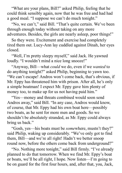"What are your plans, Bill?" asked Philip, feeling that he could think sensibly again, now that he was free and had had a good meal. "I suppose we can't do much tonight."

"No, we can't," said Bill. "That's quite certain. We've been through enough today without taking on any more adventures. Besides, the girls are nearly asleep, poor things!"

So they were. Excitement and exercise had completely tired them out. Lucy-Ann lay cuddled against Dinah, her eyes closed.

"Well, I'm pretty sleepy myself," said Jack. He yawned loudly. "I wouldn't mind a nice long snooze!"

"Anyway, Bill—what *could* we do, even if we *wanted* to do anything tonight?" asked Philip, beginning to yawn too. "We can't escape! Andros won't come back, that's obvious, if Mr. Eppy has threatened him with prison. After all, he's only a simple boatman! I expect Mr. Eppy gave him plenty of money too, to make up for us not having paid him."

"Yes—money and threats combined would soon send Andros away," said Bill. "In any case, Andros would know, of course, that Mr. Eppy had his own boat here—possibly two boats, as he sent for more men and goods. So we shouldn't be absolutely stranded, as Mr. Eppy could always bring us back."

"Gosh, yes—his boats must be *some*where, mustn't they?" said Philip, waking up considerably. "We've only got to find them, Bill—and we're all right! Hadn't we better snoop round now, before the others come back from underground?"

"No. Nothing more tonight," said Bill firmly. "I've already planned to do that tomorrow. When we find Mr. Eppy's boat or boats, we'll be all right, I hope. Now listen—I'm going to be on guard for the first four hours, and, after that, you, Jack,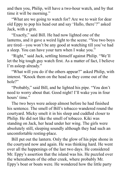and then you, Philip, will have a two-hour watch, and by that time it will be morning."

"What are we going to watch for? Are we to wait for dear old Eppy to pop his head out and say 'Hallo, there'?" asked Jack, with a grin.

"Exactly," said Bill. He had now lighted one of the lanterns, and it gave a weird light to the scene. "You two boys are tired—you won't be any good at watching till you've had a sleep. You can have your turn when I wake you."

"Right," said Jack, settling himself against Philip. "We'll let the big tough guy watch first. As a matter of fact, I believe I'm asleep already."

"What will you do if the others appear?" asked Philip, with interest. "Knock them on the head as they come out of the hole?"

"Probably," said Bill, and he lighted his pipe. "You don't need to worry about that. Good night! I'll wake you in four hours' time."

The two boys were asleep almost before he had finished his sentence. The smell of Bill's tobacco wandered round the courtyard. Micky smelt it in his sleep and cuddled closer to Philip. He did not like the smell of tobacco. Kiki was standing on Jack, her head under her wing. The girls were absolutely still, sleeping soundly although they had such an uncomfortable resting-place.

Bill put out the lantern. Only the glow of his pipe shone in the courtyard now and again. He was thinking hard. He went over all the happenings of the last two days. He considered Mr. Eppy's assertion that the island was his. He puzzled over the whereabouts of the other creek, where probably Mr. Eppy's boat or boats were. He wondered how the little party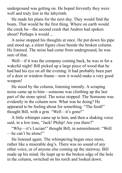underground was getting on. He hoped fervently they were well and truly lost in the labyrinth.

He made his plans for the next day. They would find the boats. That would be the first thing. Where on earth would the creek be—the second creek that Andros had spoken about? Perhaps it would ...

A noise stopped his thoughts at once. He put down his pipe and stood up, a silent figure close beside the broken column. He listened. The noise had come from underground, he was sure of that.

Well—if it was the company coming back, he was in for a wakeful night! Bill picked up a large piece of wood that he had had his eye on all the evening. It had probably been part of a door or window-frame—now it would make a very good weapon!

He stood by the column, listening intently. A scraping noise came up to him—someone was climbing up the last part of the stone spiral. The noise stopped. The Someone was evidently in the column now. What was he doing? He appeared to be feeling about for something. "The food!" thought Bill, with a grin. "Well—it's gone!"

A little whimper came up to him, and then a shaking voice said, in a low tone, "Jack! Philip! Are you there?"

"Why—it's Lucian!" thought Bill, in astonishment. "Well —he can't be alone!"

He listened again. The whimpering began once more, rather like a miserable dog's. There was no sound of any other voice, or of anyone else coming up the stairway. Bill made up his mind. He leapt up to the broken edge of the hole in the column, switched on his torch and looked down.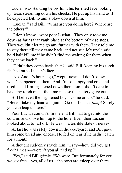Lucian was standing below him, his terrified face looking up, tears streaming down his cheeks. He put up his hand as if he expected Bill to aim a blow down at him.

"Lucian!" said Bill. "What are you doing here? Where are the others?"

"I don't know," wept poor Lucian. "They only took me down as far as that vault place at the bottom of these steps. They wouldn't let me go any further with them. They told me to stay there till they came back, and not stir. My uncle said he'd half kill me if he didn't find me waiting for them when they came back."

"Didn't they come back, then?" said Bill, keeping his torch flashed on to Lucian's face.

"No. And it's hours ago," wept Lucian. "I don't know what's happened to them. And I'm so hungry and cold and tired—and I'm frightened down there, too. I didn't dare to have my torch on all the time in case the battery gave out."

Bill believed the frightened boy. "Come on up," he said. "Here—take my hand and jump. Go on, Lucian, *jump*! Surely you can leap up here."

Poor Lucian couldn't. In the end Bill had to get into the column and shove him up to the hole. Even then Lucian looked about to fall off. He was in a terrible state of nerves.

At last he was safely down in the courtyard, and Bill gave him some bread and cheese. He fell on it as if he hadn't eaten for a month.

A thought suddenly struck him. "I say—how did you get free? I mean—weren't you all tied up?"

"Yes," said Bill grimly. "We were. But fortunately for you, we got free—yes, all of us—the boys are asleep over there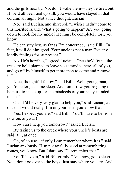and the girls near by. No, don't wake them—they're tired out. If we'd all been tied up still, you would have stayed in that column all night. Not a nice thought, Lucian!"

"No," said Lucian, and shivered. "I wish I hadn't come to this horrible island. What's going to happen? Are you going down to look for my uncle? He must be completely lost, you know"

"He can stay lost, as far as I'm concerned," said Bill. "In fact, it will do him good. Your uncle is not a man I've any kindly feelings for, at present."

"No. He's horrible," agreed Lucian. "Once he'd found the treasure he'd planned to leave you stranded here, all of you, and go off by himself to get more men to come and remove  $it$ ."

"Nice, thoughtful fellow," said Bill. "Well, young man, you'd better get some sleep. And tomorrow you're going to help us, to make up for the misdeeds of your nasty-minded uncle."

"Oh—I'd be very very glad to help you," said Lucian, at once. "I would really. I'm on your side, you know that."

"Yes, I expect you are," said Bill. "You'll have to be from now on, anyway!"

"How can I help you tomorrow?" asked Lucian.

"By taking us to the creek where your uncle's boats are," said Bill, at once.

"Oh, of course—if only I can remember where it is," said Lucian anxiously. "I'm not awfully good at remembering routes, you know. But I dare say I'll remember that."

"You'll have to," said Bill grimly. "And now, go to sleep. No—don't go over to the boys. Just stay where you are. And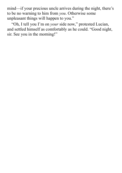mind—if your precious uncle arrives during the night, there's to be no warning to him from *you*. Otherwise some unpleasant things will happen to you."

"Oh, I tell you I'm on *your* side now," protested Lucian, and settled himself as comfortably as he could. "Good night, sir. See you in the morning!"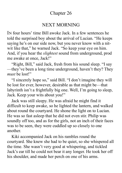# Chapter 26

## NEXT MORNING

IN four hours' time Bill awoke Jack. In a few sentences he told the surprised boy about the arrival of Lucian. "He keeps saying he's on our side now, but you never know with a nitwit like that," he warned Jack. "So keep your eye on him. And, if you hear the *slightest* sound from underground, prod me awake at once, Jack!"

"Right, Bill," said Jack, fresh from his sound sleep. "I say —they've been a long time underground, haven't they? They *must* be lost!"

"I sincerely hope so," said Bill. "I don't imagine they will be lost for ever, however, desirable as that might be—that labyrinth isn't a frightfully big one. Well, I'm going to sleep, Jack. Keep your wits about you!"

Jack was still sleepy. He was afraid he might find it difficult to keep awake, so he lighted the lantern, and walked about round the courtyard. He shone the light on to Lucian. He was so fast asleep that he did not even stir. Philip was soundly off too, and as for the girls, not an inch of their faces was to be seen, they were cuddled up so closely to one another.

Kiki accompanied Jack on his rambles round the courtyard. She knew she had to be quiet, so she whispered all the time. She wasn't very good at whispering, and tickled Jack's ear till he could not bear it any longer. He took her off his shoulder, and made her perch on one of his arms.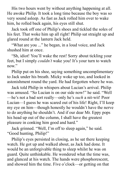His two hours went by without anything happening at all. He awoke Philip. It took a long time because the boy was so very sound asleep. As fast as Jack rolled him over to wake him, he rolled back again, his eyes still shut.

Jack took off one of Philip's shoes and tickled the soles of his feet. That woke him up all right! Philip sat straight up and glared round at the lantern Jack held.

"What are you ..." he began, in a loud voice, and Jack shushed him at once.

"Sh, idiot! You'll wake the rest! Sorry about tickling your feet, but I simply *couldn't* wake you! It's your turn to watch now."

Philip put on his shoe, saying something uncomplimentary to Jack under his breath. Micky woke up too, and looked in astonishment round the yard. He had forgotten where he was.

Jack told Philip in whispers about Lucian's arrival. Philip was amused. "So Lucian is on our side now!" he said. "Well —he's not a bad sort really—only he's *such* a nit-wit! Poor Lucian—I guess he was scared out of his life! Right, I'll keep my eye on him—though honestly he wouldn't have the nerve to do anything he shouldn't. And if our dear Mr. Eppy pops his head up out of the column, I shall have the greatest pleasure in conking him good and hard."

Jack grinned. "Well, I'm off to sleep again," he said. "Good hunting, Philip!"

Philip's eyes persisted in closing, as he sat there keeping watch. He got up and walked about, as Jack had done. It would be an unforgivable thing to sleep whilst he was on guard. Quite unthinkable. He wondered what the time was, and glanced at his watch. The hands were phosphorescent, and showed him the time. Five o'clock—or getting on that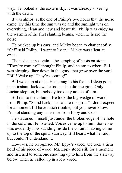way. He looked at the eastern sky. It was already silvering with the dawn.

It was almost at the end of Philip's two hours that the noise came. By this time the sun was up and the sunlight was on everything, clean and new and beautiful. Philip was enjoying the warmth of the first slanting beams, when he heard the noise.

He pricked up his ears, and Micky began to chatter softly. "Sh!" said Philip. "I want to listen." Micky was silent at once.

The noise came again—the scraping of boots on stone. "They're coming!" thought Philip, and he ran to where Bill was sleeping, face down in the grass that grew over the yard. "Bill! Wake up! They're coming!"

Bill woke up at once. He sprang to his feet, all sleep gone in an instant. Jack awoke too, and so did the girls. Only Lucian slept on, but nobody took any notice of him.

Bill ran to the column. He took the big wedge of wood from Philip. "Stand back," he said to the girls. "I don't expect for a moment I'll have much trouble, but you never know. I'm not standing any nonsense from Eppy and Co."

He stationed himself just under the broken edge of the hole in the column. He listened. Voices came up to him. Someone was evidently now standing inside the column, having come up to the top of the spiral stairway. Bill heard what he said, but couldn't understand it.

However, he recognised Mr. Eppy's voice, and took a firm hold of his piece of wood! Mr. Eppy stood still for a moment and listened to someone shouting up to him from the stairway below. Then he called up in a low voice.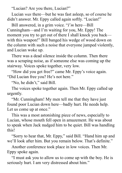"Lucian? Are you there, Lucian?"

Lucian *was* there—but he was fast asleep, so of course he didn't answer. Mr. Eppy called again softly. "Lucian!"

Bill answered, in a grim voice. "*I'm* here—Bill Cunningham—and I'm waiting for you, Mr. Eppy! The moment you try to get out of there I shall knock you back with this weapon!" Bill banged his wedge of wood down on the column with such a noise that everyone jumped violently, and Lucian woke up.

There was a dead silence inside the column. Then there was a scraping noise, as if someone else was coming up the stairway. Voices spoke together, very low.

"How did you get free?" came Mr. Eppy's voice again. "Did Lucian free you? He's not here."

"No, he didn't," said Bill.

The voices spoke together again. Then Mr. Eppy called up urgently.

"Mr. Cunningham! My men tell me that they have just found poor Lucian down here—badly hurt. He needs help. Let us come up at once."

This was a most astonishing piece of news, especially to Lucian, whose mouth fell open in amazement. He was about to speak when Jack nudged him to be quiet. Bill was handling this!

"Sorry to hear that, Mr. Eppy," said Bill. "Hand him up and we'll look after him. But you remain below. That's definite."

Another conference took place in low voices. Then Mr. Eppy spoke again.

"I must ask you to allow us to come up with the boy. He is seriously hurt. I am very distressed about him."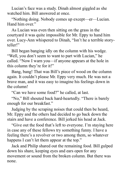Lucian's face was a study. Dinah almost giggled as she watched him. Bill answered at once.

"Nothing doing. Nobody comes up except—er—Lucian. Hand him over."

As Lucian was even then sitting on the grass in the courtyard it was quite impossible for Mr. Eppy to hand him over. Lucy-Ann whispered to Dinah, "Isn't he a terrible storyteller!"

Bill began banging idly on the column with his wedge. "Well, you don't seem to want to part with Lucian," he called. "Now I warn you—if anyone appears at the hole in this column they're for it!"

Bang, bang! That was Bill's piece of wood on the column again. It couldn't please Mr. Eppy very much. He was not a brave man, and it was easy to imagine his feelings down in the column!

"Can we have some food?" he called, at last.

"No," Bill shouted back hard-heartedly. "There is barely enough for our breakfast."

Judging by the scraping noises that could then be heard, Mr. Eppy and the others had decided to go back down the stairs and have a conference. Bill jerked his head at Jack.

"Give out the food that's left to everyone. I'm staying here in case any of these fellows try something funny. I have a feeling there's a revolver or two among them, so whatever happens I can't let them appear at the top."

Jack and Philip shared out the remaining food. Bill gulped down his share, keeping eyes and ears open for any movement or sound from the broken column. But there was none.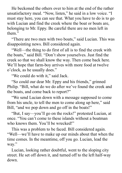He beckoned the others over to him at the end of the rather unsatisfactory meal. "Now, listen," he said in a low voice. "I must stay here, you can see that. What you have to do is to go with Lucian and find the creek where the boat or boats are, belonging to Mr. Eppy. Be careful there are no men left in them"

"There are two men with two boats," said Lucian. This was disappointing news. Bill considered again.

"Well—the thing to do first of all is to find the creek with the boats," said Bill. "Don't show yourselves. Just find the creek so that we shall know the way. Then come back here. We'll hope that farm-boy arrives with more food at twelve o'clock, as he usually does."

"We could do with it," said Jack.

"So could our dear Mr. Eppy and his friends," grinned Philip. "Bill, what do we do after we've found the creek and the boats, and come back to report?"

"We send Lucian down with a message supposed to come from his uncle, to tell the men to come along up here," said Bill, "and we pop down and go off in the boats!"

"But, I say—you'll go on the rocks!" protested Lucian, at once. "You can't come to these islands without a boatman who knows them. You'll be wrecked!"

This was a problem to be faced. Bill considered again. "Well—we'll have to make up our minds about that when the time comes. In the meantime, off you go. Lucian, lead the way."

Lucian, looking rather doubtful, went to the sloping city street. He set off down it, and turned off to the left half-way down.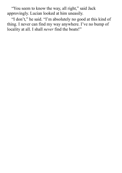"You seem to know the way, all right," said Jack approvingly. Lucian looked at him uneasily.

"I don't," he said. "I'm absolutely no good at this kind of thing. I never can find my way anywhere. I've no bump of locality at all. I shall *never* find the boats!"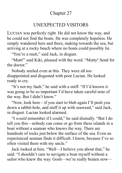# Chapter 27

# UNEXPECTED VISITORS

LUCIAN was perfectly right. He did not know the way, and he could not find the boats. He was completely hopeless. He simply wandered here and there, making towards the sea, but arriving at a rocky beach where no boats could possibly lie.

"You're a mutt," said Jack, in disgust.

"Mutt!" said Kiki, pleased with the word. "Mutty! Send for the doctor."

Nobody smiled even at this. They were all too disappointed and disgusted with poor Lucian. He looked ready to cry.

"It's not my fault," he said with a sniff. "If I'd known it was going to be so important I'd have taken careful note of the way. But I didn't know."

"Now, look here—if you start to blub again I'll push you down a rabbit-hole, and stuff it up with seaweed," said Jack, in disgust. Lucian looked alarmed.

"I *would* remember if I could," he said dismally. "But I do tell you this—nobody can come or go from these islands in a boat without a seaman who knows the way. There are hundreds of rocks just below the surface of the sea. Even an experienced seaman finds it difficult. I know, because I've so often visited them with my uncle."

Jack looked at him. "Well—I believe you about that," he said. "I shouldn't care to navigate a boat myself without a sailor who knew the way. Gosh—we're really beaten now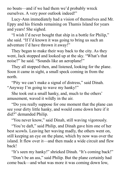no boats—and if we had them we'd probably wreck ourselves. A very poor outlook indeed!"

Lucy-Ann immediately had a vision of themselves and Mr. Eppy and his friends remaining on Thamis Island for years and years! She sighed.

"I wish I'd never bought that ship in a bottle for Philip," she said. "If I'd known it was going to bring us such an adventure I'd have thrown it away!"

They began to make their way back to the city. As they went, Jack stopped and looked up at the sky. "What's that noise?" he said. "Sounds like an aeroplane!"

They all stopped then, and listened, looking for the plane. Soon it came in sight, a small speck coming in from the north.

"Pity we can't make a signal of distress," said Dinah. "Anyway I'm going to wave my hanky!"

She took out a small hanky, and, much to the others' amusement, waved it wildly in the air.

"Do you really suppose for one moment that the plane can see your dirty little hanky, and would come down here if it did?" demanded Philip.

"You never know," said Dinah, still waving vigorously.

"You're daft," said Philip, and Dinah gave him one of her best scowls. Leaving her waving madly, the others went on, still keeping an eye on the plane, which by now was over the island. It flew over it—and then made a wide circuit and flew back!

"It's seen my hanky!" shrieked Dinah. "It's coming back!" "Don't be an ass," said Philip. But the plane certainly had come back—and what was more it was coming down low,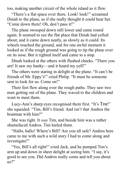too, making another circuit of the whole island as it flew.

"There's a flat space over there. Look! look!" screamed Dinah to the plane, as if she really thought it could hear her. "Come down there! Oh, don't pass it!"

The plane swooped down still lower and came round again. It seemed to see the flat place that Dinah had yelled about, and it came down neatly, as slowly as it could. Its wheels touched the ground, and for one awful moment it looked as if the rough ground was going to tip the plane over on its nose. But it righted itself and came to a stop.

Dinah looked at the others with flushed cheeks. "There you are! It saw my hanky—and it heard my yell!"

The others were staring in delight at the plane. "It can't be friends of Mr. Eppy's!" cried Philip. "It must be someone sent to look for us. Come on!"

Their feet flew along over the rough paths. They saw two men getting out of the plane. They waved to the children and went to meet them.

Lucy-Ann's sharp eyes recognised them first. "It's  $T<sub>IM</sub>$ !" she squealed. "Tim, Bill's friend. And isn't that Andros the boatman with him?"

She was right. It *was* Tim, and beside him was a rather shamefaced Andros. Tim hailed them.

"Hallo, hallo! Where's Bill? Are you all safe? Andros here came to me with such a wild story I had to come along and investigate!"

"Yes, Bill's all right!" cried Jack, and he pumped Tim's arm up and down in sheer delight at seeing him. "I say, it's good to see you. Did Andros really come and tell you about  $11s$ ?"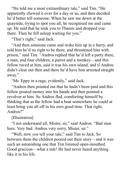"He told me a most extraordinary tale," said Tim. "He apparently chewed it over for a day or so, and then decided he'd better tell someone. When he saw me down at the quayside, trying to spot you all, he recognised me and came up. He said that he took you to Thamis and dropped you there. Then he fell asleep waiting for you."

"That's right," said Jack.

"And then someone came and woke him up in a hurry, and told him he'd no right to be there, and threatened him with prison," said Tim. "Andros replied that he'd left a party there, a man, and four children, a parrot and a monkey—and this fellow raved at him, said it was his own island, and if Andros didn't clear out then and there he'd have him arrested straight away."

"Mr. Eppy in a rage, evidently," said Jack.

"Andros then pointed out that he hadn't been paid and this fellow poured money into his hands and then pointed a revolver at him. So Andros fled, comforting himself by thinking that as the fellow had a boat somewhere he could at least bring you all off in his own good time. That right, Andros?"

[Illustration]

"I not understand all, Mister, sir," said Andros. "Bad man here. Very bad. Andros very sorry, Mister, sir."

"Well, now *you* tell your tale," said Tim to Jack. So between them the children poured out their story—and it was such an astonishing one that Tim listened open-mouthed. Good gracious—what a tale! He had never heard anything like it in his life.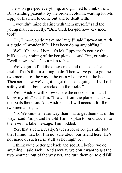He soon grasped everything, and grinned to think of old Bill standing patiently by the broken column, waiting for Mr. Eppy or his men to come out and be dealt with.

"I wouldn't mind dealing with them myself," said the young man cheerfully. "Biff, thud, ker-plonk—very nice, too!"

"Oh, Tim—you do make me laugh!" said Lucy-Ann, with a giggle. "I wonder if Bill has been doing any biffing."

"Well, if he has, I hope it's Mr. Eppy that's getting the biffs, to say nothing of the ker-plonks," said Tim, grinning. "Well, now—what's our plan to be?"

"We've got to find the other creek and the boats," said Jack. "That's the first thing to do. Then we've got to get the two men out of the way—the ones who are with the boats. Then somehow we've got to get the boats going and sail off safely without being wrecked on the rocks."

"Well, Andros will know where the creek is—in fact, I know myself," said Tim. "I saw it from the plane—and saw the boats there too. And Andros and I will account for the two men all right."

"No. We know a better way than that to get them out of the way," said Philip, and he told Tim his plan to send Lucian to them with a fake message. Tim nodded.

"Yes, that's better, really. Saves a lot of rough stuff. Not that I mind that, but I'm not sure about our friend here. He's not made of such stern stuff as he might be."

"I think we'd better get back and see Bill before we do anything," said Jack. "And anyway we don't want to get the two boatmen out of the way yet, and turn them on to old Bill.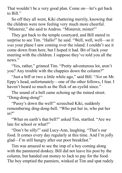That wouldn't be a very good plan. Come on—let's get back to Bill."

So off they all went, Kiki chattering merrily, knowing that the children were now feeling very much more cheerful. "Mistersir," she said to Andros. "Mistersir, mister!"

They got back to the temple courtyard, and Bill stared in surprise to see Tim. "Hallo!" he said. "Well, well, well—so it *was* your plane I saw coming over the island. I couldn't see it come down from here, but I hoped it had. Bit of luck your meeting with the children. I suppose they've told you all the news."

"Yes, rather," grinned Tim. "Pretty adventurous lot, aren't you? Any trouble with the chappies down the column?"

"Just a biff or two a little while ago," said Bill. "*Not* on Mr. Eppy's head, unfortunately—one of the other fellows, I fear. I haven't heard so much as the flick of an eyelid since."

The sound of a bell came echoing up the ruined street. "Dong-dong-dong!"

"Pussy's down the well!" screeched Kiki, suddenly remembering ding-dong-bell. "Who put her in, who put her in?"

"What on earth's that bell?" asked Tim, startled. "Are we late for school or what?"

"Don't be silly!" said Lucy-Ann, laughing. "That's our food. It comes every day regularly at this time. And I'm jolly glad—I'm still hungry after our poor breakfast."

Tim was amazed to see the imp of a boy coming along with the panniered donkey. Bill did not leave his post by the column, but handed out money to Jack to pay for the food. The boy emptied the panniers, winked at Tim and spat rudely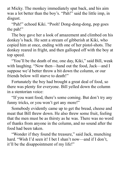at Micky. The monkey immediately spat back, and his aim was a lot better than the boy's. "Pah!" said the little imp, in disgust.

"Pah!" echoed Kiki. "Pooh! Dong-dong-dong, pop goes the pah!"

The boy gave her a look of amazement and climbed on his donkey's back. He sent a stream of gibberish at Kiki, who copied him at once, ending with one of her pistol-shots. The donkey reared in fright, and then galloped off with the boy at top speed.

"You'll be the death of me, one day, Kiki," said Bill, weak with laughing. "Now then—hand out the food, Jack—and I suppose we'd better throw a bit down the column, or our friends below will starve to death!"

Fortunately the boy had brought a great deal of food, so there was plenty for everyone. Bill yelled down the column in a stentorian voice:

"If you want food, there's some coming. But don't try any funny tricks, or you won't get any more!"

Somebody evidently came up to get the bread, cheese and meat that Bill threw down. He also threw some fruit, feeling that the men must be as thirsty as he was. There was no word of thanks from anyone in the column, and no sound after the food had been taken.

"Wonder if they found the treasure," said Jack, munching hard. "Wish I'd seen it! I bet I shan't now—and if I don't, it'll be the disappointment of my life!"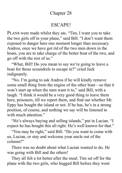## Chapter 28

# ESCAPE!

PLANS were made whilst they ate. "Tim, I want you to take the two girls off in your plane," said Bill. "I don't want them exposed to danger here one moment longer than necessary. Andros, once we have got rid of the two men down in the boats, you are to take charge of the better boat of the two, and go off with the rest of us."

"What, Bill! Do you mean to say we're going to leave a boat for those scoundrels to escape in?" cried Jack indignantly.

"No. I'm going to ask Andros if he will kindly remove some small thing from the engine of the other boat—so that it won't start up when the men want it to," said Bill, with a laugh. "I think it would be a very good thing to leave them here, prisoners, till we report them, and find out whether Mr. Eppy has bought the island or not. If he has, he's in a strong position, of course, and nothing we say will be listened to with much attention."

"He's always buying and selling islands," put in Lucian. "I expect he has bought this all right. He's well known for that."

"You may be right," said Bill. "Do you want to come with us, Lucian, or stay and welcome your uncle out of the column?"

There was no doubt about what Lucian wanted to do. He was going with Bill and the others!

They all felt a lot better after the meal. Tim set off for the plane with the two girls, who hugged Bill before they went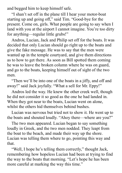and begged him to keep himself safe.

"I shan't set off in the plane till I hear your motor-boat starting up and going off," said Tim. "Good-bye for the present. Come on, girls. What people are going to say when I land with you at the airport I cannot imagine. You're too dirty for anything—regular little grubs!"

Andros, Lucian, Jack and Philip set off for the boats. It was decided that only Lucian should go right up to the boats and give the fake message. He was to say that the men were wanted up in the temple courtyard, and give them directions as to how to get there. As soon as Bill spotted them coming he was to leave the broken column where he was on guard, and go to the boats, keeping himself out of sight of the two men.

"Then we'll be into one of the boats in a jiffy, and off and away!" said Jack joyfully. "What a sell for Mr. Eppy!"

Andros led the way. He knew the other creek well, though he did not consider it so good as the one he had landed in. When they got near to the boats, Lucian went on alone, whilst the others hid themselves behind bushes.

Lucian was nervous but tried not to show it. He went up to the boats and shouted loudly. "Ahoy there—where are you?"

The two men appeared. Lucian began to say something loudly in Greek, and the two men nodded. They leapt from the boat to the beach, and made their way up the shore. Lucian was telling them where to go, pointing this way and that.

"Well, I hope he's telling them correctly," thought Jack, remembering how hopeless Lucian had been at trying to find the way to the boats that morning. "Let's hope he has been more careful at marking the way this time."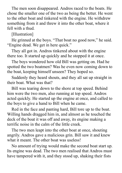The men soon disappeared. Andros raced to the boats. He chose the smaller one of the two as being the better. He went to the other boat and tinkered with the engine. He withdrew something from it and threw it into the other boat, where it fell with a thud.

[Illustration]

He grinned at the boys. "That boat no good now," he said. "Engine dead. We get in here quick."

They all got in. Andros tinkered about with the engine there too. It started up quickly and he stopped it at once.

The boys wondered how old Bill was getting on. Had he spotted the two boatmen? Was he even now coming down to the boat, keeping himself unseen? They hoped so.

Suddenly they heard shouts, and they all sat up straight in their boat. What was that?

Bill was tearing down to the shore at top speed. Behind him were the two men, also running at top speed. Andros acted quickly. He started up the engine at once, and called to the boys to give a hand to Bill when he came.

Red in the face and panting hard, Bill tore up to the boat. Willing hands dragged him in, and almost as he touched the deck of the boat it was off and away, its engine making a terrific noise in the calm of the little creek.

The two men leapt into the other boat at once, shouting angrily. Andros gave a malicious grin. Bill saw it and knew what it meant. The other boat was useless!

No amount of trying would make the second boat start up. Its engine was dead. The two men realised that Andros must have tampered with it, and they stood up, shaking their fists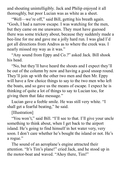and shouting unintelligibly. Jack and Philip enjoyed it all thoroughly, but poor Lucian was as white as a sheet.

"Well—we're off," said Bill, getting his breath again. "Gosh, I had a narrow escape. I was watching for the men, but they came on me unawares. They must have guessed there was some trickery about, because they suddenly made a bee-line for me and gave me a jolly hard run. I was glad I'd got all directions from Andros as to where the creek was. I nearly missed my way as it was."

"Any sound from Eppy and Co.?" asked Jack. Bill shook his head.

"No, but they'll have heard the shouts and I expect they'll be out of the column by now and having a good snoop round. They'll join up with the other two men and then Mr. Eppy will have a few choice things to say to the two men who left the boats, and so gave us the means of escape. I expect he is thinking of quite a lot of things to say to Lucian too, for giving them that fake message."

Lucian gave a feeble smile. He was still very white. "I shall get a fearful beating," he said.

[Illustration]

"You won't," said Bill. "I'll see to that. I'll give your uncle something to think about, when I get back to the airport island. He's going to find himself in hot water very, very soon. I don't care whether he's bought the island or not. He's a rogue."

The sound of an aeroplane's engine attracted their attention. "It's Tim's plane!" cried Jack, and he stood up in the motor-boat and waved. "Ahoy there, Tim!"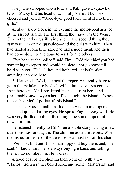The plane swooped down low, and Kiki gave a squawk of terror. Micky hid his head under Philip's arm. The boys cheered and yelled. "Good-bye, good luck, Tim! Hello there, girls."

At about six o'clock in the evening the motor-boat arrived at the airport island. The first thing they saw was the *Viking Star* in the harbour, still lying silent. The second thing they saw was Tim on the quayside—and the girls with him! They had landed a long time ago, had had a good meal, and then had come down to the quay to wait for the others.

"I've been to the police," said Tim. "Told the chief you had something to report and would he please not go home till he'd seen you. He's all hot and bothered—it isn't often anything happens here!"

Bill laughed. "Well, I expect the report will really have to go to the mainland to be dealt with—but as Andros comes from here, and Mr. Eppy hired his boats from here, and presumably saw lawyers here if he bought the island, it's best to see the chief of police of this island."

The chief was a small bird-like man with an intelligent face, and quick, darting eyes. He spoke English very well. He was very thrilled to think there might be some important news for him.

He listened intently to Bill's remarkable story, asking a few questions now and again. The children added little bits. When the inspector heard of the treasure he almost fell off his chair.

"We must find out if this man Eppy did buy the island," he said. "I know him. He is always buying islands and selling them. I do not like him. He is crazy."

A good deal of telephoning then went on, with a few "Hallos" from a rather bored Kiki, and some "Mistersirs" and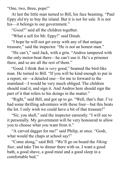"One, two, three, pops!"

At last the little man turned to Bill, his face beaming. "Paul Eppy *did* try to buy the island. But it is not for sale. It is not his—it belongs to our government."

"*Good!*" said all the children together.

"What a sell for Mr. Eppy!" said Dinah.

"I hope he will not get away with any of that unique treasure," said the inspector. "He is not an honest man."

"He can't," said Jack, with a grin. "Andros tampered with the only motor-boat there—he can't use it. He's a prisoner there, and so are all the rest of them."

"Good. I think that is *very* good," beamed the bird-like man. He turned to Bill. "If you will be kind enough to put in a report, sir—a detailed one—for me to forward to the mainland—I would be very much obliged. The children should read it, and sign it. And Andros here should sign the part of it that refers to his doings in the matter."

"Right," said Bill, and got up to go. "Well, that's that. I've had some thrilling adventures with these four—but this beats the lot. I only wish we could have a bit of that treasure!"

"Sir, you shall," said the inspector earnestly. "I will see to it personally. My government will be very honoured to allow you to choose what you want from it."

"A carved dagger for me!" said Philip, at once. "Gosh, what would the chaps at school say!"

"Come along," said Bill. "We'll go on board the *Viking Star*, and take Tim to dinner there with us. I want a good bath, a good shave, a good meal and a good sleep in a comfortable bed."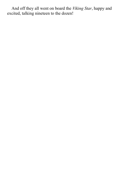And off they all went on board the *Viking Star*, happy and excited, talking nineteen to the dozen!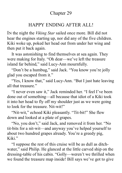## Chapter 29

#### HAPPY ENDING AFTER ALL!

In the night the *Viking Star* sailed once more. Bill did not hear the engines starting up, nor did any of the five children. Kiki woke up, poked her head out from under her wing and then put it back again.

It was astonishing to find themselves at sea again. They were making for Italy. "Oh dear—we've left the treasure island far behind," said Lucy-Ann mournfully.

"Don't be a humbug," said Jack. "You know you're jolly glad you escaped from it."

"Yes, I know that," said Lucy-Ann. "But I just hate leaving all that treasure."

"I never even saw it," Jack reminded her. "I feel I've been done out of something—all because that idiot of a Kiki took it into her head to fly off my shoulder just as we were going to look for the treasure. Nit-wit!"

"Nit-wit," echoed Kiki pleasantly. "Tit-bit!" She flew down and looked at a plate of grapes.

"No, you don't," said Jack, and removed it from her. "No tit-bits for a nit-wit—and anyway you've helped yourself to about two hundred grapes already. You're a greedy pig, Kiki."

"I suppose the rest of this cruise will be as dull as ditchwater," said Philip. He glanced at the little carved ship on the dressing-table of his cabin. "Golly—weren't we thrilled when we found the treasure map inside! Bill says we've got to give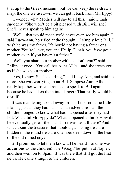that up to the Greek museum, but we can keep the re-drawn map, the one we used—if we can get it back from Mr. Eppy!"

"I wonder what Mother will say to all this," said Dinah suddenly. "She won't be a bit pleased with Bill, will she? She'll never speak to him again!"

"Well—that would mean we'd never even *see* him again!" said Lucy-Ann, horrified at the thought. "I simply love Bill. I wish he was my father. It's horrid not having a father or a mother. You're lucky, you and Philip, Dinah, you *have* got a mother, even if you haven't a father."

"Well, you share our mother with us, don't you?" said Philip, at once. "You call her Aunt Allie—and she treats you as if she was your mother."

"Yes, I know. She's a darling," said Lucy-Ann, and said no more. She was worrying about Bill. Suppose Aunt Allie really kept her word, and refused to speak to Bill again because he had taken them into danger? That really would be dreadful.

It was maddening to sail away from all the romantic little islands, just as they had had such an adventure—all the children longed to know what had happened after they had left. What did Mr. Eppy do? What happened to him? How did he eventually get off the island—or was he still there? And what about the treasure, that fabulous, amazing treasure hidden in the round treasure-chamber deep down in the heart of the old ruined city?

Bill promised to let them know all he heard—and he was as curious as the children! The *Viking Star* put in at Naples, and then went on to Spain. It was there that Bill got the first news. He came straight to the children.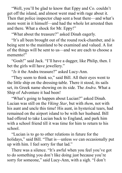"Well, you'll be glad to know that Eppy and Co. couldn't get off the island, and almost went mad with rage about it. Then that police inspector chap sent a boat there—and what's more went in it himself—and had the whole lot arrested then and there. What a shock for Mr. Eppy!"

"What about the treasure?" asked Dinah eagerly.

"It's all been brought out of the round rock-chamber, and is being sent to the mainland to be examined and valued. A list of the things will be sent to us—and we are each to choose a memento!"

"Gosh!" said Jack. "I'll have a dagger, like Philip, then. I bet the girls will have jewellery."

"*Is* it the Andra treasure?" asked Lucy-Ann.

"They seem to think so," said Bill. All their eyes went to the little ship on the dressing-table. There it stood, its sails set, its Greek name showing on its side. The *Andra*. What a Ship of Adventure it had been!

"What's going to happen about Lucian?" asked Dinah. Lucian was still on the *Viking Star*, but with *them*, not with his aunt and uncle this time! His aunt, in hysterical tears, had remained on the airport island to be with her husband. Bill had offered to take Lucian back to England, and park him with a school friend till it was time for him to return to his school.

"Lucian is to go to other relations in future for the holidays," said Bill. "That is—unless *we* can occasionally put up with him. I feel sorry for that lad."

There was a silence. "It's awful when you feel you've got to do something you don't like doing just because you're sorry for someone," said Lucy-Ann, with a sigh. "I don't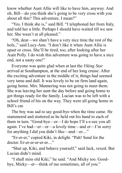know whether Aunt Allie will like to have him, anyway. And oh, Bill—do you think she's going to be very cross with you about all this? This adventure, I mean?"

"Yes. I think she is," said Bill. "I telephoned her from Italy, and told her a little. Perhaps I should have waited till we saw her. She wasn't at all pleased."

"Oh, dear—we shan't have a very nice time the rest of the hols.," said Lucy-Ann. "I don't like it when Aunt Allie is upset or cross. She'll be tired, too, after looking after her Aunt Polly. I do wish this adventure was going to have a nice end, not a nasty one!"

Everyone was quite glad when at last the *Viking Star* arrived at Southampton, at the end of her long cruise. After the exciting adventure in the middle of it, things had seemed very tame and dull. It was lovely to be on firm land again, going home. Mrs. Mannering was not going to meet them. She was leaving her aunt the day before and going home to get things ready for the family. Lucian was to be left with a school friend of his on the way. They were all going home in Bill's car.

The boy was sad to say good-bye when the time came. He stammered and stuttered as he held out his hand to each of them in turn. "Good-bye—er—I do hope I'll s-s-see you all again. I've had—er—er—a lovely time—and er—I'm sorry for anything I did you didn't like—and—er...."

"Er-er-er," copied Kiki, in delight. "Pah! Send for the doctor. Er-er-er-er-er-er...."

"Shut up, Kiki, and behave yourself," said Jack, vexed. But Lucian didn't mind.

"I shall miss old Kiki," he said. "And Micky too. Goodbye, Micky—er—think of me sometimes, all of you."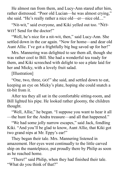He almost ran from them, and Lucy-Ann stared after him, rather distressed. "Poor old Lucian—he was almost crying," she said. "He's really rather a nice old—er—nice old...."

"Nit-wit," said everyone, and Kiki yelled out too. "NIT-WIT! Send for the doctor!"

"Well, he's nice for a nit-wit, then," said Lucy-Ann. She settled down in the car again. "Now for home—and dear old Aunt Allie. I've got a frightfully big hug saved up for her!"

Mrs. Mannering was delighted to see them all, though she was rather cool to Bill. She had a wonderful tea ready for them, and Kiki screeched with delight to see a plate laid for her and Micky, with a lovely fruit salad.

[Illustration]

"One, two, three, GO!" she said, and settled down to eat, keeping an eye on Micky's plate, hoping she could snatch a tit-bit from it.

After tea they all sat in the comfortable sitting-room, and Bill lighted his pipe. He looked rather gloomy, the children thought.

"Well, Allie," he began. "I suppose you want to hear it all —the hunt for the Andra treasure—and all that happened."

"We had some jolly narrow escapes," said Jack, fondling Kiki. "And you'll be glad to know, Aunt Allie, that Kiki got two grand nips at Mr. Eppy's ear!"

They began their tale. Mrs. Mannering listened in amazement. Her eyes went continually to the little carved ship on the mantelpiece, put proudly there by Philip as soon as he reached home.

"There!" said Philip, when they had finished their tale. "What do you think of that?"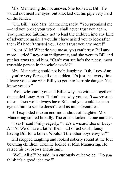Mrs. Mannering did not answer. She looked at Bill. He would not meet her eyes, but knocked out his pipe very hard on the fender.

"Oh, Bill," said Mrs. Mannering sadly. "You promised me —and you broke your word. I shall never trust you again. You promised faithfully not to lead the children into any kind of adventure again. I wouldn't have asked you to look after them if I hadn't trusted you. I can't trust you any more!"

"Aunt Allie! What do you *mean*, you can't trust Bill any more!" cried Lucy-Ann indignantly, and she went to Bill and put her arms round him. "Can't you see he's the nicest, most trustable person in the whole world?"

Mrs. Mannering could not help laughing. "Oh, Lucy-Ann —you're very fierce, all of a sudden. It's just that every time I leave you alone with Bill you get into horrible danger. You know you do."

"Well, why can't you and Bill always be with us together?" demanded Lucy-Ann. "I don't see why you can't *marry* each other—then we'd always have Bill, and you could keep an eye on him to see he doesn't lead us into adventures."

Bill exploded into an enormous shout of laughter. Mrs. Mannering smiled broadly. The others looked at one another.

"I say!" said Philip eagerly, "that's a wizard idea of Lucy-Ann's! We'd have a father then—all of us! Gosh, fancy having Bill for a father. Wouldn't the other boys envy us?"

Bill stopped laughing and looked soberly round at the four beaming children. Then he looked at Mrs. Mannering. He raised his eyebrows enquiringly.

"Well, Allie?" he said, in a curiously quiet voice. "Do *you* think it's a good idea too?"